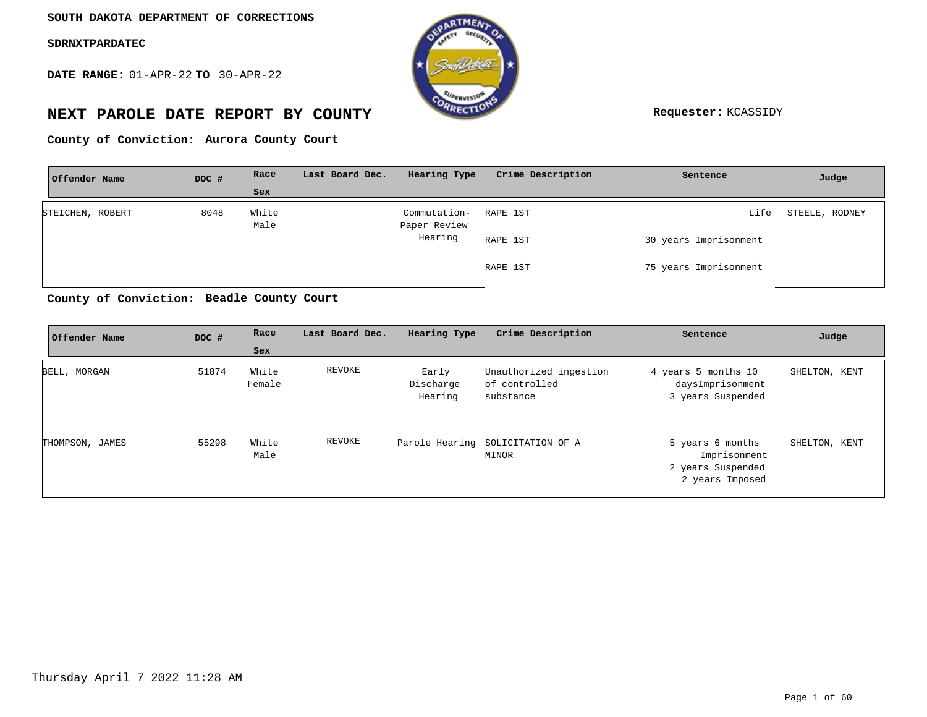**DATE RANGE:** 01-APR-22 **TO** 30-APR-22



# **NEXT PAROLE DATE REPORT BY COUNTY Requester:** KCASSIDY

County of Conviction: Aurora County Court

| Offender Name    | DOC # | Race          | Last Board Dec. | Hearing Type                 | Crime Description | Sentence              | Judge          |
|------------------|-------|---------------|-----------------|------------------------------|-------------------|-----------------------|----------------|
|                  |       | Sex           |                 |                              |                   |                       |                |
| STEICHEN, ROBERT | 8048  | White<br>Male |                 | Commutation-<br>Paper Review | RAPE 1ST          | Life                  | STEELE, RODNEY |
|                  |       |               |                 | Hearing                      | RAPE 1ST          | 30 years Imprisonment |                |
|                  |       |               |                 |                              | RAPE 1ST          | 75 years Imprisonment |                |

**Beadle County Court County of Conviction:**

| Offender Name   | DOC # | Race<br>Sex     | Last Board Dec. | Hearing Type                  | Crime Description                                    | Sentence                                                                 | Judge         |
|-----------------|-------|-----------------|-----------------|-------------------------------|------------------------------------------------------|--------------------------------------------------------------------------|---------------|
| BELL, MORGAN    | 51874 | White<br>Female | REVOKE          | Early<br>Discharge<br>Hearing | Unauthorized ingestion<br>of controlled<br>substance | 4 years 5 months 10<br>daysImprisonment<br>3 years Suspended             | SHELTON, KENT |
| THOMPSON, JAMES | 55298 | White<br>Male   | REVOKE          |                               | Parole Hearing SOLICITATION OF A<br>MINOR            | 5 years 6 months<br>Imprisonment<br>2 years Suspended<br>2 years Imposed | SHELTON, KENT |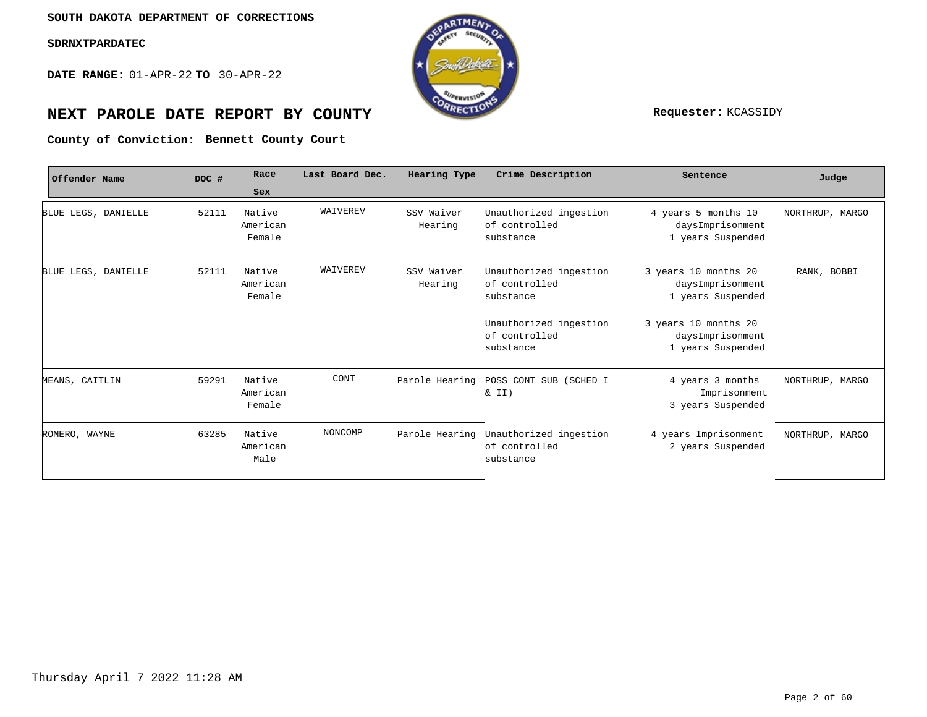**DATE RANGE:** 01-APR-22 **TO** 30-APR-22



# **NEXT PAROLE DATE REPORT BY COUNTY Requester:** KCASSIDY

**Bennett County Court County of Conviction:**

| Offender Name       | DOC # | Race                         | Last Board Dec. | Hearing Type          | Crime Description                                    | Sentence                                                      | Judge           |
|---------------------|-------|------------------------------|-----------------|-----------------------|------------------------------------------------------|---------------------------------------------------------------|-----------------|
|                     |       | Sex                          |                 |                       |                                                      |                                                               |                 |
| BLUE LEGS, DANIELLE | 52111 | Native<br>American<br>Female | WAIVEREV        | SSV Waiver<br>Hearing | Unauthorized ingestion<br>of controlled<br>substance | 4 years 5 months 10<br>daysImprisonment<br>1 years Suspended  | NORTHRUP, MARGO |
| BLUE LEGS, DANIELLE | 52111 | Native<br>American<br>Female | WAIVEREV        | SSV Waiver<br>Hearing | Unauthorized ingestion<br>of controlled<br>substance | 3 years 10 months 20<br>daysImprisonment<br>1 years Suspended | RANK, BOBBI     |
|                     |       |                              |                 |                       | Unauthorized ingestion<br>of controlled<br>substance | 3 years 10 months 20<br>daysImprisonment<br>1 years Suspended |                 |
| MEANS, CAITLIN      | 59291 | Native<br>American<br>Female | CONT            | Parole Hearing        | POSS CONT SUB (SCHED I<br>$\&$ II)                   | 4 years 3 months<br>Imprisonment<br>3 years Suspended         | NORTHRUP, MARGO |
| ROMERO, WAYNE       | 63285 | Native<br>American<br>Male   | NONCOMP         | Parole Hearing        | Unauthorized ingestion<br>of controlled<br>substance | 4 years Imprisonment<br>2 years Suspended                     | NORTHRUP, MARGO |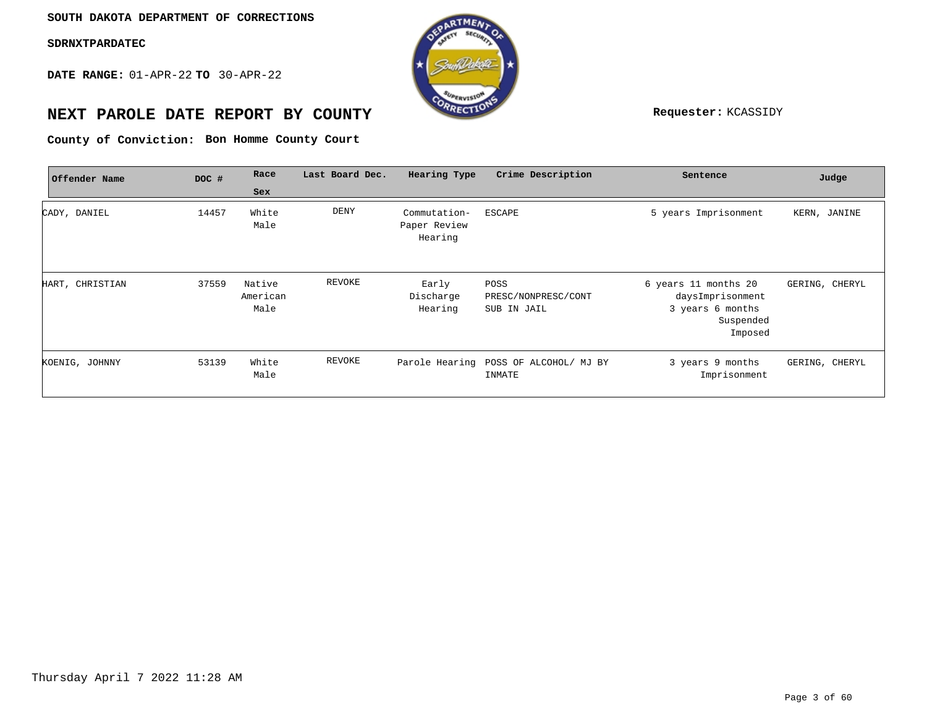**DATE RANGE:** 01-APR-22 **TO** 30-APR-22



# **NEXT PAROLE DATE REPORT BY COUNTY Requester:** KCASSIDY

**Bon Homme County Court County of Conviction:**

| Offender Name   | DOC # | Race                       | Last Board Dec. | Hearing Type                            | Crime Description                               | Sentence                                                                             | Judge          |
|-----------------|-------|----------------------------|-----------------|-----------------------------------------|-------------------------------------------------|--------------------------------------------------------------------------------------|----------------|
|                 |       | Sex                        |                 |                                         |                                                 |                                                                                      |                |
| CADY, DANIEL    | 14457 | White<br>Male              | DENY            | Commutation-<br>Paper Review<br>Hearing | ESCAPE                                          | 5 years Imprisonment                                                                 | KERN, JANINE   |
| HART, CHRISTIAN | 37559 | Native<br>American<br>Male | REVOKE          | Early<br>Discharge<br>Hearing           | POSS<br>PRESC/NONPRESC/CONT<br>SUB IN JAIL      | 6 years 11 months 20<br>daysImprisonment<br>3 years 6 months<br>Suspended<br>Imposed | GERING, CHERYL |
| KOENIG, JOHNNY  | 53139 | White<br>Male              | REVOKE          |                                         | Parole Hearing POSS OF ALCOHOL/ MJ BY<br>INMATE | 3 years 9 months<br>Imprisonment                                                     | GERING, CHERYL |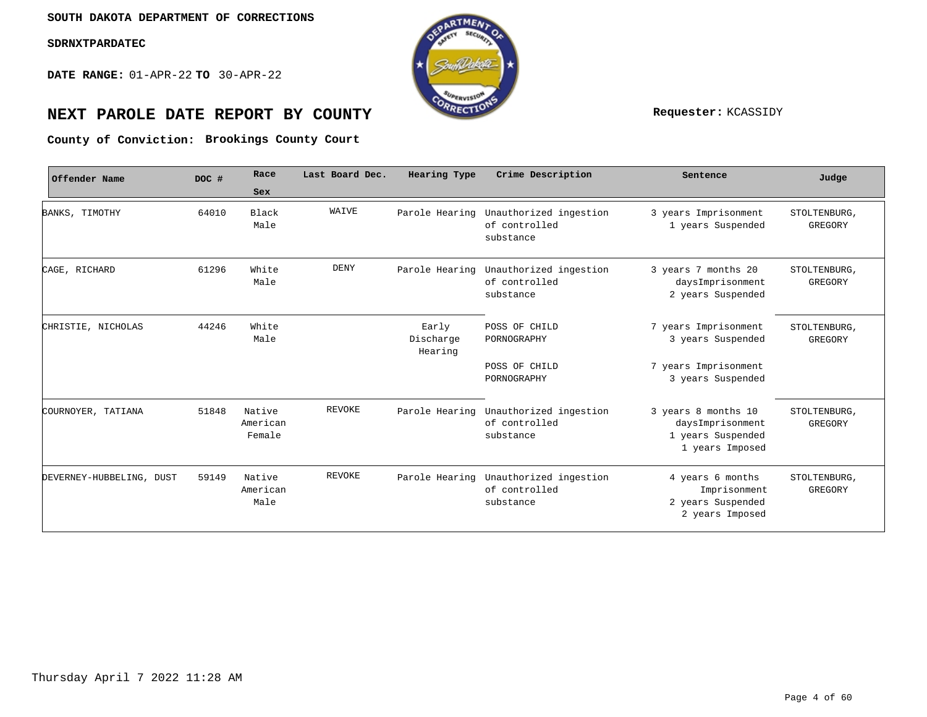**DATE RANGE:** 01-APR-22 **TO** 30-APR-22



# **NEXT PAROLE DATE REPORT BY COUNTY Requester:** KCASSIDY

**Brookings County Court County of Conviction:**

| Offender Name            | DOC # | Race<br>Sex                  | Last Board Dec. | Hearing Type                  | Crime Description                                            | Sentence                                                                               | Judge                   |
|--------------------------|-------|------------------------------|-----------------|-------------------------------|--------------------------------------------------------------|----------------------------------------------------------------------------------------|-------------------------|
| BANKS, TIMOTHY           | 64010 | Black<br>Male                | WAIVE           | Parole Hearing                | Unauthorized ingestion<br>of controlled<br>substance         | 3 years Imprisonment<br>1 years Suspended                                              | STOLTENBURG,<br>GREGORY |
| CAGE, RICHARD            | 61296 | White<br>Male                | DENY            | Parole Hearing                | Unauthorized ingestion<br>of controlled<br>substance         | 3 years 7 months 20<br>daysImprisonment<br>2 years Suspended                           | STOLTENBURG,<br>GREGORY |
| CHRISTIE, NICHOLAS       | 44246 | White<br>Male                |                 | Early<br>Discharge<br>Hearing | POSS OF CHILD<br>PORNOGRAPHY<br>POSS OF CHILD<br>PORNOGRAPHY | 7 years Imprisonment<br>3 years Suspended<br>7 years Imprisonment<br>3 years Suspended | STOLTENBURG,<br>GREGORY |
| COURNOYER, TATIANA       | 51848 | Native<br>American<br>Female | REVOKE          | Parole Hearing                | Unauthorized ingestion<br>of controlled<br>substance         | 3 years 8 months 10<br>daysImprisonment<br>1 years Suspended<br>1 years Imposed        | STOLTENBURG,<br>GREGORY |
| DEVERNEY-HUBBELING, DUST | 59149 | Native<br>American<br>Male   | REVOKE          | Parole Hearing                | Unauthorized ingestion<br>of controlled<br>substance         | 4 years 6 months<br>Imprisonment<br>2 years Suspended<br>2 years Imposed               | STOLTENBURG,<br>GREGORY |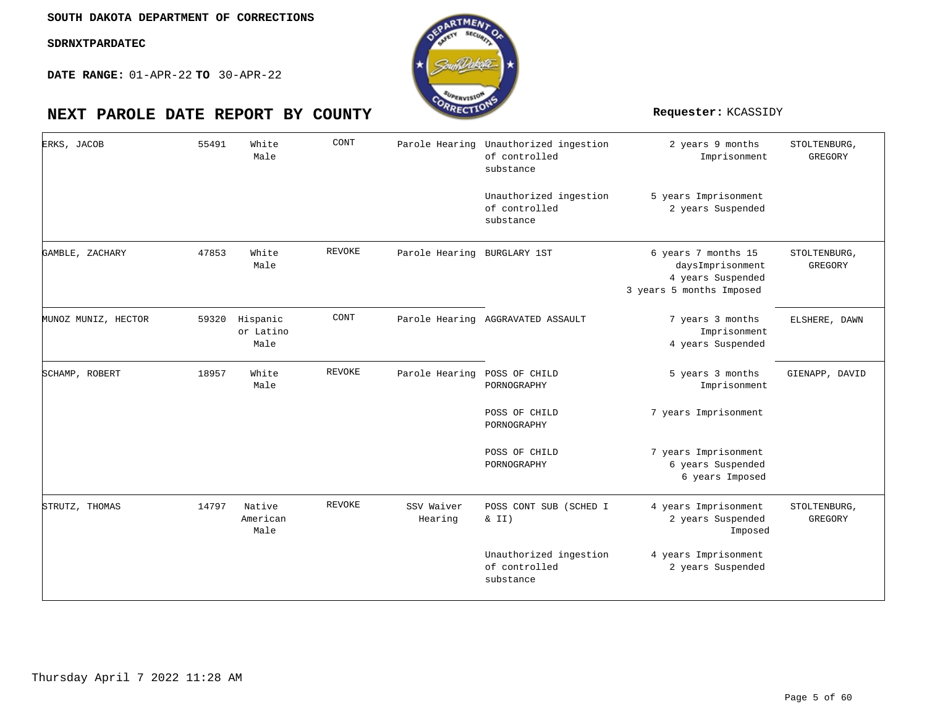

| ERKS, JACOB         | 55491 | White<br>Male                 | CONT          |                              | Parole Hearing Unauthorized ingestion<br>of controlled<br>substance | 2 years 9 months<br>Imprisonment                                                         | STOLTENBURG,<br>GREGORY        |
|---------------------|-------|-------------------------------|---------------|------------------------------|---------------------------------------------------------------------|------------------------------------------------------------------------------------------|--------------------------------|
|                     |       |                               |               |                              | Unauthorized ingestion<br>of controlled<br>substance                | 5 years Imprisonment<br>2 years Suspended                                                |                                |
| GAMBLE, ZACHARY     | 47853 | White<br>Male                 | <b>REVOKE</b> | Parole Hearing BURGLARY 1ST  |                                                                     | 6 years 7 months 15<br>daysImprisonment<br>4 years Suspended<br>3 years 5 months Imposed | STOLTENBURG,<br>GREGORY        |
| MUNOZ MUNIZ, HECTOR | 59320 | Hispanic<br>or Latino<br>Male | CONT          |                              | Parole Hearing AGGRAVATED ASSAULT                                   | 7 years 3 months<br>Imprisonment<br>4 years Suspended                                    | ELSHERE, DAWN                  |
| SCHAMP, ROBERT      | 18957 | White<br>Male                 | REVOKE        | Parole Hearing POSS OF CHILD | PORNOGRAPHY                                                         | 5 years 3 months<br>Imprisonment                                                         | GIENAPP, DAVID                 |
|                     |       |                               |               |                              | POSS OF CHILD<br>PORNOGRAPHY                                        | 7 years Imprisonment                                                                     |                                |
|                     |       |                               |               |                              | POSS OF CHILD<br>PORNOGRAPHY                                        | 7 years Imprisonment<br>6 years Suspended<br>6 years Imposed                             |                                |
| STRUTZ, THOMAS      | 14797 | Native<br>American<br>Male    | REVOKE        | SSV Waiver<br>Hearing        | POSS CONT SUB (SCHED I<br>& II)                                     | 4 years Imprisonment<br>2 years Suspended<br>Imposed                                     | STOLTENBURG,<br><b>GREGORY</b> |
|                     |       |                               |               |                              | Unauthorized ingestion<br>of controlled<br>substance                | 4 years Imprisonment<br>2 years Suspended                                                |                                |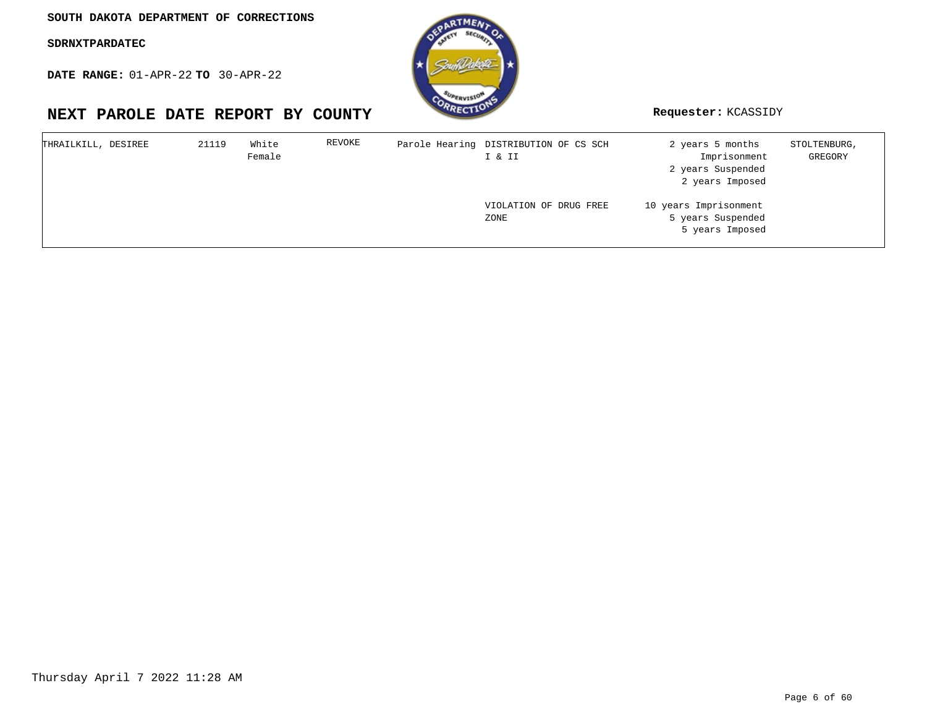**DATE RANGE:** 01-APR-22 **TO** 30-APR-22

| THRAILKILL, DESIREE | 21119 | White<br>Female | REVOKE | Parole Hearing DISTRIBUTION OF CS SCH<br>I & II | 2 years 5 months<br>Imprisonment<br>2 years Suspended<br>2 years Imposed | STOLTENBURG,<br>GREGORY |
|---------------------|-------|-----------------|--------|-------------------------------------------------|--------------------------------------------------------------------------|-------------------------|
|                     |       |                 |        | VIOLATION OF DRUG FREE<br>ZONE                  | 10 years Imprisonment<br>5 years Suspended<br>5 years Imposed            |                         |

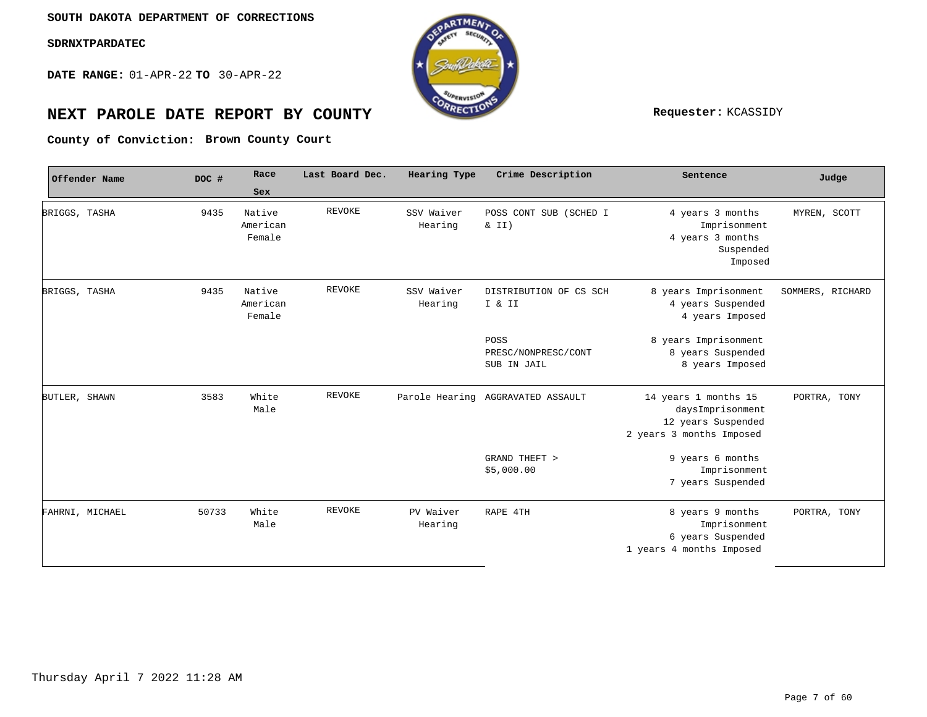**DATE RANGE:** 01-APR-22 **TO** 30-APR-22



# **NEXT PAROLE DATE REPORT BY COUNTY Requester:** KCASSIDY

**Brown County Court County of Conviction:**

|               | Offender Name   | DOC #         | Race<br>Sex                  | Last Board Dec. | Hearing Type                      | Crime Description                                                                          | Sentence                                                                             | Judge            |
|---------------|-----------------|---------------|------------------------------|-----------------|-----------------------------------|--------------------------------------------------------------------------------------------|--------------------------------------------------------------------------------------|------------------|
| BRIGGS, TASHA |                 | 9435          | Native<br>American<br>Female | REVOKE          | SSV Waiver<br>Hearing             | POSS CONT SUB (SCHED I<br>& II)                                                            | 4 years 3 months<br>Imprisonment<br>4 years 3 months<br>Suspended<br>Imposed         | MYREN, SCOTT     |
| BRIGGS, TASHA |                 | 9435          | Native<br>American<br>Female | <b>REVOKE</b>   | SSV Waiver<br>Hearing             | DISTRIBUTION OF CS SCH<br>I & II<br>POSS                                                   | 8 years Imprisonment<br>4 years Suspended<br>4 years Imposed<br>8 years Imprisonment | SOMMERS, RICHARD |
|               |                 |               |                              |                 |                                   | PRESC/NONPRESC/CONT<br>SUB IN JAIL                                                         | 8 years Suspended<br>8 years Imposed                                                 |                  |
| BUTLER, SHAWN | 3583            | White<br>Male | REVOKE                       |                 | Parole Hearing AGGRAVATED ASSAULT | 14 years 1 months 15<br>daysImprisonment<br>12 years Suspended<br>2 years 3 months Imposed | PORTRA, TONY                                                                         |                  |
|               |                 |               |                              |                 |                                   | GRAND THEFT ><br>\$5,000.00                                                                | 9 years 6 months<br>Imprisonment<br>7 years Suspended                                |                  |
|               | FAHRNI, MICHAEL | 50733         | White<br>Male                | REVOKE          | PV Waiver<br>Hearing              | RAPE 4TH                                                                                   | 8 years 9 months<br>Imprisonment<br>6 years Suspended<br>1 years 4 months Imposed    | PORTRA, TONY     |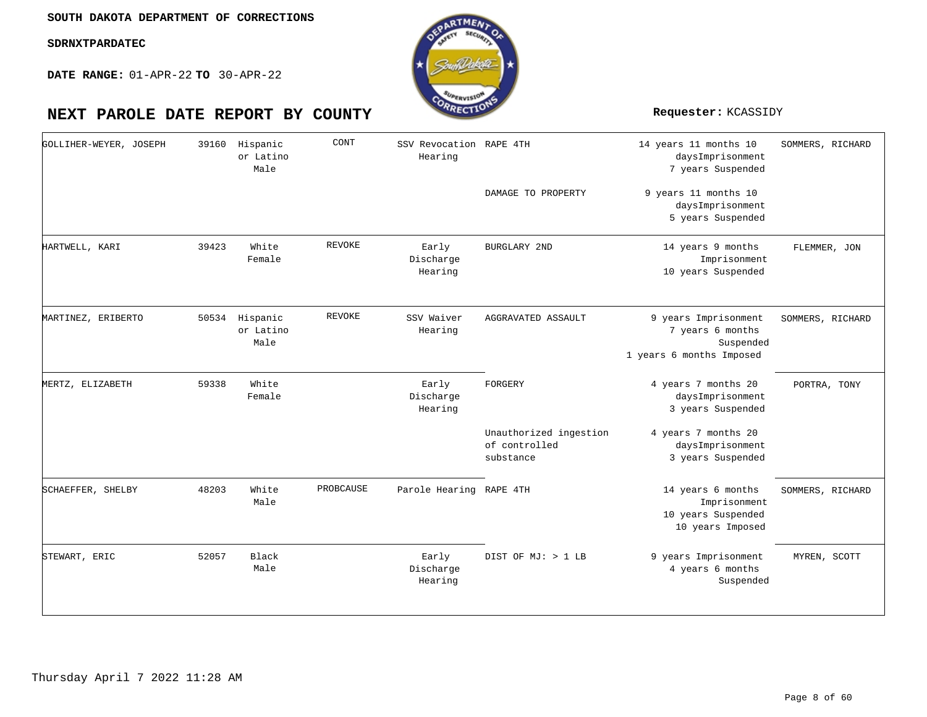**DATE RANGE:** 01-APR-22 **TO** 30-APR-22

| GOLLIHER-WEYER, JOSEPH | 39160 | Hispanic<br>or Latino<br>Male | CONT          | SSV Revocation RAPE 4TH<br>Hearing |                                                      | 14 years 11 months 10<br>daysImprisonment<br>7 years Suspended                    | SOMMERS, RICHARD |
|------------------------|-------|-------------------------------|---------------|------------------------------------|------------------------------------------------------|-----------------------------------------------------------------------------------|------------------|
|                        |       |                               |               |                                    | DAMAGE TO PROPERTY                                   | 9 years 11 months 10<br>daysImprisonment<br>5 years Suspended                     |                  |
| HARTWELL, KARI         | 39423 | White<br>Female               | REVOKE        | Early<br>Discharge<br>Hearing      | <b>BURGLARY 2ND</b>                                  | 14 years 9 months<br>Imprisonment<br>10 years Suspended                           | FLEMMER, JON     |
| MARTINEZ, ERIBERTO     | 50534 | Hispanic<br>or Latino<br>Male | <b>REVOKE</b> | SSV Waiver<br>Hearing              | AGGRAVATED ASSAULT                                   | 9 years Imprisonment<br>7 years 6 months<br>Suspended<br>1 years 6 months Imposed | SOMMERS, RICHARD |
| MERTZ, ELIZABETH       | 59338 | White<br>Female               |               | Early<br>Discharge<br>Hearing      | FORGERY                                              | 4 years 7 months 20<br>daysImprisonment<br>3 years Suspended                      | PORTRA, TONY     |
|                        |       |                               |               |                                    | Unauthorized ingestion<br>of controlled<br>substance | 4 years 7 months 20<br>daysImprisonment<br>3 years Suspended                      |                  |
| SCHAEFFER, SHELBY      | 48203 | White<br>Male                 | PROBCAUSE     | Parole Hearing RAPE 4TH            |                                                      | 14 years 6 months<br>Imprisonment<br>10 years Suspended<br>10 years Imposed       | SOMMERS, RICHARD |
| STEWART, ERIC          | 52057 | Black<br>Male                 |               | Early<br>Discharge<br>Hearing      | DIST OF MJ: > 1 LB                                   | 9 years Imprisonment<br>4 years 6 months<br>Suspended                             | MYREN, SCOTT     |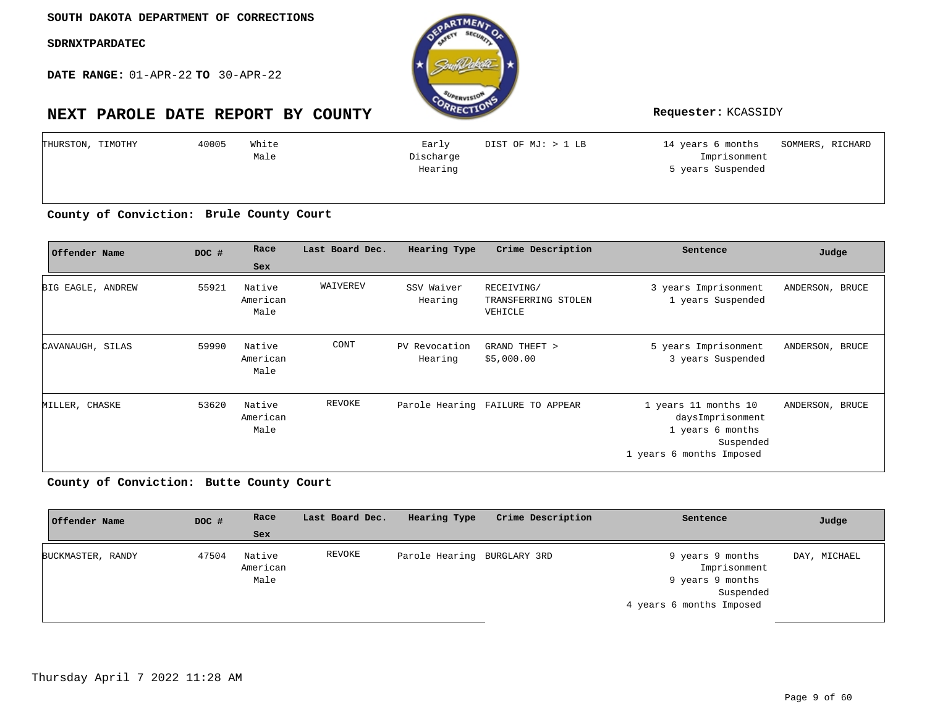**DATE RANGE:** 01-APR-22 **TO** 30-APR-22

# **NEXT PAROLE DATE REPORT BY COUNTY Requester:** KCASSIDY



| White | Early     | DIST OF MJ: > 1 LB |                   | SOMMERS, RICHARD  |
|-------|-----------|--------------------|-------------------|-------------------|
| Male  | Discharge |                    | Imprisonment      |                   |
|       | Hearing   |                    | 5 years Suspended |                   |
|       |           |                    |                   |                   |
|       |           |                    |                   | 14 years 6 months |

**Brule County Court County of Conviction:**

| Offender Name     | DOC # | Race                       | Last Board Dec. | Hearing Type             | Crime Description                            | Sentence                                                                                              | Judge           |
|-------------------|-------|----------------------------|-----------------|--------------------------|----------------------------------------------|-------------------------------------------------------------------------------------------------------|-----------------|
|                   |       | Sex                        |                 |                          |                                              |                                                                                                       |                 |
| BIG EAGLE, ANDREW | 55921 | Native<br>American<br>Male | WAIVEREV        | SSV Waiver<br>Hearing    | RECEIVING/<br>TRANSFERRING STOLEN<br>VEHICLE | 3 years Imprisonment<br>1 years Suspended                                                             | ANDERSON, BRUCE |
| CAVANAUGH, SILAS  | 59990 | Native<br>American<br>Male | CONT            | PV Revocation<br>Hearing | GRAND THEFT ><br>\$5,000.00                  | 5 years Imprisonment<br>3 years Suspended                                                             | ANDERSON, BRUCE |
| MILLER, CHASKE    | 53620 | Native<br>American<br>Male | REVOKE          |                          | Parole Hearing FAILURE TO APPEAR             | 1 years 11 months 10<br>daysImprisonment<br>1 years 6 months<br>Suspended<br>1 years 6 months Imposed | ANDERSON, BRUCE |

**Butte County Court County of Conviction:**

| Offender Name     | DOC # | Race                       | Last Board Dec. | Hearing Type                | Crime Description | Sentence                                                                                      | Judge        |
|-------------------|-------|----------------------------|-----------------|-----------------------------|-------------------|-----------------------------------------------------------------------------------------------|--------------|
|                   |       | Sex                        |                 |                             |                   |                                                                                               |              |
| BUCKMASTER, RANDY | 47504 | Native<br>American<br>Male | REVOKE          | Parole Hearing BURGLARY 3RD |                   | 9 years 9 months<br>Imprisonment<br>9 years 9 months<br>Suspended<br>4 years 6 months Imposed | DAY, MICHAEL |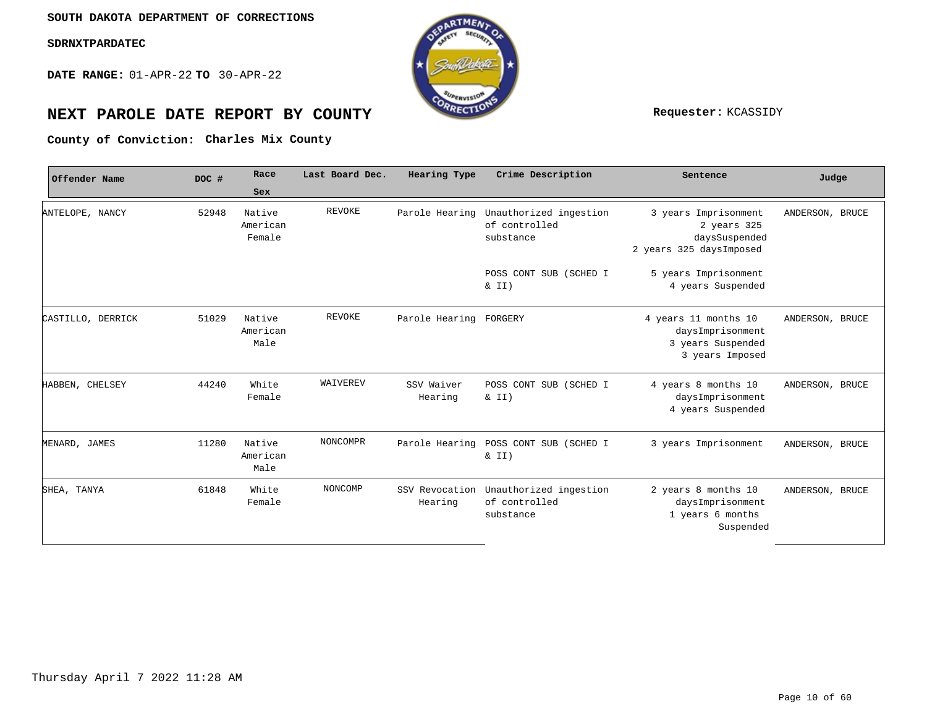**DATE RANGE:** 01-APR-22 **TO** 30-APR-22



# **NEXT PAROLE DATE REPORT BY COUNTY REPORT BY ALL PROPERTY REQUESTER:** KCASSIDY

County of Conviction: Charles Mix County

| Offender Name     | DOC # | Race<br>Sex                  | Last Board Dec. | Hearing Type              | Crime Description                                    | Sentence                                                                         | Judge           |
|-------------------|-------|------------------------------|-----------------|---------------------------|------------------------------------------------------|----------------------------------------------------------------------------------|-----------------|
| ANTELOPE, NANCY   | 52948 | Native<br>American<br>Female | <b>REVOKE</b>   | Parole Hearing            | Unauthorized ingestion<br>of controlled<br>substance | 3 years Imprisonment<br>2 years 325<br>daysSuspended<br>2 years 325 daysImposed  | ANDERSON, BRUCE |
|                   |       |                              |                 |                           | POSS CONT SUB (SCHED I<br>& II)                      | 5 years Imprisonment<br>4 years Suspended                                        |                 |
| CASTILLO, DERRICK | 51029 | Native<br>American<br>Male   | <b>REVOKE</b>   | Parole Hearing FORGERY    |                                                      | 4 years 11 months 10<br>daysImprisonment<br>3 years Suspended<br>3 years Imposed | ANDERSON, BRUCE |
| HABBEN, CHELSEY   | 44240 | White<br>Female              | WAIVEREV        | SSV Waiver<br>Hearing     | POSS CONT SUB (SCHED I<br>$\& II)$                   | 4 years 8 months 10<br>daysImprisonment<br>4 years Suspended                     | ANDERSON, BRUCE |
| MENARD, JAMES     | 11280 | Native<br>American<br>Male   | <b>NONCOMPR</b> | Parole Hearing            | POSS CONT SUB (SCHED I<br>& II)                      | 3 years Imprisonment                                                             | ANDERSON, BRUCE |
| SHEA, TANYA       | 61848 | White<br>Female              | NONCOMP         | SSV Revocation<br>Hearing | Unauthorized ingestion<br>of controlled<br>substance | 2 years 8 months 10<br>daysImprisonment<br>1 years 6 months<br>Suspended         | ANDERSON, BRUCE |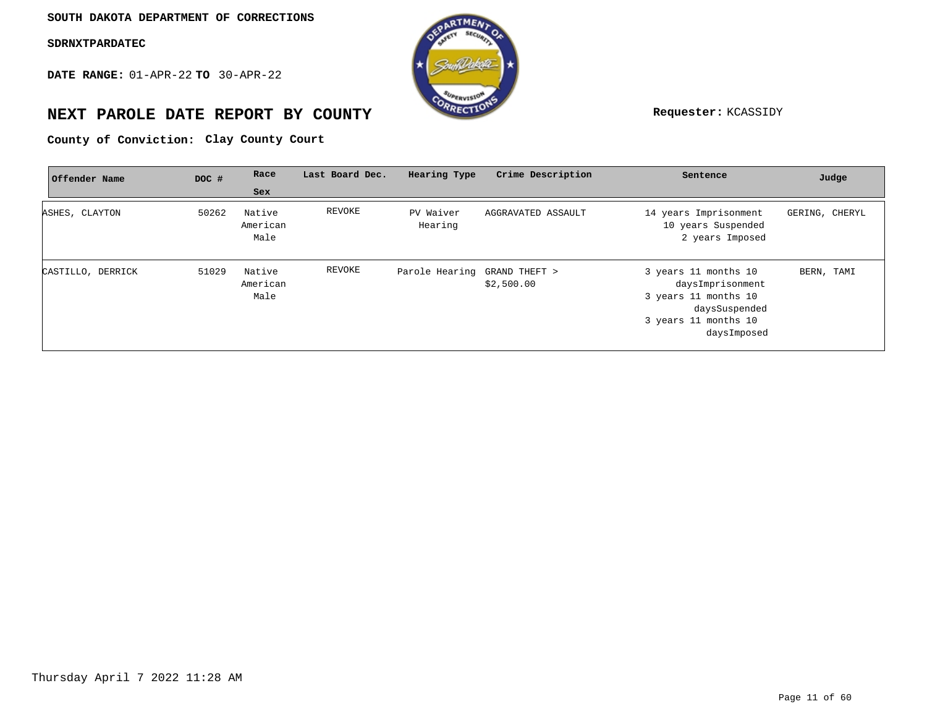**DATE RANGE:** 01-APR-22 **TO** 30-APR-22



# **NEXT PAROLE DATE REPORT BY COUNTY Requester:** KCASSIDY

County of Conviction: Clay County Court

| Offender Name     | DOC # | Race                       | Last Board Dec. | Hearing Type                 | Crime Description  | Sentence                                                                                                                 | Judge          |
|-------------------|-------|----------------------------|-----------------|------------------------------|--------------------|--------------------------------------------------------------------------------------------------------------------------|----------------|
|                   |       | Sex                        |                 |                              |                    |                                                                                                                          |                |
| ASHES, CLAYTON    | 50262 | Native<br>American<br>Male | REVOKE          | PV Waiver<br>Hearing         | AGGRAVATED ASSAULT | 14 years Imprisonment<br>10 years Suspended<br>2 years Imposed                                                           | GERING, CHERYL |
| CASTILLO, DERRICK | 51029 | Native<br>American<br>Male | REVOKE          | Parole Hearing GRAND THEFT > | \$2,500.00         | 3 years 11 months 10<br>daysImprisonment<br>3 years 11 months 10<br>daysSuspended<br>3 years 11 months 10<br>daysImposed | BERN, TAMI     |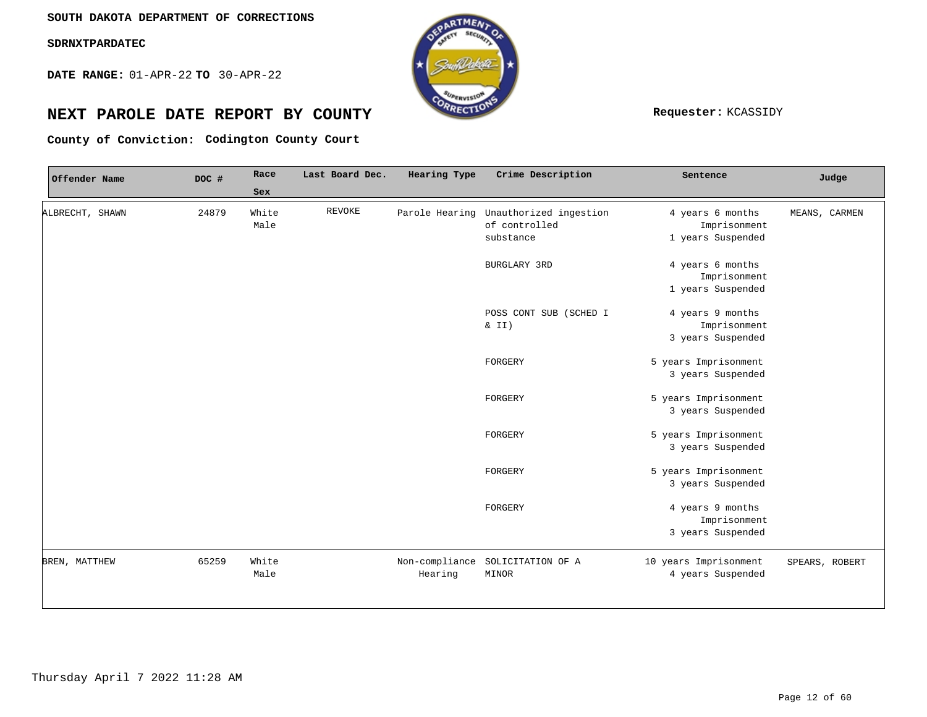**DATE RANGE:** 01-APR-22 **TO** 30-APR-22



# **NEXT PAROLE DATE REPORT BY COUNTY REPORT BY ALL PROPERTY REQUESTER:** KCASSIDY

**Codington County Court County of Conviction:**

| Offender Name   | DOC # | Race  | Last Board Dec. | Hearing Type | Crime Description                     | Sentence              | Judge          |
|-----------------|-------|-------|-----------------|--------------|---------------------------------------|-----------------------|----------------|
|                 |       | Sex   |                 |              |                                       |                       |                |
| ALBRECHT, SHAWN | 24879 | White | <b>REVOKE</b>   |              | Parole Hearing Unauthorized ingestion | 4 years 6 months      | MEANS, CARMEN  |
|                 |       | Male  |                 |              | of controlled                         | Imprisonment          |                |
|                 |       |       |                 |              | substance                             | 1 years Suspended     |                |
|                 |       |       |                 |              | BURGLARY 3RD                          | 4 years 6 months      |                |
|                 |       |       |                 |              |                                       | Imprisonment          |                |
|                 |       |       |                 |              |                                       | 1 years Suspended     |                |
|                 |       |       |                 |              | POSS CONT SUB (SCHED I                | 4 years 9 months      |                |
|                 |       |       |                 |              | $\& II)$                              | Imprisonment          |                |
|                 |       |       |                 |              |                                       | 3 years Suspended     |                |
|                 |       |       |                 |              | FORGERY                               | 5 years Imprisonment  |                |
|                 |       |       |                 |              |                                       | 3 years Suspended     |                |
|                 |       |       |                 |              | FORGERY                               | 5 years Imprisonment  |                |
|                 |       |       |                 |              |                                       | 3 years Suspended     |                |
|                 |       |       |                 |              | FORGERY                               | 5 years Imprisonment  |                |
|                 |       |       |                 |              |                                       | 3 years Suspended     |                |
|                 |       |       |                 |              | FORGERY                               | 5 years Imprisonment  |                |
|                 |       |       |                 |              |                                       | 3 years Suspended     |                |
|                 |       |       |                 |              | FORGERY                               | 4 years 9 months      |                |
|                 |       |       |                 |              |                                       | Imprisonment          |                |
|                 |       |       |                 |              |                                       | 3 years Suspended     |                |
| BREN, MATTHEW   | 65259 | White |                 |              | Non-compliance SOLICITATION OF A      | 10 years Imprisonment | SPEARS, ROBERT |
|                 |       | Male  |                 | Hearing      | MINOR                                 | 4 years Suspended     |                |
|                 |       |       |                 |              |                                       |                       |                |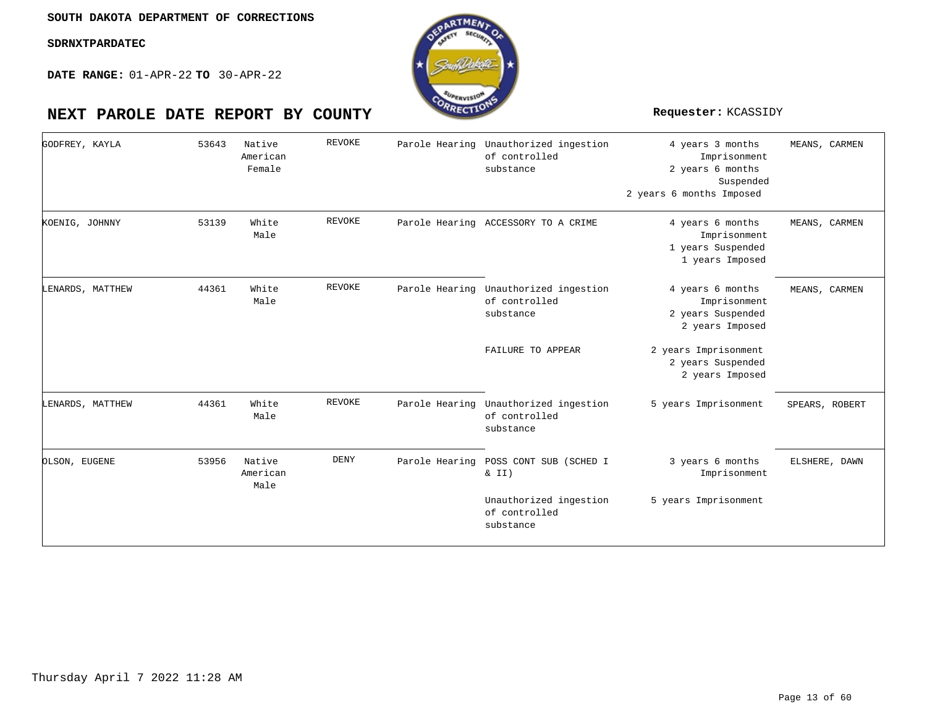**DATE RANGE:** 01-APR-22 **TO** 30-APR-22

| GODFREY, KAYLA   | 53643 | Native<br>American<br>Female | <b>REVOKE</b> |                | Parole Hearing Unauthorized ingestion<br>of controlled<br>substance | 4 years 3 months<br>Imprisonment<br>2 years 6 months<br>Suspended<br>2 years 6 months Imposed | MEANS, CARMEN  |
|------------------|-------|------------------------------|---------------|----------------|---------------------------------------------------------------------|-----------------------------------------------------------------------------------------------|----------------|
| KOENIG, JOHNNY   | 53139 | White<br>Male                | REVOKE        |                | Parole Hearing ACCESSORY TO A CRIME                                 | 4 years 6 months<br>Imprisonment<br>1 years Suspended<br>1 years Imposed                      | MEANS, CARMEN  |
| LENARDS, MATTHEW | 44361 | White<br>Male                | <b>REVOKE</b> |                | Parole Hearing Unauthorized ingestion<br>of controlled<br>substance | 4 years 6 months<br>Imprisonment<br>2 years Suspended<br>2 years Imposed                      | MEANS, CARMEN  |
|                  |       |                              |               |                | FAILURE TO APPEAR                                                   | 2 years Imprisonment<br>2 years Suspended<br>2 years Imposed                                  |                |
| LENARDS, MATTHEW | 44361 | White<br>Male                | <b>REVOKE</b> |                | Parole Hearing Unauthorized ingestion<br>of controlled<br>substance | 5 years Imprisonment                                                                          | SPEARS, ROBERT |
| OLSON, EUGENE    | 53956 | Native<br>American<br>Male   | <b>DENY</b>   | Parole Hearing | POSS CONT SUB (SCHED I<br>& II)                                     | 3 years 6 months<br>Imprisonment                                                              | ELSHERE, DAWN  |
|                  |       |                              |               |                | Unauthorized ingestion<br>of controlled<br>substance                | 5 years Imprisonment                                                                          |                |

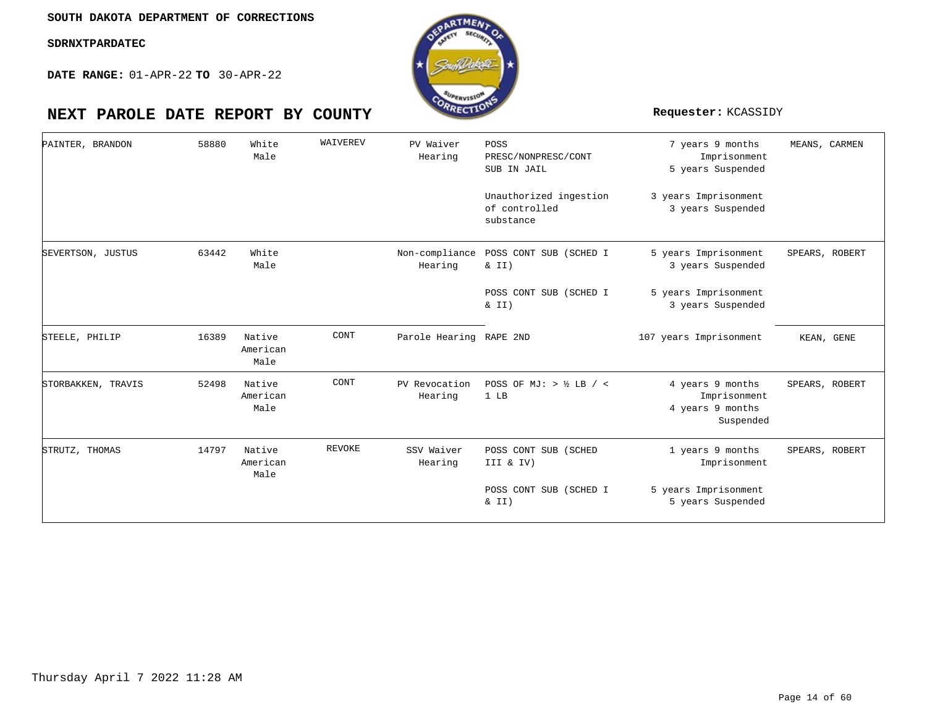

| PAINTER, BRANDON   | 58880 | White<br>Male              | WAIVEREV      | PV Waiver<br>Hearing      | POSS<br>PRESC/NONPRESC/CONT<br>SUB IN JAIL<br>Unauthorized ingestion<br>of controlled<br>substance | 7 years 9 months<br>Imprisonment<br>5 years Suspended<br>3 years Imprisonment<br>3 years Suspended | MEANS, CARMEN  |
|--------------------|-------|----------------------------|---------------|---------------------------|----------------------------------------------------------------------------------------------------|----------------------------------------------------------------------------------------------------|----------------|
| SEVERTSON, JUSTUS  | 63442 | White<br>Male              |               | Non-compliance<br>Hearing | POSS CONT SUB (SCHED I<br>$\&$ II)                                                                 | 5 years Imprisonment<br>3 years Suspended                                                          | SPEARS, ROBERT |
|                    |       |                            |               |                           | POSS CONT SUB (SCHED I<br>& II)                                                                    | 5 years Imprisonment<br>3 years Suspended                                                          |                |
| STEELE, PHILIP     | 16389 | Native<br>American<br>Male | CONT          | Parole Hearing RAPE 2ND   |                                                                                                    | 107 years Imprisonment                                                                             | KEAN, GENE     |
| STORBAKKEN, TRAVIS | 52498 | Native<br>American<br>Male | CONT          | PV Revocation<br>Hearing  | POSS OF MJ: $>$ ½ LB / <<br>1 LB                                                                   | 4 years 9 months<br>Imprisonment<br>4 years 9 months<br>Suspended                                  | SPEARS, ROBERT |
| STRUTZ, THOMAS     | 14797 | Native<br>American<br>Male | <b>REVOKE</b> | SSV Waiver<br>Hearing     | POSS CONT SUB (SCHED<br>III & IV)                                                                  | 1 years 9 months<br>Imprisonment                                                                   | SPEARS, ROBERT |
|                    |       |                            |               |                           | POSS CONT SUB (SCHED I<br>& II)                                                                    | 5 years Imprisonment<br>5 years Suspended                                                          |                |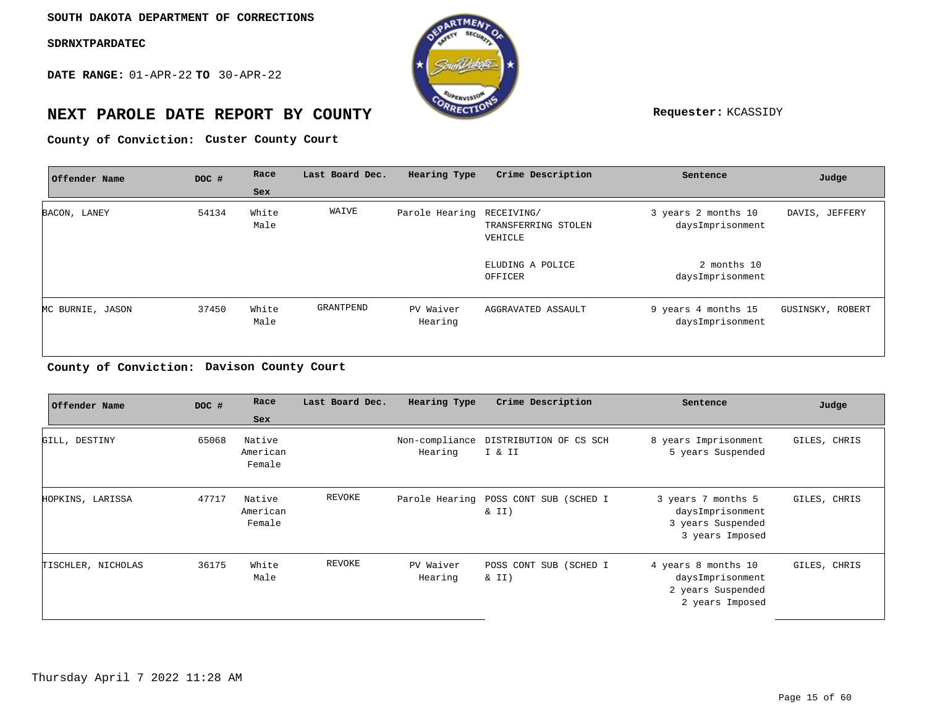**DATE RANGE:** 01-APR-22 **TO** 30-APR-22



# **NEXT PAROLE DATE REPORT BY COUNTY Requester:** KCASSIDY

**Custer County Court County of Conviction:**

| Offender Name    | DOC # | Race          | Last Board Dec. | Hearing Type              | Crime Description              | Sentence                                | Judge            |
|------------------|-------|---------------|-----------------|---------------------------|--------------------------------|-----------------------------------------|------------------|
|                  |       | Sex           |                 |                           |                                |                                         |                  |
| BACON, LANEY     | 54134 | White<br>Male | WAIVE           | Parole Hearing RECEIVING/ | TRANSFERRING STOLEN<br>VEHICLE | 3 years 2 months 10<br>daysImprisonment | DAVIS, JEFFERY   |
|                  |       |               |                 |                           | ELUDING A POLICE<br>OFFICER    | 2 months 10<br>daysImprisonment         |                  |
| MC BURNIE, JASON | 37450 | White<br>Male | GRANTPEND       | PV Waiver<br>Hearing      | AGGRAVATED ASSAULT             | 9 years 4 months 15<br>daysImprisonment | GUSINSKY, ROBERT |
|                  |       |               |                 |                           |                                |                                         |                  |

**Davison County Court County of Conviction:**

| Offender Name      | DOC # | Race                         | Last Board Dec. | Hearing Type         | Crime Description                                 | Sentence                                                                        | Judge        |
|--------------------|-------|------------------------------|-----------------|----------------------|---------------------------------------------------|---------------------------------------------------------------------------------|--------------|
|                    |       | Sex                          |                 |                      |                                                   |                                                                                 |              |
| GILL, DESTINY      | 65068 | Native<br>American<br>Female |                 | Hearing              | Non-compliance DISTRIBUTION OF CS SCH<br>I & II   | 8 years Imprisonment<br>5 years Suspended                                       | GILES, CHRIS |
| HOPKINS, LARISSA   | 47717 | Native<br>American<br>Female | REVOKE          |                      | Parole Hearing POSS CONT SUB (SCHED I<br>$\&$ II) | 3 years 7 months 5<br>daysImprisonment<br>3 years Suspended<br>3 years Imposed  | GILES, CHRIS |
| TISCHLER, NICHOLAS | 36175 | White<br>Male                | REVOKE          | PV Waiver<br>Hearing | POSS CONT SUB (SCHED I<br>$\&$ II)                | 4 years 8 months 10<br>daysImprisonment<br>2 years Suspended<br>2 years Imposed | GILES, CHRIS |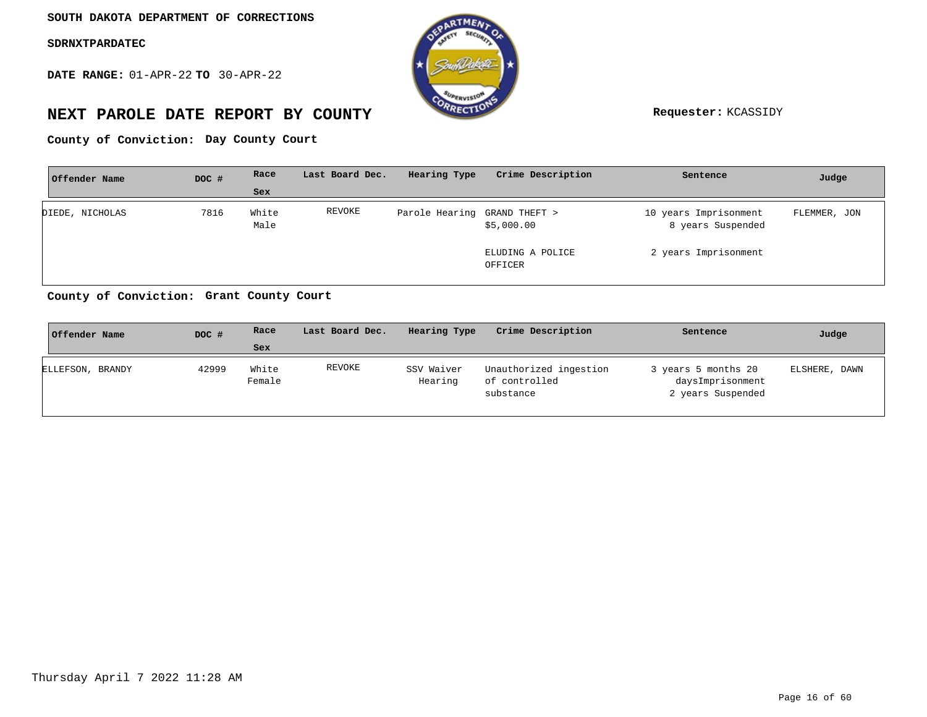**DATE RANGE:** 01-APR-22 **TO** 30-APR-22



# **NEXT PAROLE DATE REPORT BY COUNTY Requester:** KCASSIDY

**Day County Court County of Conviction:**

| Offender Name   | DOC # | Race          | Last Board Dec. | Hearing Type                 | Crime Description           | Sentence                                   | Judge        |
|-----------------|-------|---------------|-----------------|------------------------------|-----------------------------|--------------------------------------------|--------------|
|                 |       | <b>Sex</b>    |                 |                              |                             |                                            |              |
| DIEDE, NICHOLAS | 7816  | White<br>Male | REVOKE          | Parole Hearing GRAND THEFT > | \$5,000.00                  | 10 years Imprisonment<br>8 years Suspended | FLEMMER, JON |
|                 |       |               |                 |                              | ELUDING A POLICE<br>OFFICER | 2 years Imprisonment                       |              |

**Grant County Court County of Conviction:**

| Offender Name    | DOC # | Race            | Last Board Dec. | Hearing Type          | Crime Description                                    | Sentence                                                     | Judge         |
|------------------|-------|-----------------|-----------------|-----------------------|------------------------------------------------------|--------------------------------------------------------------|---------------|
|                  |       | Sex             |                 |                       |                                                      |                                                              |               |
| ELLEFSON, BRANDY | 42999 | White<br>Female | REVOKE          | SSV Waiver<br>Hearing | Unauthorized ingestion<br>of controlled<br>substance | 3 years 5 months 20<br>daysImprisonment<br>2 years Suspended | ELSHERE, DAWN |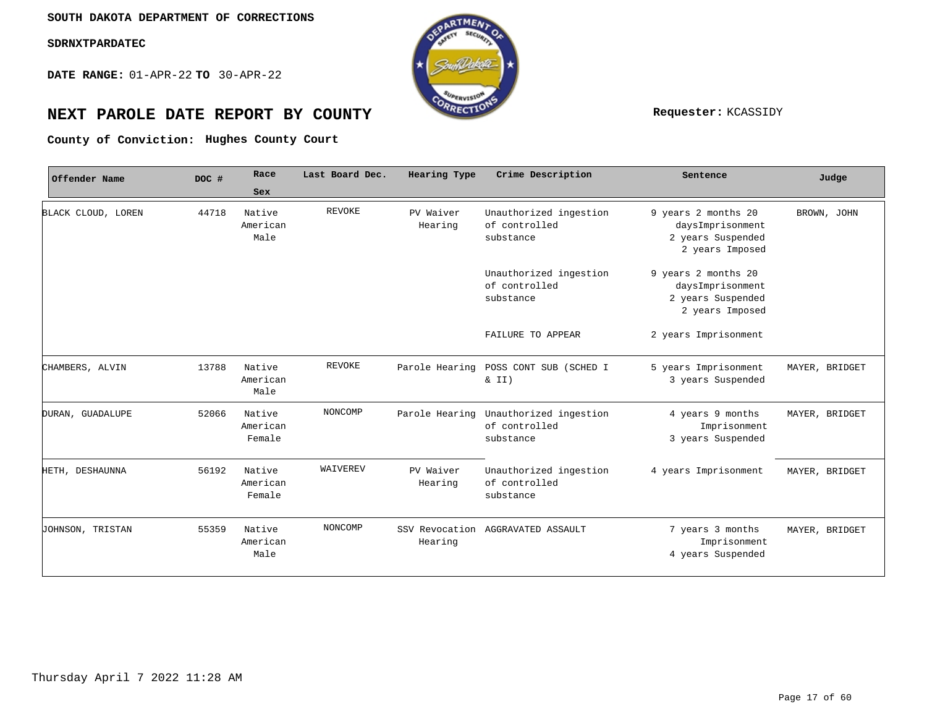**DATE RANGE:** 01-APR-22 **TO** 30-APR-22



# **NEXT PAROLE DATE REPORT BY COUNTY Requester:** KCASSIDY

**Hughes County Court County of Conviction:**

| Offender Name      | DOC # | Race                         | Last Board Dec. | Hearing Type         | Crime Description                                    | Sentence                                                                        | Judge          |
|--------------------|-------|------------------------------|-----------------|----------------------|------------------------------------------------------|---------------------------------------------------------------------------------|----------------|
|                    |       | Sex                          |                 |                      |                                                      |                                                                                 |                |
| BLACK CLOUD, LOREN | 44718 | Native<br>American<br>Male   | <b>REVOKE</b>   | PV Waiver<br>Hearing | Unauthorized ingestion<br>of controlled<br>substance | 9 years 2 months 20<br>daysImprisonment<br>2 years Suspended<br>2 years Imposed | BROWN, JOHN    |
|                    |       |                              |                 |                      | Unauthorized ingestion<br>of controlled<br>substance | 9 years 2 months 20<br>daysImprisonment<br>2 years Suspended<br>2 years Imposed |                |
|                    |       |                              |                 |                      | FAILURE TO APPEAR                                    | 2 years Imprisonment                                                            |                |
| CHAMBERS, ALVIN    | 13788 | Native<br>American<br>Male   | <b>REVOKE</b>   | Parole Hearing       | POSS CONT SUB (SCHED I<br>& II)                      | 5 years Imprisonment<br>3 years Suspended                                       | MAYER, BRIDGET |
| DURAN, GUADALUPE   | 52066 | Native<br>American<br>Female | NONCOMP         | Parole Hearing       | Unauthorized ingestion<br>of controlled<br>substance | 4 years 9 months<br>Imprisonment<br>3 years Suspended                           | MAYER, BRIDGET |
| HETH, DESHAUNNA    | 56192 | Native<br>American<br>Female | WAIVEREV        | PV Waiver<br>Hearing | Unauthorized ingestion<br>of controlled<br>substance | 4 years Imprisonment                                                            | MAYER, BRIDGET |
| JOHNSON, TRISTAN   | 55359 | Native<br>American<br>Male   | NONCOMP         | Hearing              | SSV Revocation AGGRAVATED ASSAULT                    | 7 years 3 months<br>Imprisonment<br>4 years Suspended                           | MAYER, BRIDGET |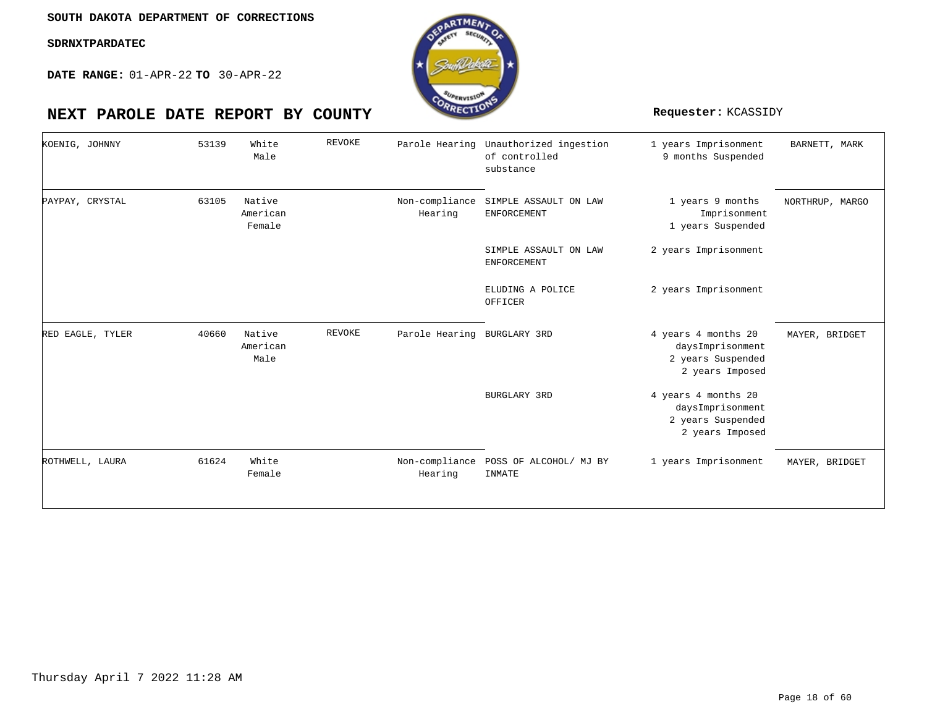**DATE RANGE:** 01-APR-22 **TO** 30-APR-22

| KOENIG, JOHNNY   | 53139 | White<br>Male                | REVOKE | Parole Hearing            | Unauthorized ingestion<br>of controlled<br>substance | 1 years Imprisonment<br>9 months Suspended                                      | BARNETT, MARK   |
|------------------|-------|------------------------------|--------|---------------------------|------------------------------------------------------|---------------------------------------------------------------------------------|-----------------|
| PAYPAY, CRYSTAL  | 63105 | Native<br>American<br>Female |        | Non-compliance<br>Hearing | SIMPLE ASSAULT ON LAW<br><b>ENFORCEMENT</b>          | 1 years 9 months<br>Imprisonment<br>1 years Suspended                           | NORTHRUP, MARGO |
|                  |       |                              |        |                           | SIMPLE ASSAULT ON LAW<br><b>ENFORCEMENT</b>          | 2 years Imprisonment                                                            |                 |
|                  |       |                              |        |                           | ELUDING A POLICE<br>OFFICER                          | 2 years Imprisonment                                                            |                 |
| RED EAGLE, TYLER | 40660 | Native<br>American<br>Male   | REVOKE | Parole Hearing            | BURGLARY 3RD                                         | 4 years 4 months 20<br>daysImprisonment<br>2 years Suspended<br>2 years Imposed | MAYER, BRIDGET  |
|                  |       |                              |        |                           | BURGLARY 3RD                                         | 4 years 4 months 20<br>daysImprisonment<br>2 years Suspended<br>2 years Imposed |                 |
| ROTHWELL, LAURA  | 61624 | White<br>Female              |        | Non-compliance<br>Hearing | POSS OF ALCOHOL/ MJ BY<br>INMATE                     | 1 years Imprisonment                                                            | MAYER, BRIDGET  |

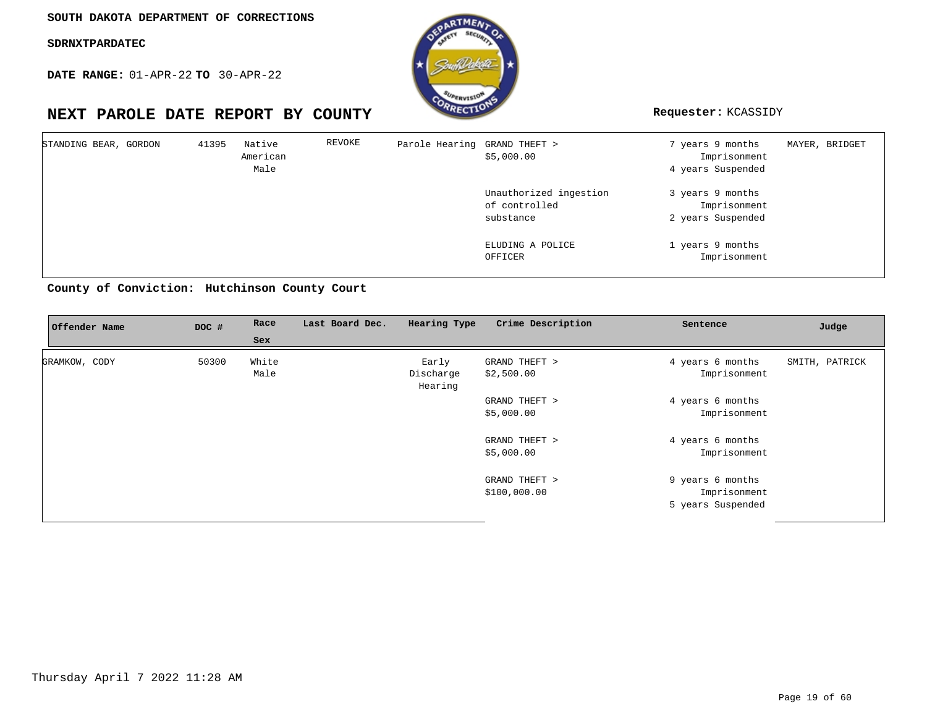**DATE RANGE:** 01-APR-22 **TO** 30-APR-22



| STANDING BEAR, GORDON |  | 41395 | Native<br>American<br>Male | REVOKE | Parole Hearing GRAND THEFT > | \$5,000.00                                           | 7 years 9 months<br>Imprisonment<br>4 years Suspended | MAYER, BRIDGET |
|-----------------------|--|-------|----------------------------|--------|------------------------------|------------------------------------------------------|-------------------------------------------------------|----------------|
|                       |  |       |                            |        |                              | Unauthorized ingestion<br>of controlled<br>substance | 3 years 9 months<br>Imprisonment<br>2 years Suspended |                |
|                       |  |       |                            |        |                              | ELUDING A POLICE<br>OFFICER                          | 1 years 9 months<br>Imprisonment                      |                |

**Hutchinson County Court County of Conviction:**

| Offender Name        | DOC # | Race<br>Sex   | Last Board Dec. | Hearing Type                  | Crime Description             | Sentence                                              | Judge          |
|----------------------|-------|---------------|-----------------|-------------------------------|-------------------------------|-------------------------------------------------------|----------------|
| <b>GRAMKOW, CODY</b> | 50300 | White<br>Male |                 | Early<br>Discharge<br>Hearing | GRAND THEFT ><br>\$2,500.00   | 4 years 6 months<br>Imprisonment                      | SMITH, PATRICK |
|                      |       |               |                 |                               | GRAND THEFT ><br>\$5,000.00   | 4 years 6 months<br>Imprisonment                      |                |
|                      |       |               |                 |                               | GRAND THEFT ><br>\$5,000.00   | 4 years 6 months<br>Imprisonment                      |                |
|                      |       |               |                 |                               | GRAND THEFT ><br>\$100,000.00 | 9 years 6 months<br>Imprisonment<br>5 years Suspended |                |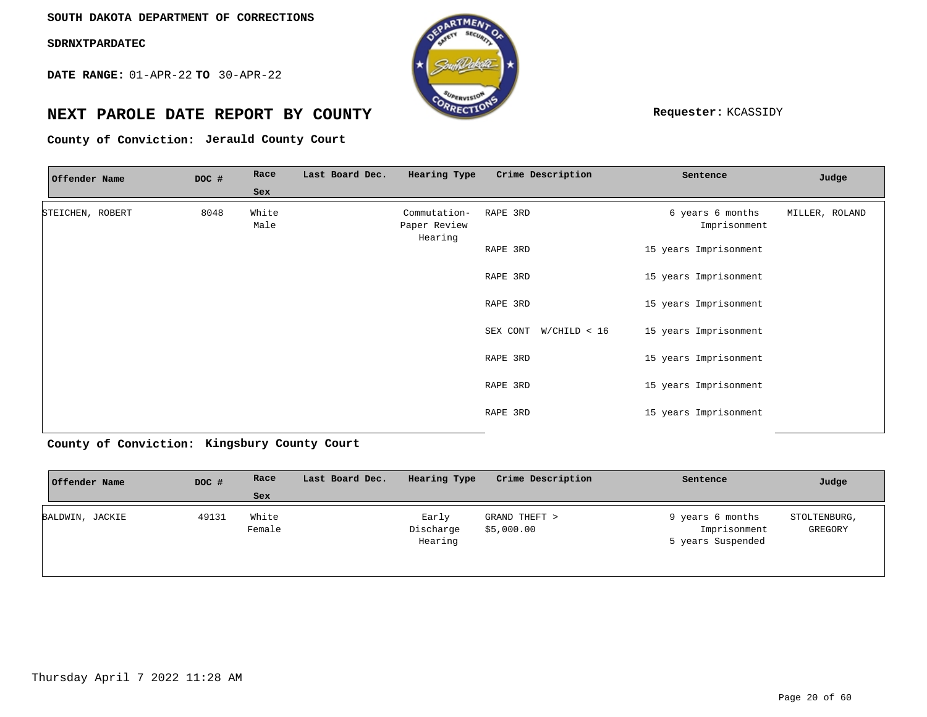**DATE RANGE:** 01-APR-22 **TO** 30-APR-22



# **NEXT PAROLE DATE REPORT BY COUNTY Requester:** KCASSIDY

County of Conviction: Jerauld County Court

| Offender Name    | DOC # | Race          | Last Board Dec. | Hearing Type                            | Crime Description     | Sentence                         | Judge          |
|------------------|-------|---------------|-----------------|-----------------------------------------|-----------------------|----------------------------------|----------------|
|                  |       | Sex           |                 |                                         |                       |                                  |                |
| STEICHEN, ROBERT | 8048  | White<br>Male |                 | Commutation-<br>Paper Review<br>Hearing | RAPE 3RD              | 6 years 6 months<br>Imprisonment | MILLER, ROLAND |
|                  |       |               |                 |                                         | RAPE 3RD              | 15 years Imprisonment            |                |
|                  |       |               |                 |                                         | RAPE 3RD              | 15 years Imprisonment            |                |
|                  |       |               |                 |                                         | RAPE 3RD              | 15 years Imprisonment            |                |
|                  |       |               |                 |                                         | SEX CONT W/CHILD < 16 | 15 years Imprisonment            |                |
|                  |       |               |                 |                                         | RAPE 3RD              | 15 years Imprisonment            |                |
|                  |       |               |                 |                                         | RAPE 3RD              | 15 years Imprisonment            |                |
|                  |       |               |                 |                                         | RAPE 3RD              | 15 years Imprisonment            |                |
|                  |       |               |                 |                                         |                       |                                  |                |

**Kingsbury County Court County of Conviction:**

| Offender Name   | DOC # | Race            | Last Board Dec. | Hearing Type                  | Crime Description           | Sentence                                              | Judge                   |
|-----------------|-------|-----------------|-----------------|-------------------------------|-----------------------------|-------------------------------------------------------|-------------------------|
|                 |       | Sex             |                 |                               |                             |                                                       |                         |
| BALDWIN, JACKIE | 49131 | White<br>Female |                 | Early<br>Discharge<br>Hearing | GRAND THEFT ><br>\$5,000.00 | 9 years 6 months<br>Imprisonment<br>5 years Suspended | STOLTENBURG,<br>GREGORY |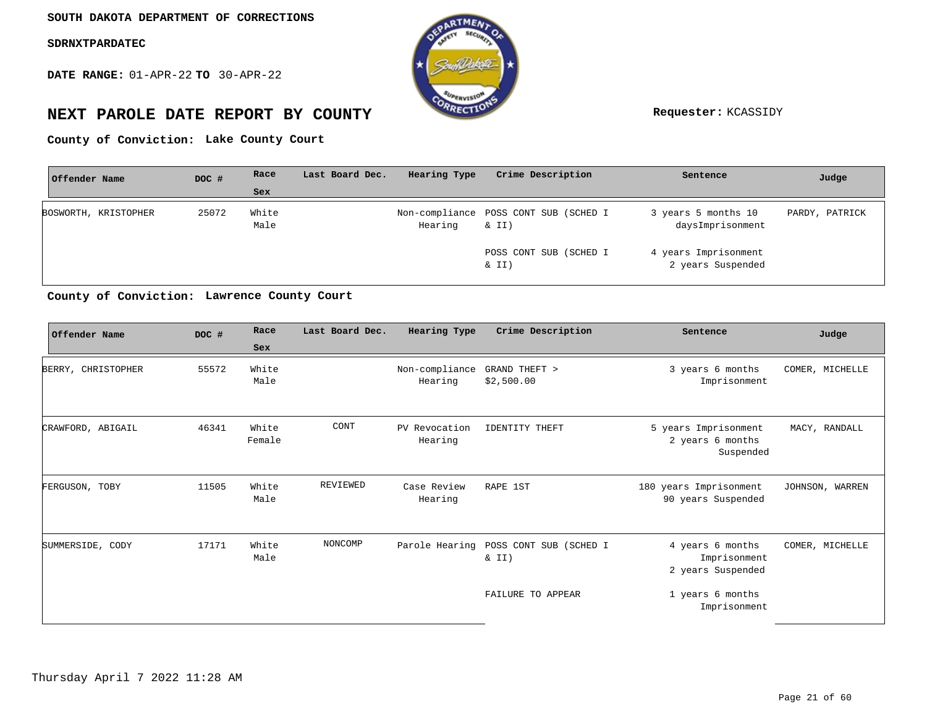**DATE RANGE:** 01-APR-22 **TO** 30-APR-22



# **NEXT PAROLE DATE REPORT BY COUNTY Requester:** KCASSIDY

**Lake County Court County of Conviction:**

| Offender Name        | DOC # | Race          | Last Board Dec. | Hearing Type | Crime Description                              | Sentence                                  | Judge          |
|----------------------|-------|---------------|-----------------|--------------|------------------------------------------------|-------------------------------------------|----------------|
|                      |       | Sex           |                 |              |                                                |                                           |                |
| BOSWORTH, KRISTOPHER | 25072 | White<br>Male |                 | Hearing      | Non-compliance POSS CONT SUB (SCHED I<br>& II) | 3 years 5 months 10<br>daysImprisonment   | PARDY, PATRICK |
|                      |       |               |                 |              | POSS CONT SUB (SCHED I<br>& II)                | 4 years Imprisonment<br>2 years Suspended |                |

**Lawrence County Court County of Conviction:**

| Offender Name      | DOC # | Race            | Last Board Dec. | Hearing Type              | Crime Description               | Sentence                                              | Judge           |
|--------------------|-------|-----------------|-----------------|---------------------------|---------------------------------|-------------------------------------------------------|-----------------|
|                    |       | Sex             |                 |                           |                                 |                                                       |                 |
| BERRY, CHRISTOPHER | 55572 | White<br>Male   |                 | Non-compliance<br>Hearing | GRAND THEFT ><br>\$2,500.00     | 3 years 6 months<br>Imprisonment                      | COMER, MICHELLE |
| CRAWFORD, ABIGAIL  | 46341 | White<br>Female | CONT            | PV Revocation<br>Hearing  | <b>IDENTITY THEFT</b>           | 5 years Imprisonment<br>2 years 6 months<br>Suspended | MACY, RANDALL   |
| FERGUSON, TOBY     | 11505 | White<br>Male   | REVIEWED        | Case Review<br>Hearing    | RAPE 1ST                        | 180 years Imprisonment<br>90 years Suspended          | JOHNSON, WARREN |
| SUMMERSIDE, CODY   | 17171 | White<br>Male   | NONCOMP         | Parole Hearing            | POSS CONT SUB (SCHED I<br>& II) | 4 years 6 months<br>Imprisonment<br>2 years Suspended | COMER, MICHELLE |
|                    |       |                 |                 |                           | FAILURE TO APPEAR               | 1 years 6 months<br>Imprisonment                      |                 |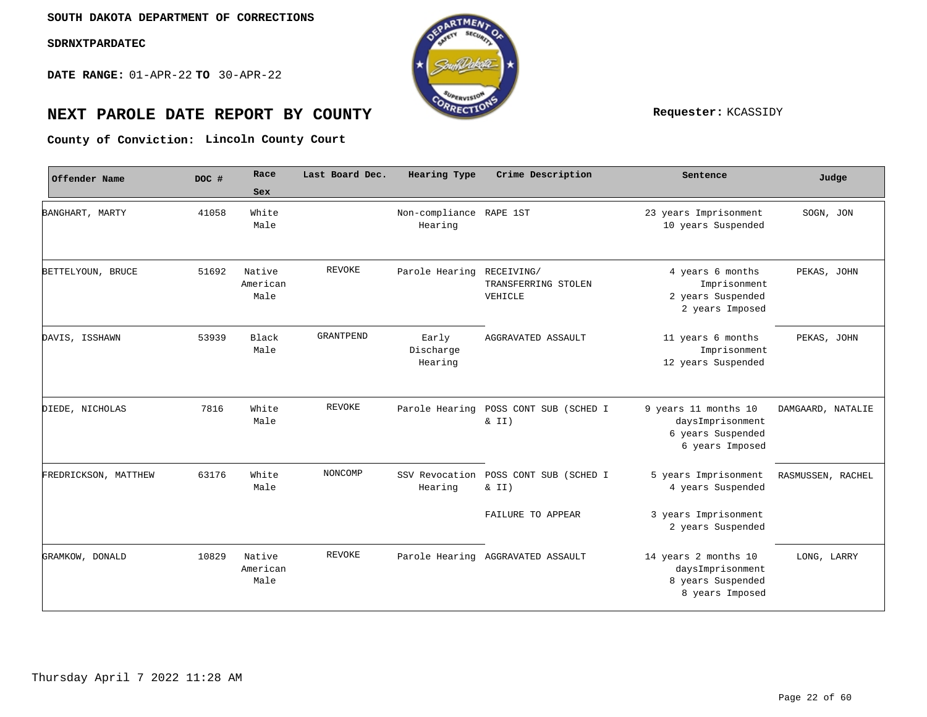**DATE RANGE:** 01-APR-22 **TO** 30-APR-22



# **NEXT PAROLE DATE REPORT BY COUNTY REPORT BY ALL PROPERTY REQUESTER:** KCASSIDY

**Lincoln County Court County of Conviction:**

| Offender Name        | DOC # | Race                       | Last Board Dec. | Hearing Type                       | Crime Description                            | Sentence                                                                         | Judge             |  |
|----------------------|-------|----------------------------|-----------------|------------------------------------|----------------------------------------------|----------------------------------------------------------------------------------|-------------------|--|
|                      |       | <b>Sex</b>                 |                 |                                    |                                              |                                                                                  |                   |  |
| BANGHART, MARTY      | 41058 | White<br>Male              |                 | Non-compliance RAPE 1ST<br>Hearing |                                              | 23 years Imprisonment<br>10 years Suspended                                      | SOGN, JON         |  |
| BETTELYOUN, BRUCE    | 51692 | Native<br>American<br>Male | <b>REVOKE</b>   | Parole Hearing                     | RECEIVING/<br>TRANSFERRING STOLEN<br>VEHICLE | 4 years 6 months<br>Imprisonment<br>2 years Suspended<br>2 years Imposed         | PEKAS, JOHN       |  |
| DAVIS, ISSHAWN       | 53939 | Black<br>Male              | GRANTPEND       | Early<br>Discharge<br>Hearing      | AGGRAVATED ASSAULT                           | 11 years 6 months<br>Imprisonment<br>12 years Suspended                          | PEKAS, JOHN       |  |
| DIEDE, NICHOLAS      | 7816  | White<br>Male              | <b>REVOKE</b>   | Parole Hearing                     | POSS CONT SUB (SCHED I<br>& II)              | 9 years 11 months 10<br>daysImprisonment<br>6 years Suspended<br>6 years Imposed | DAMGAARD, NATALIE |  |
| FREDRICKSON, MATTHEW | 63176 | White<br>Male              | NONCOMP         | SSV Revocation<br>Hearing          | POSS CONT SUB (SCHED I<br>& II)              | 5 years Imprisonment<br>4 years Suspended                                        | RASMUSSEN, RACHEL |  |
|                      |       |                            |                 |                                    | FAILURE TO APPEAR                            | 3 years Imprisonment<br>2 years Suspended                                        |                   |  |
| GRAMKOW, DONALD      | 10829 | Native<br>American<br>Male | <b>REVOKE</b>   |                                    | Parole Hearing AGGRAVATED ASSAULT            | 14 years 2 months 10<br>daysImprisonment<br>8 years Suspended<br>8 years Imposed | LONG, LARRY       |  |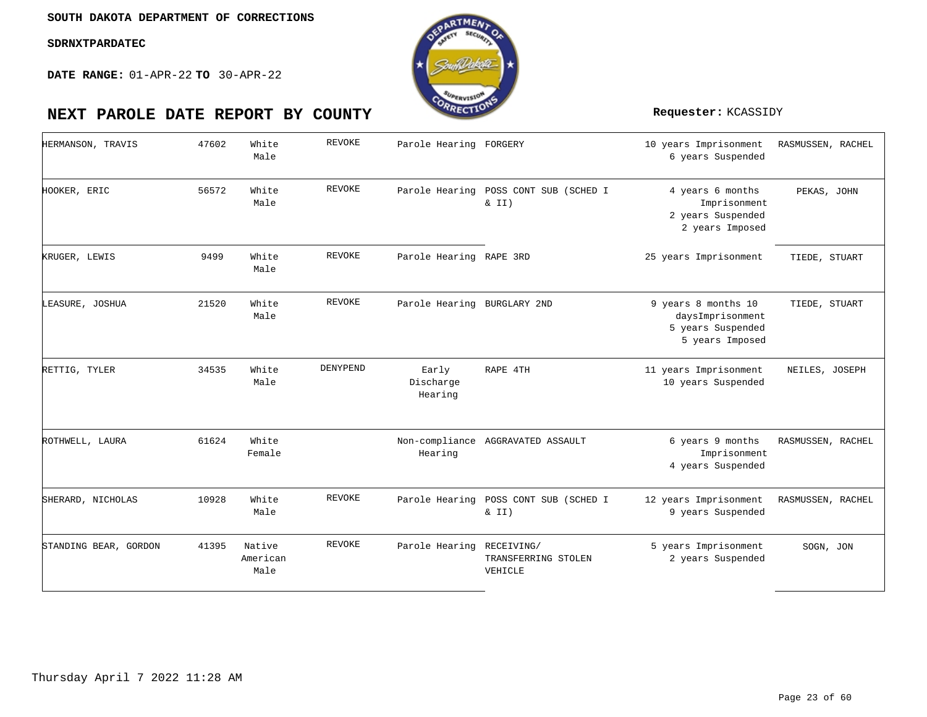

| HERMANSON, TRAVIS     | 47602 | White<br>Male              | <b>REVOKE</b> | Parole Hearing FORGERY        |                                   | 10 years Imprisonment<br>6 years Suspended                                      | RASMUSSEN, RACHEL |
|-----------------------|-------|----------------------------|---------------|-------------------------------|-----------------------------------|---------------------------------------------------------------------------------|-------------------|
| HOOKER, ERIC          | 56572 | White<br>Male              | <b>REVOKE</b> | Parole Hearing                | POSS CONT SUB (SCHED I<br>& II)   | 4 years 6 months<br>Imprisonment<br>2 years Suspended<br>2 years Imposed        | PEKAS, JOHN       |
| KRUGER, LEWIS         | 9499  | White<br>Male              | <b>REVOKE</b> | Parole Hearing RAPE 3RD       |                                   | 25 years Imprisonment                                                           | TIEDE, STUART     |
| LEASURE, JOSHUA       | 21520 | White<br>Male              | <b>REVOKE</b> | Parole Hearing BURGLARY 2ND   |                                   | 9 years 8 months 10<br>daysImprisonment<br>5 years Suspended<br>5 years Imposed | TIEDE, STUART     |
| RETTIG, TYLER         | 34535 | White<br>Male              | DENYPEND      | Early<br>Discharge<br>Hearing | RAPE 4TH                          | 11 years Imprisonment<br>10 years Suspended                                     | NEILES, JOSEPH    |
| ROTHWELL, LAURA       | 61624 | White<br>Female            |               | Hearing                       | Non-compliance AGGRAVATED ASSAULT | 6 years 9 months<br>Imprisonment<br>4 years Suspended                           | RASMUSSEN, RACHEL |
| SHERARD, NICHOLAS     | 10928 | White<br>Male              | <b>REVOKE</b> | Parole Hearing                | POSS CONT SUB (SCHED I<br>& II)   | 12 years Imprisonment<br>9 years Suspended                                      | RASMUSSEN, RACHEL |
| STANDING BEAR, GORDON | 41395 | Native<br>American<br>Male | <b>REVOKE</b> | Parole Hearing RECEIVING/     | TRANSFERRING STOLEN<br>VEHICLE    | 5 years Imprisonment<br>2 years Suspended                                       | SOGN, JON         |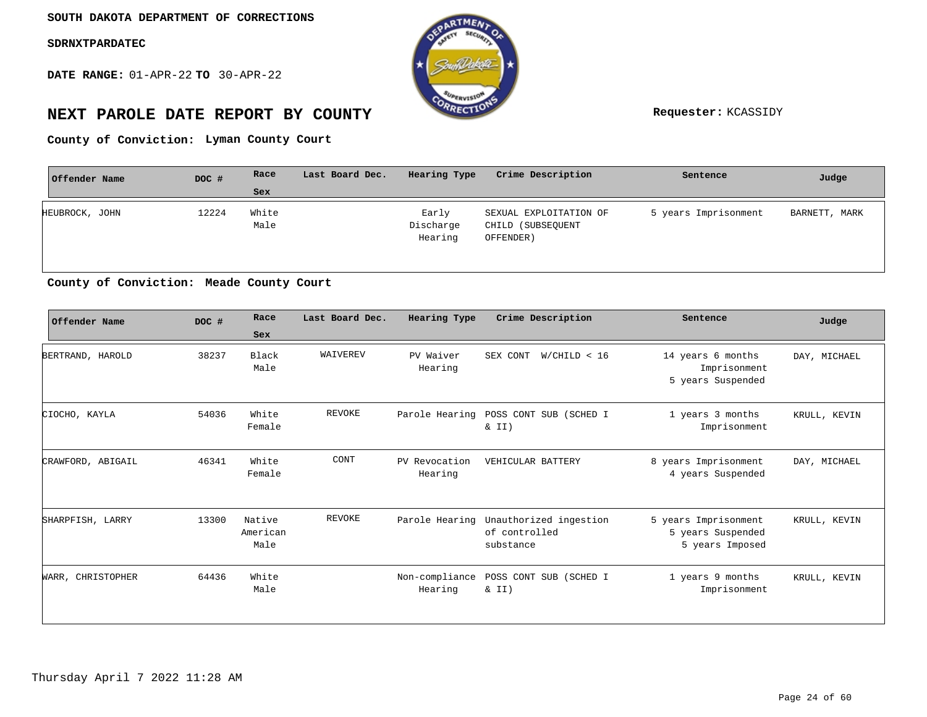**DATE RANGE:** 01-APR-22 **TO** 30-APR-22



# **NEXT PAROLE DATE REPORT BY COUNTY Requester:** KCASSIDY

**Lyman County Court County of Conviction:**

| Offender Name  | DOC # | Race          | Last Board Dec. | Hearing Type                  | Crime Description                                        | Sentence             | Judge         |
|----------------|-------|---------------|-----------------|-------------------------------|----------------------------------------------------------|----------------------|---------------|
|                |       | <b>Sex</b>    |                 |                               |                                                          |                      |               |
| HEUBROCK, JOHN | 12224 | White<br>Male |                 | Early<br>Discharge<br>Hearing | SEXUAL EXPLOITATION OF<br>CHILD (SUBSEQUENT<br>OFFENDER) | 5 years Imprisonment | BARNETT, MARK |

**Meade County Court County of Conviction:**

| Offender Name     | DOC # | Race                       | Last Board Dec. | Hearing Type              | Crime Description                                    | Sentence                                                     | Judge        |
|-------------------|-------|----------------------------|-----------------|---------------------------|------------------------------------------------------|--------------------------------------------------------------|--------------|
|                   |       | Sex                        |                 |                           |                                                      |                                                              |              |
| BERTRAND, HAROLD  | 38237 | Black<br>Male              | WAIVEREV        | PV Waiver<br>Hearing      | SEX CONT<br>W/CHILD < 16                             | 14 years 6 months<br>Imprisonment<br>5 years Suspended       | DAY, MICHAEL |
| CIOCHO, KAYLA     | 54036 | White<br>Female            | <b>REVOKE</b>   | Parole Hearing            | POSS CONT SUB (SCHED I<br>& II)                      | 1 years 3 months<br>Imprisonment                             | KRULL, KEVIN |
| CRAWFORD, ABIGAIL | 46341 | White<br>Female            | CONT            | PV Revocation<br>Hearing  | VEHICULAR BATTERY                                    | 8 years Imprisonment<br>4 years Suspended                    | DAY, MICHAEL |
| SHARPFISH, LARRY  | 13300 | Native<br>American<br>Male | REVOKE          | Parole Hearing            | Unauthorized ingestion<br>of controlled<br>substance | 5 years Imprisonment<br>5 years Suspended<br>5 years Imposed | KRULL, KEVIN |
| WARR, CHRISTOPHER | 64436 | White<br>Male              |                 | Non-compliance<br>Hearing | POSS CONT SUB (SCHED I<br>& II)                      | 1 years 9 months<br>Imprisonment                             | KRULL, KEVIN |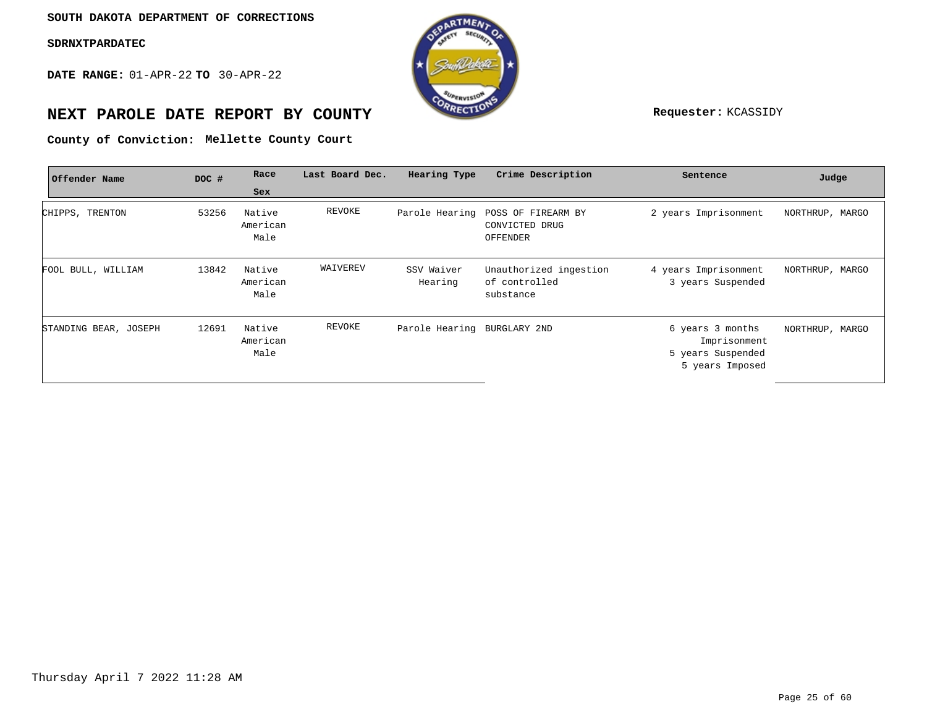**DATE RANGE:** 01-APR-22 **TO** 30-APR-22



# **NEXT PAROLE DATE REPORT BY COUNTY Requester:** KCASSIDY

**Mellette County Court County of Conviction:**

| Offender Name         | DOC # | Race                       | Last Board Dec. | Hearing Type                | Crime Description                                    | Sentence                                                                 | Judge           |
|-----------------------|-------|----------------------------|-----------------|-----------------------------|------------------------------------------------------|--------------------------------------------------------------------------|-----------------|
|                       |       | Sex                        |                 |                             |                                                      |                                                                          |                 |
| CHIPPS, TRENTON       | 53256 | Native<br>American<br>Male | REVOKE          | Parole Hearing              | POSS OF FIREARM BY<br>CONVICTED DRUG<br>OFFENDER     | 2 years Imprisonment                                                     | NORTHRUP, MARGO |
| FOOL BULL, WILLIAM    | 13842 | Native<br>American<br>Male | WAIVEREV        | SSV Waiver<br>Hearing       | Unauthorized ingestion<br>of controlled<br>substance | 4 years Imprisonment<br>3 years Suspended                                | NORTHRUP, MARGO |
| STANDING BEAR, JOSEPH | 12691 | Native<br>American<br>Male | REVOKE          | Parole Hearing BURGLARY 2ND |                                                      | 6 years 3 months<br>Imprisonment<br>5 years Suspended<br>5 years Imposed | NORTHRUP, MARGO |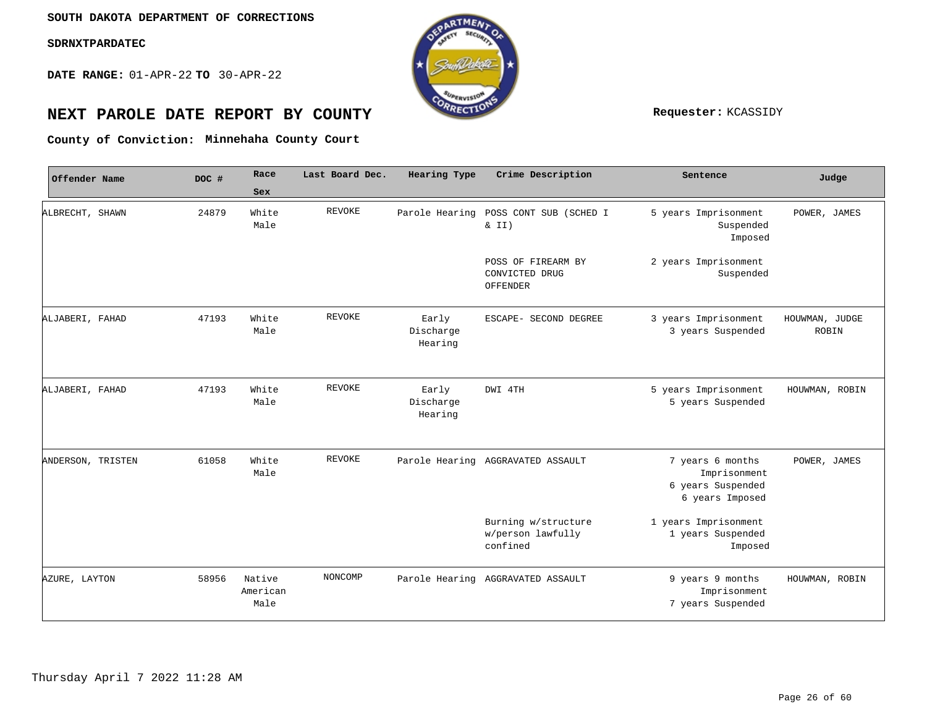**DATE RANGE:** 01-APR-22 **TO** 30-APR-22



# **NEXT PAROLE DATE REPORT BY COUNTY REPORT BY ALL PROPERTY Requester:** KCASSIDY

**Minnehaha County Court County of Conviction:**

| Offender Name     | DOC # | Race                       | Last Board Dec. | Hearing Type                  | Crime Description                                    | Sentence                                                                 | Judge                          |
|-------------------|-------|----------------------------|-----------------|-------------------------------|------------------------------------------------------|--------------------------------------------------------------------------|--------------------------------|
|                   |       | Sex                        |                 |                               |                                                      |                                                                          |                                |
| ALBRECHT, SHAWN   | 24879 | White<br>Male              | REVOKE          | Parole Hearing                | POSS CONT SUB (SCHED I<br>& II)                      | 5 years Imprisonment<br>Suspended<br>Imposed                             | POWER, JAMES                   |
|                   |       |                            |                 |                               | POSS OF FIREARM BY<br>CONVICTED DRUG<br>OFFENDER     | 2 years Imprisonment<br>Suspended                                        |                                |
| ALJABERI, FAHAD   | 47193 | White<br>Male              | <b>REVOKE</b>   | Early<br>Discharge<br>Hearing | ESCAPE- SECOND DEGREE                                | 3 years Imprisonment<br>3 years Suspended                                | HOUWMAN, JUDGE<br><b>ROBIN</b> |
| ALJABERI, FAHAD   | 47193 | White<br>Male              | REVOKE          | Early<br>Discharge<br>Hearing | DWI 4TH                                              | 5 years Imprisonment<br>5 years Suspended                                | HOUWMAN, ROBIN                 |
| ANDERSON, TRISTEN | 61058 | White<br>Male              | REVOKE          |                               | Parole Hearing AGGRAVATED ASSAULT                    | 7 years 6 months<br>Imprisonment<br>6 years Suspended<br>6 years Imposed | POWER, JAMES                   |
|                   |       |                            |                 |                               | Burning w/structure<br>w/person lawfully<br>confined | 1 years Imprisonment<br>1 years Suspended<br>Imposed                     |                                |
| AZURE, LAYTON     | 58956 | Native<br>American<br>Male | NONCOMP         |                               | Parole Hearing AGGRAVATED ASSAULT                    | 9 years 9 months<br>Imprisonment<br>7 years Suspended                    | HOUWMAN, ROBIN                 |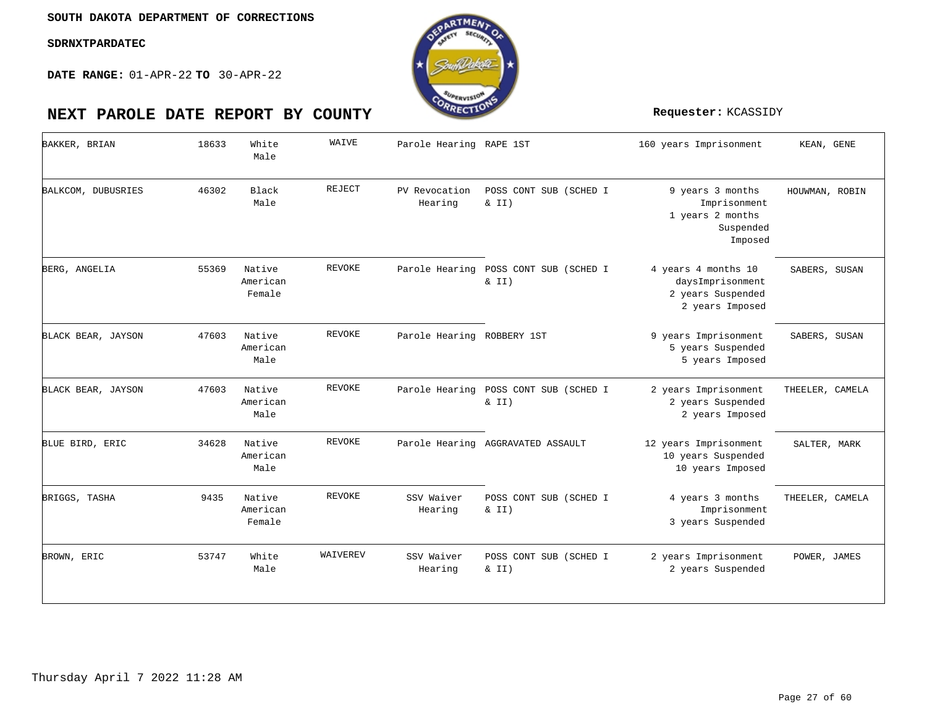

| BAKKER, BRIAN      | 18633 | White<br>Male                | WAIVE         | Parole Hearing RAPE 1ST    |                                                | 160 years Imprisonment                                                          | KEAN, GENE      |
|--------------------|-------|------------------------------|---------------|----------------------------|------------------------------------------------|---------------------------------------------------------------------------------|-----------------|
| BALKCOM, DUBUSRIES | 46302 | Black<br>Male                | REJECT        | PV Revocation<br>Hearing   | POSS CONT SUB (SCHED I<br>$\&$ II)             | 9 years 3 months<br>Imprisonment<br>1 years 2 months<br>Suspended<br>Imposed    | HOUWMAN, ROBIN  |
| BERG, ANGELIA      | 55369 | Native<br>American<br>Female | <b>REVOKE</b> | Parole Hearing             | POSS CONT SUB (SCHED I<br>& II)                | 4 years 4 months 10<br>daysImprisonment<br>2 years Suspended<br>2 years Imposed | SABERS, SUSAN   |
| BLACK BEAR, JAYSON | 47603 | Native<br>American<br>Male   | <b>REVOKE</b> | Parole Hearing ROBBERY 1ST |                                                | 9 years Imprisonment<br>5 years Suspended<br>5 years Imposed                    | SABERS, SUSAN   |
| BLACK BEAR, JAYSON | 47603 | Native<br>American<br>Male   | REVOKE        |                            | Parole Hearing POSS CONT SUB (SCHED I<br>& II) | 2 years Imprisonment<br>2 years Suspended<br>2 years Imposed                    | THEELER, CAMELA |
| BLUE BIRD, ERIC    | 34628 | Native<br>American<br>Male   | <b>REVOKE</b> |                            | Parole Hearing AGGRAVATED ASSAULT              | 12 years Imprisonment<br>10 years Suspended<br>10 years Imposed                 | SALTER, MARK    |
| BRIGGS, TASHA      | 9435  | Native<br>American<br>Female | REVOKE        | SSV Waiver<br>Hearing      | POSS CONT SUB (SCHED I<br>$\&$ II)             | 4 years 3 months<br>Imprisonment<br>3 years Suspended                           | THEELER, CAMELA |
| BROWN, ERIC        | 53747 | White<br>Male                | WAIVEREV      | SSV Waiver<br>Hearing      | POSS CONT SUB (SCHED I<br>$\&$ II)             | 2 years Imprisonment<br>2 years Suspended                                       | POWER, JAMES    |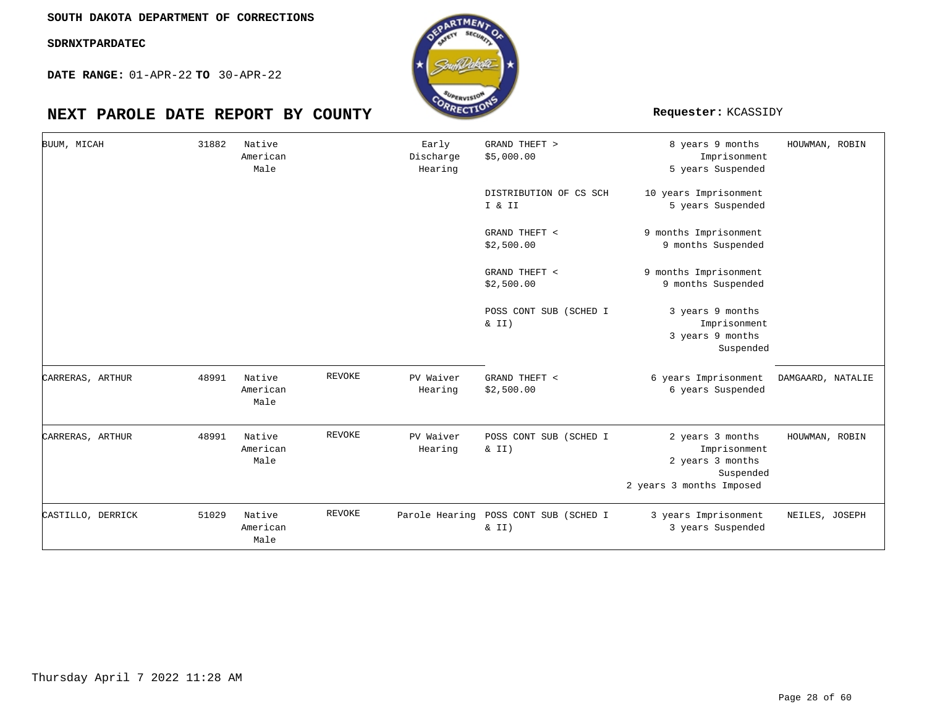**DATE RANGE:** 01-APR-22 **TO** 30-APR-22

# **NEXT PAROLE DATE REPORT BY COUNTY Requester:** KCASSIDY



| BUUM, MICAH       | 31882 | Native<br>American<br>Male |               | Early<br>Discharge<br>Hearing | GRAND THEFT ><br>\$5,000.00                    | 8 years 9 months<br>Imprisonment<br>5 years Suspended                                         | HOUWMAN, ROBIN    |
|-------------------|-------|----------------------------|---------------|-------------------------------|------------------------------------------------|-----------------------------------------------------------------------------------------------|-------------------|
|                   |       |                            |               |                               | DISTRIBUTION OF CS SCH<br>I & II               | 10 years Imprisonment<br>5 years Suspended                                                    |                   |
|                   |       |                            |               |                               | GRAND THEFT <<br>\$2,500.00                    | 9 months Imprisonment<br>9 months Suspended                                                   |                   |
|                   |       |                            |               |                               | GRAND THEFT <<br>\$2,500.00                    | 9 months Imprisonment<br>9 months Suspended                                                   |                   |
|                   |       |                            |               |                               | POSS CONT SUB (SCHED I<br>$\&$ II)             | 3 years 9 months<br>Imprisonment<br>3 years 9 months<br>Suspended                             |                   |
| CARRERAS, ARTHUR  | 48991 | Native<br>American<br>Male | <b>REVOKE</b> | PV Waiver<br>Hearing          | GRAND THEFT <<br>\$2,500.00                    | 6 years Imprisonment<br>6 years Suspended                                                     | DAMGAARD, NATALIE |
| CARRERAS, ARTHUR  | 48991 | Native<br>American<br>Male | <b>REVOKE</b> | PV Waiver<br>Hearing          | POSS CONT SUB (SCHED I<br>$\&$ II)             | 2 years 3 months<br>Imprisonment<br>2 years 3 months<br>Suspended<br>2 years 3 months Imposed | HOUWMAN, ROBIN    |
| CASTILLO, DERRICK | 51029 | Native<br>American<br>Male | <b>REVOKE</b> |                               | Parole Hearing POSS CONT SUB (SCHED I<br>& II) | 3 years Imprisonment<br>3 years Suspended                                                     | NEILES, JOSEPH    |

oTME.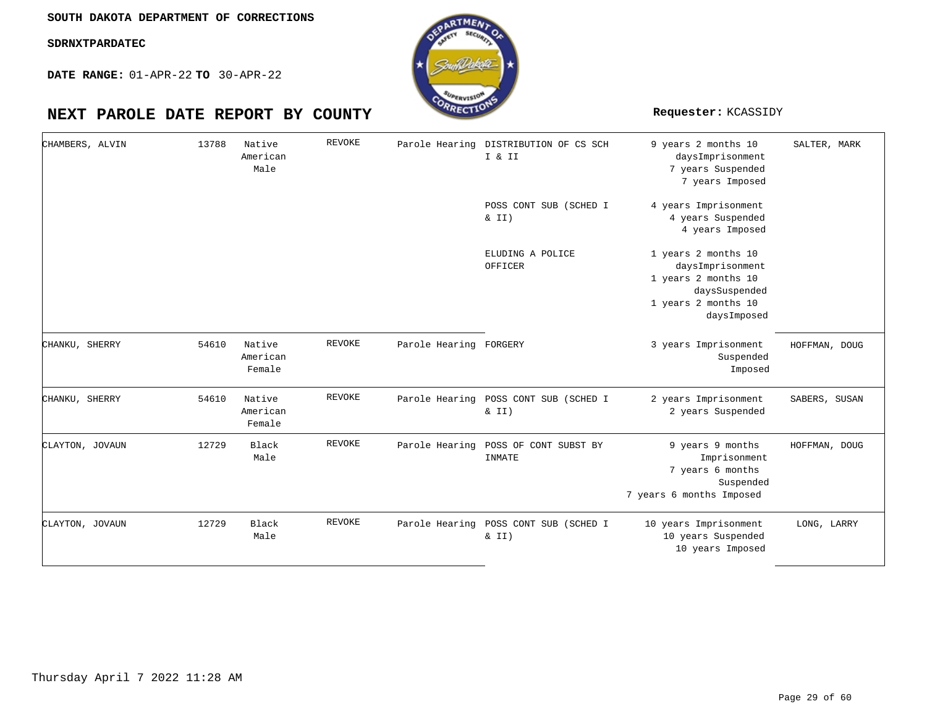**DATE RANGE:** 01-APR-22 **TO** 30-APR-22

| CHAMBERS, ALVIN | 13788 | Native<br>American<br>Male   | <b>REVOKE</b> |                        | Parole Hearing DISTRIBUTION OF CS SCH<br>I & II   | 9 years 2 months 10<br>daysImprisonment<br>7 years Suspended<br>7 years Imposed                                       | SALTER, MARK  |
|-----------------|-------|------------------------------|---------------|------------------------|---------------------------------------------------|-----------------------------------------------------------------------------------------------------------------------|---------------|
|                 |       |                              |               |                        | POSS CONT SUB (SCHED I<br>$\&$ II)                | 4 years Imprisonment<br>4 years Suspended<br>4 years Imposed                                                          |               |
|                 |       |                              |               |                        | ELUDING A POLICE<br>OFFICER                       | 1 years 2 months 10<br>daysImprisonment<br>1 years 2 months 10<br>daysSuspended<br>1 years 2 months 10<br>daysImposed |               |
| CHANKU, SHERRY  | 54610 | Native<br>American<br>Female | REVOKE        | Parole Hearing FORGERY |                                                   | 3 years Imprisonment<br>Suspended<br>Imposed                                                                          | HOFFMAN, DOUG |
| CHANKU, SHERRY  | 54610 | Native<br>American<br>Female | REVOKE        | Parole Hearing         | POSS CONT SUB (SCHED I<br>& II)                   | 2 years Imprisonment<br>2 years Suspended                                                                             | SABERS, SUSAN |
| CLAYTON, JOVAUN | 12729 | Black<br>Male                | <b>REVOKE</b> | Parole Hearing         | POSS OF CONT SUBST BY<br>INMATE                   | 9 years 9 months<br>Imprisonment<br>7 years 6 months<br>Suspended<br>7 years 6 months Imposed                         | HOFFMAN, DOUG |
| CLAYTON, JOVAUN | 12729 | Black<br>Male                | <b>REVOKE</b> |                        | Parole Hearing POSS CONT SUB (SCHED I<br>$\&$ II) | 10 years Imprisonment<br>10 years Suspended<br>10 years Imposed                                                       | LONG, LARRY   |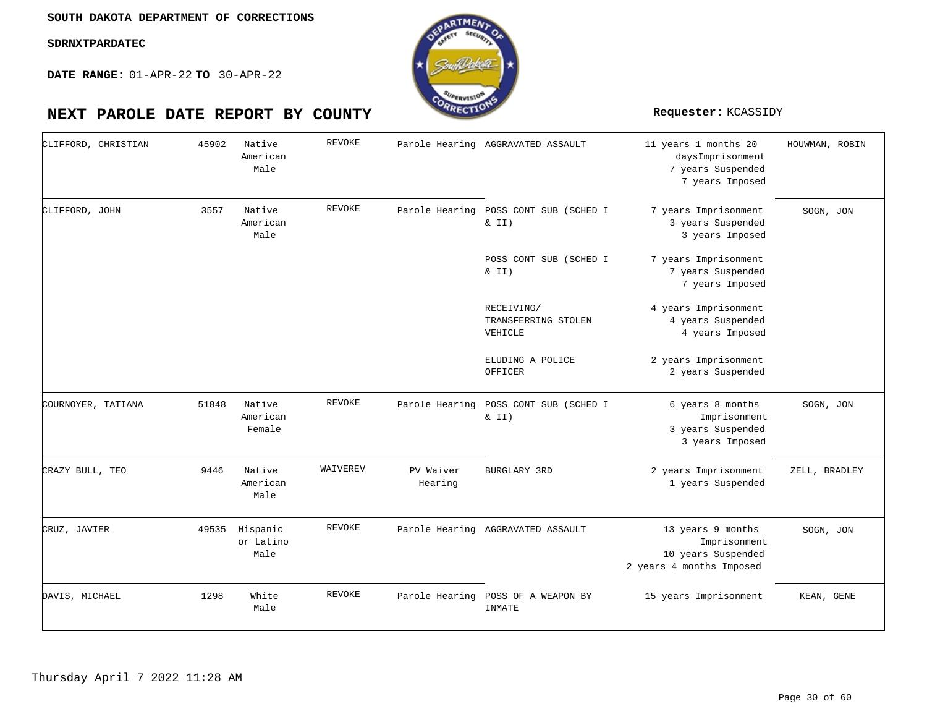**DATE RANGE:** 01-APR-22 **TO** 30-APR-22

| CLIFFORD, CHRISTIAN | 45902 | Native<br>American<br>Male    | REVOKE        |                      | Parole Hearing AGGRAVATED ASSAULT              | 11 years 1 months 20<br>daysImprisonment<br>7 years Suspended<br>7 years Imposed    | HOUWMAN, ROBIN |
|---------------------|-------|-------------------------------|---------------|----------------------|------------------------------------------------|-------------------------------------------------------------------------------------|----------------|
| CLIFFORD, JOHN      | 3557  | Native<br>American<br>Male    | REVOKE        |                      | Parole Hearing POSS CONT SUB (SCHED I<br>& II) | 7 years Imprisonment<br>3 years Suspended<br>3 years Imposed                        | SOGN, JON      |
|                     |       |                               |               |                      | POSS CONT SUB (SCHED I<br>$\&$ II)             | 7 years Imprisonment<br>7 years Suspended<br>7 years Imposed                        |                |
|                     |       |                               |               |                      | RECEIVING/<br>TRANSFERRING STOLEN<br>VEHICLE   | 4 years Imprisonment<br>4 years Suspended<br>4 years Imposed                        |                |
|                     |       |                               |               |                      | ELUDING A POLICE<br>OFFICER                    | 2 years Imprisonment<br>2 years Suspended                                           |                |
| COURNOYER, TATIANA  | 51848 | Native<br>American<br>Female  | <b>REVOKE</b> | Parole Hearing       | POSS CONT SUB (SCHED I<br>& II)                | 6 years 8 months<br>Imprisonment<br>3 years Suspended<br>3 years Imposed            | SOGN, JON      |
| CRAZY BULL, TEO     | 9446  | Native<br>American<br>Male    | WAIVEREV      | PV Waiver<br>Hearing | <b>BURGLARY 3RD</b>                            | 2 years Imprisonment<br>1 years Suspended                                           | ZELL, BRADLEY  |
| CRUZ, JAVIER        | 49535 | Hispanic<br>or Latino<br>Male | REVOKE        |                      | Parole Hearing AGGRAVATED ASSAULT              | 13 years 9 months<br>Imprisonment<br>10 years Suspended<br>2 years 4 months Imposed | SOGN, JON      |
| DAVIS, MICHAEL      | 1298  | White<br>Male                 | REVOKE        |                      | Parole Hearing POSS OF A WEAPON BY<br>INMATE   | 15 years Imprisonment                                                               | KEAN, GENE     |

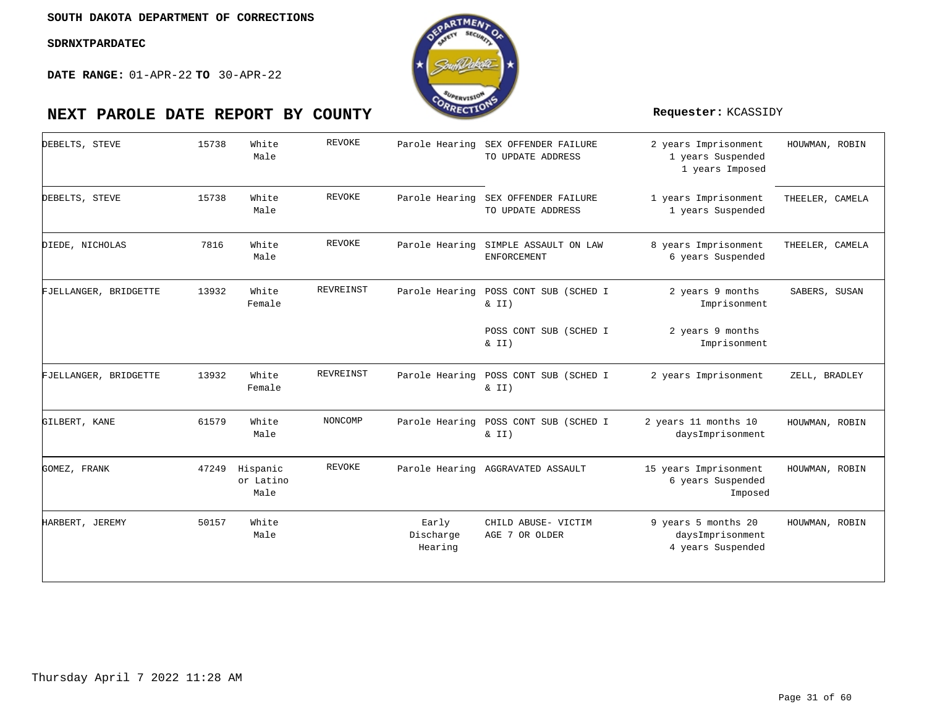

| DEBELTS, STEVE        | 15738 | White<br>Male                 | <b>REVOKE</b>    | Parole Hearing                | SEX OFFENDER FAILURE<br>TO UPDATE ADDRESS   | 2 years Imprisonment<br>1 years Suspended<br>1 years Imposed | HOUWMAN, ROBIN  |
|-----------------------|-------|-------------------------------|------------------|-------------------------------|---------------------------------------------|--------------------------------------------------------------|-----------------|
| DEBELTS, STEVE        | 15738 | White<br>Male                 | <b>REVOKE</b>    | Parole Hearing                | SEX OFFENDER FAILURE<br>TO UPDATE ADDRESS   | 1 years Imprisonment<br>1 years Suspended                    | THEELER, CAMELA |
| DIEDE, NICHOLAS       | 7816  | White<br>Male                 | REVOKE           | Parole Hearing                | SIMPLE ASSAULT ON LAW<br><b>ENFORCEMENT</b> | 8 years Imprisonment<br>6 years Suspended                    | THEELER, CAMELA |
| FJELLANGER, BRIDGETTE | 13932 | White<br>Female               | <b>REVREINST</b> | Parole Hearing                | POSS CONT SUB (SCHED I<br>$\&$ II)          | 2 years 9 months<br>Imprisonment                             | SABERS, SUSAN   |
|                       |       |                               |                  |                               | POSS CONT SUB (SCHED I<br>& II)             | 2 years 9 months<br>Imprisonment                             |                 |
| FJELLANGER, BRIDGETTE | 13932 | White<br>Female               | REVREINST        | Parole Hearing                | POSS CONT SUB (SCHED I<br>$\&$ II)          | 2 years Imprisonment                                         | ZELL, BRADLEY   |
| GILBERT, KANE         | 61579 | White<br>Male                 | NONCOMP          | Parole Hearing                | POSS CONT SUB (SCHED I<br>$\&$ II)          | 2 years 11 months 10<br>daysImprisonment                     | HOUWMAN, ROBIN  |
| GOMEZ, FRANK          | 47249 | Hispanic<br>or Latino<br>Male | <b>REVOKE</b>    |                               | Parole Hearing AGGRAVATED ASSAULT           | 15 years Imprisonment<br>6 years Suspended<br>Imposed        | HOUWMAN, ROBIN  |
| HARBERT, JEREMY       | 50157 | White<br>Male                 |                  | Early<br>Discharge<br>Hearing | CHILD ABUSE- VICTIM<br>AGE 7 OR OLDER       | 9 years 5 months 20<br>daysImprisonment<br>4 years Suspended | HOUWMAN, ROBIN  |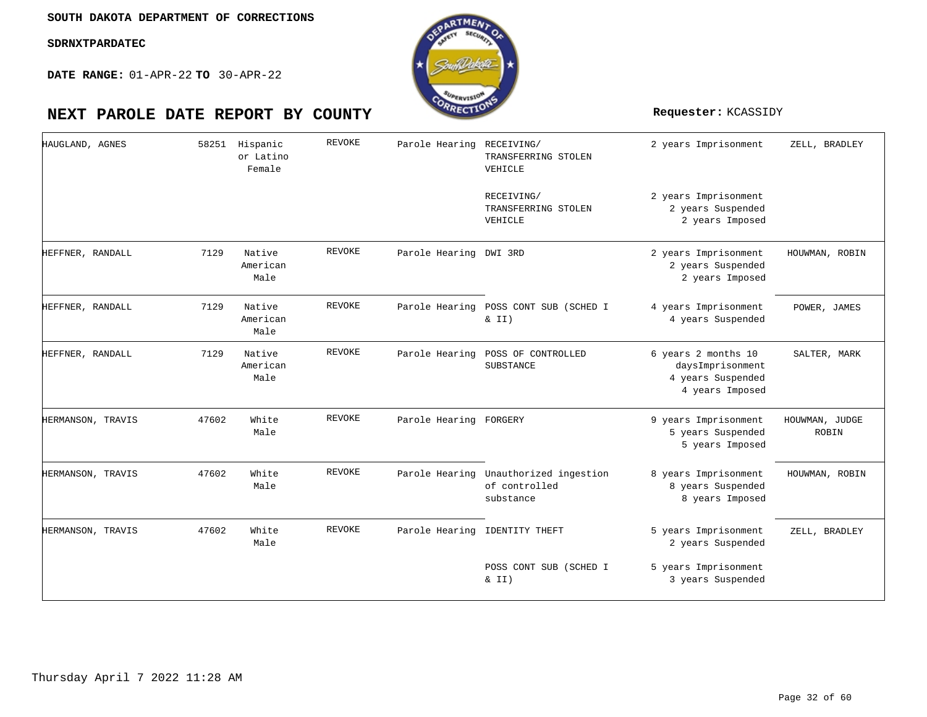

| HAUGLAND, AGNES   | 58251 | Hispanic<br>or Latino<br>Female | <b>REVOKE</b> | Parole Hearing RECEIVING/ | TRANSFERRING STOLEN<br>VEHICLE                                      | 2 years Imprisonment                                                            | ZELL, BRADLEY           |
|-------------------|-------|---------------------------------|---------------|---------------------------|---------------------------------------------------------------------|---------------------------------------------------------------------------------|-------------------------|
|                   |       |                                 |               |                           | RECEIVING/<br>TRANSFERRING STOLEN<br>VEHICLE                        | 2 years Imprisonment<br>2 years Suspended<br>2 years Imposed                    |                         |
| HEFFNER, RANDALL  | 7129  | Native<br>American<br>Male      | <b>REVOKE</b> | Parole Hearing DWI 3RD    |                                                                     | 2 years Imprisonment<br>2 years Suspended<br>2 years Imposed                    | HOUWMAN, ROBIN          |
| HEFFNER, RANDALL  | 7129  | Native<br>American<br>Male      | <b>REVOKE</b> | Parole Hearing            | POSS CONT SUB (SCHED I<br>& II)                                     | 4 years Imprisonment<br>4 years Suspended                                       | POWER, JAMES            |
| HEFFNER, RANDALL  | 7129  | Native<br>American<br>Male      | <b>REVOKE</b> | Parole Hearing            | POSS OF CONTROLLED<br>SUBSTANCE                                     | 6 years 2 months 10<br>daysImprisonment<br>4 years Suspended<br>4 years Imposed | SALTER, MARK            |
| HERMANSON, TRAVIS | 47602 | White<br>Male                   | <b>REVOKE</b> | Parole Hearing FORGERY    |                                                                     | 9 years Imprisonment<br>5 years Suspended<br>5 years Imposed                    | HOUWMAN, JUDGE<br>ROBIN |
| HERMANSON, TRAVIS | 47602 | White<br>Male                   | <b>REVOKE</b> |                           | Parole Hearing Unauthorized ingestion<br>of controlled<br>substance | 8 years Imprisonment<br>8 years Suspended<br>8 years Imposed                    | HOUWMAN, ROBIN          |
| HERMANSON, TRAVIS | 47602 | White<br>Male                   | <b>REVOKE</b> |                           | Parole Hearing IDENTITY THEFT                                       | 5 years Imprisonment<br>2 years Suspended                                       | ZELL, BRADLEY           |
|                   |       |                                 |               |                           | POSS CONT SUB (SCHED I<br>$\&$ II)                                  | 5 years Imprisonment<br>3 years Suspended                                       |                         |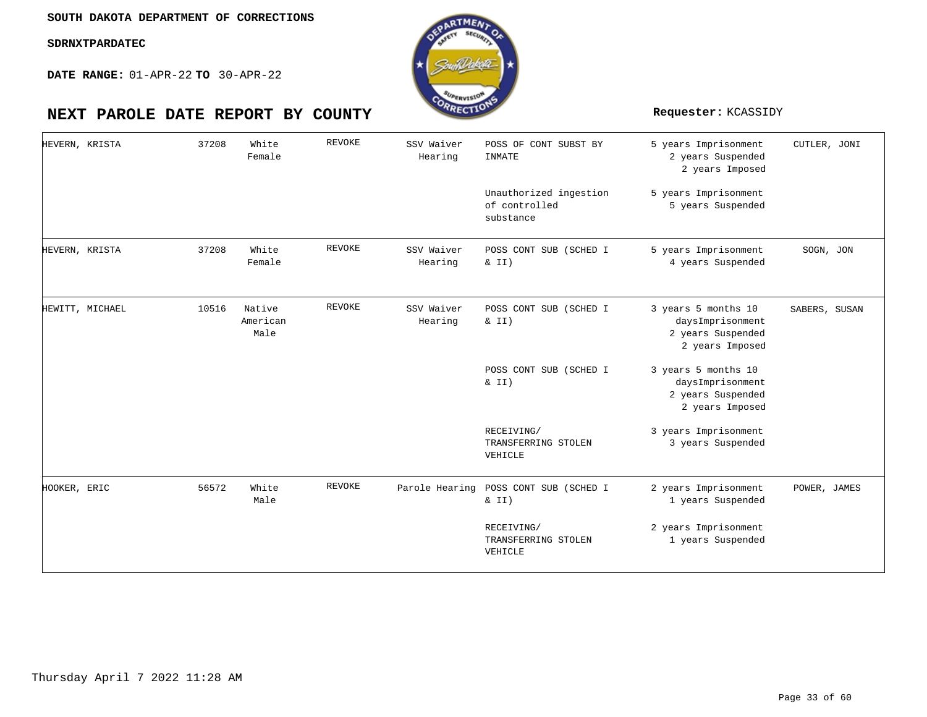

| HEVERN, KRISTA  | 37208 | White<br>Female            | REVOKE | SSV Waiver<br>Hearing | POSS OF CONT SUBST BY<br>INMATE                      | 5 years Imprisonment<br>2 years Suspended<br>2 years Imposed                    | CUTLER, JONI  |
|-----------------|-------|----------------------------|--------|-----------------------|------------------------------------------------------|---------------------------------------------------------------------------------|---------------|
|                 |       |                            |        |                       | Unauthorized ingestion<br>of controlled<br>substance | 5 years Imprisonment<br>5 years Suspended                                       |               |
| HEVERN, KRISTA  | 37208 | White<br>Female            | REVOKE | SSV Waiver<br>Hearing | POSS CONT SUB (SCHED I<br>& II)                      | 5 years Imprisonment<br>4 years Suspended                                       | SOGN, JON     |
| HEWITT, MICHAEL | 10516 | Native<br>American<br>Male | REVOKE | SSV Waiver<br>Hearing | POSS CONT SUB (SCHED I<br>$\&$ II)                   | 3 years 5 months 10<br>daysImprisonment<br>2 years Suspended<br>2 years Imposed | SABERS, SUSAN |
|                 |       |                            |        |                       | POSS CONT SUB (SCHED I<br>$\& II)$                   | 3 years 5 months 10<br>daysImprisonment<br>2 years Suspended<br>2 years Imposed |               |
|                 |       |                            |        |                       | RECEIVING/<br>TRANSFERRING STOLEN<br>VEHICLE         | 3 years Imprisonment<br>3 years Suspended                                       |               |
| HOOKER, ERIC    | 56572 | White<br>Male              | REVOKE | Parole Hearing        | POSS CONT SUB (SCHED I<br>$\&$ II)                   | 2 years Imprisonment<br>1 years Suspended                                       | POWER, JAMES  |
|                 |       |                            |        |                       | RECEIVING/<br>TRANSFERRING STOLEN<br>VEHICLE         | 2 years Imprisonment<br>1 years Suspended                                       |               |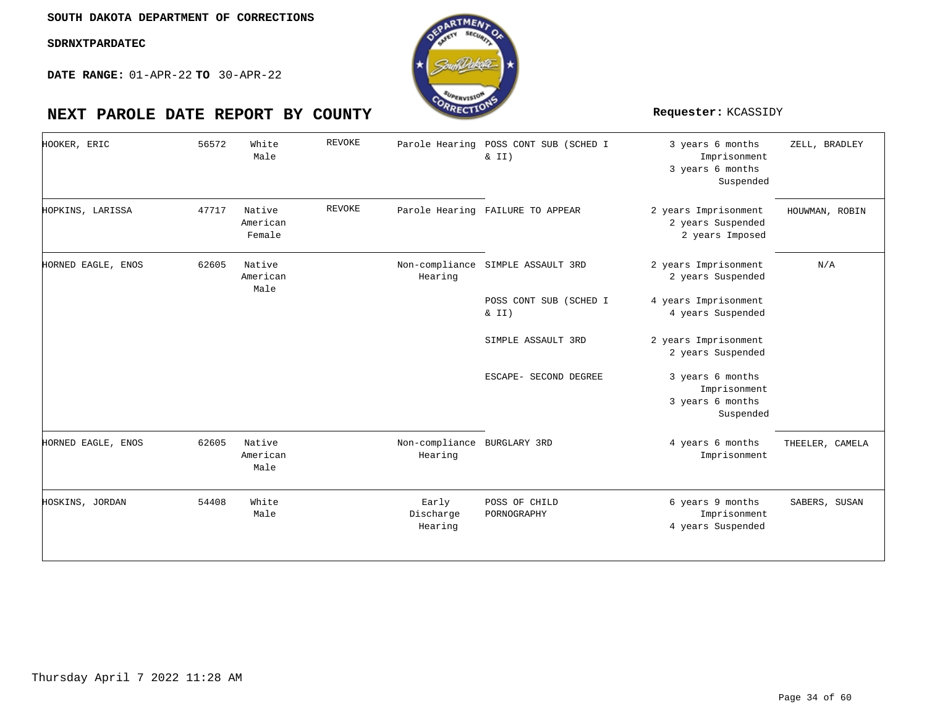

| HOOKER, ERIC       | 56572 | White<br>Male                | <b>REVOKE</b> |                                        | Parole Hearing POSS CONT SUB (SCHED I<br>$\&$ II) | 3 years 6 months<br>Imprisonment<br>3 years 6 months<br>Suspended | ZELL, BRADLEY   |
|--------------------|-------|------------------------------|---------------|----------------------------------------|---------------------------------------------------|-------------------------------------------------------------------|-----------------|
| HOPKINS, LARISSA   | 47717 | Native<br>American<br>Female | <b>REVOKE</b> |                                        | Parole Hearing FAILURE TO APPEAR                  | 2 years Imprisonment<br>2 years Suspended<br>2 years Imposed      | HOUWMAN, ROBIN  |
| HORNED EAGLE, ENOS | 62605 | Native<br>American<br>Male   |               | Hearing                                | Non-compliance SIMPLE ASSAULT 3RD                 | 2 years Imprisonment<br>2 years Suspended                         | N/A             |
|                    |       |                              |               |                                        | POSS CONT SUB (SCHED I                            | 4 years Imprisonment                                              |                 |
|                    |       |                              |               |                                        | $\&$ II)                                          | 4 years Suspended                                                 |                 |
|                    |       |                              |               |                                        | SIMPLE ASSAULT 3RD                                | 2 years Imprisonment<br>2 years Suspended                         |                 |
|                    |       |                              |               |                                        | ESCAPE- SECOND DEGREE                             | 3 years 6 months<br>Imprisonment<br>3 years 6 months<br>Suspended |                 |
| HORNED EAGLE, ENOS | 62605 | Native<br>American<br>Male   |               | Non-compliance BURGLARY 3RD<br>Hearing |                                                   | 4 years 6 months<br>Imprisonment                                  | THEELER, CAMELA |
| HOSKINS, JORDAN    | 54408 | White<br>Male                |               | Early<br>Discharge<br>Hearing          | POSS OF CHILD<br>PORNOGRAPHY                      | 6 years 9 months<br>Imprisonment<br>4 years Suspended             | SABERS, SUSAN   |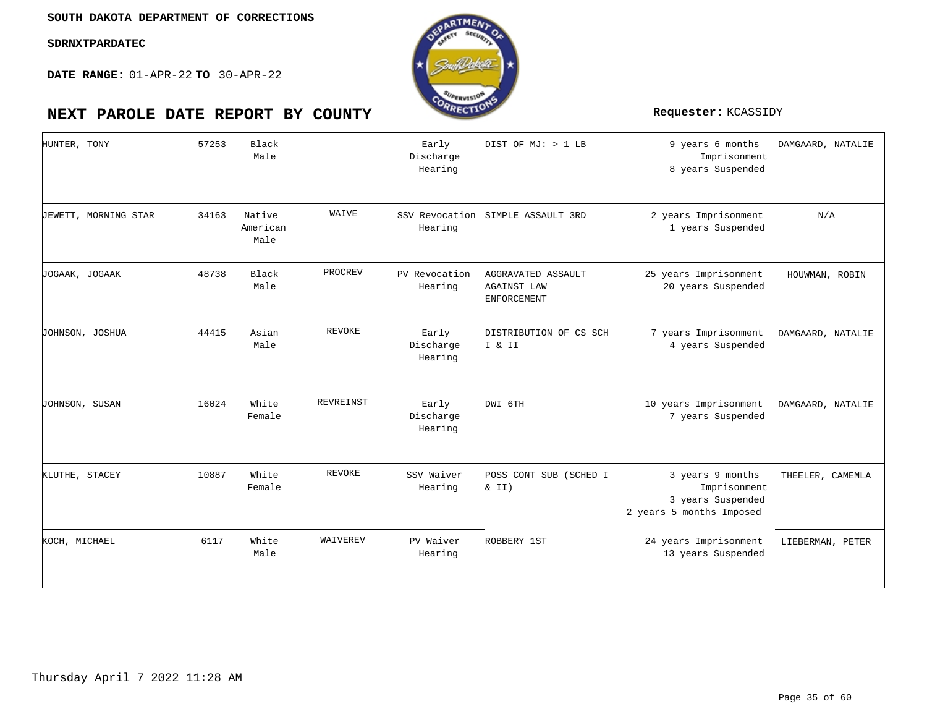**DATE RANGE:** 01-APR-22 **TO** 30-APR-22

| HUNTER, TONY         | 57253 | Black<br>Male              |                  | Early<br>Discharge<br>Hearing | DIST OF MJ: > 1 LB                                             | 9 years 6 months<br>Imprisonment<br>8 years Suspended                             | DAMGAARD, NATALIE |
|----------------------|-------|----------------------------|------------------|-------------------------------|----------------------------------------------------------------|-----------------------------------------------------------------------------------|-------------------|
| JEWETT, MORNING STAR | 34163 | Native<br>American<br>Male | WAIVE            | Hearing                       | SSV Revocation SIMPLE ASSAULT 3RD                              | 2 years Imprisonment<br>1 years Suspended                                         | N/A               |
| JOGAAK, JOGAAK       | 48738 | Black<br>Male              | PROCREV          | PV Revocation<br>Hearing      | AGGRAVATED ASSAULT<br><b>AGAINST LAW</b><br><b>ENFORCEMENT</b> | 25 years Imprisonment<br>20 years Suspended                                       | HOUWMAN, ROBIN    |
| JOHNSON, JOSHUA      | 44415 | Asian<br>Male              | <b>REVOKE</b>    | Early<br>Discharge<br>Hearing | DISTRIBUTION OF CS SCH<br>I & II                               | 7 years Imprisonment<br>4 years Suspended                                         | DAMGAARD, NATALIE |
| JOHNSON, SUSAN       | 16024 | White<br>Female            | <b>REVREINST</b> | Early<br>Discharge<br>Hearing | DWI 6TH                                                        | 10 years Imprisonment<br>7 years Suspended                                        | DAMGAARD, NATALIE |
| KLUTHE, STACEY       | 10887 | White<br>Female            | <b>REVOKE</b>    | SSV Waiver<br>Hearing         | POSS CONT SUB (SCHED I<br>& II)                                | 3 years 9 months<br>Imprisonment<br>3 years Suspended<br>2 years 5 months Imposed | THEELER, CAMEMLA  |
| KOCH, MICHAEL        | 6117  | White<br>Male              | WAIVEREV         | PV Waiver<br>Hearing          | ROBBERY 1ST                                                    | 24 years Imprisonment<br>13 years Suspended                                       | LIEBERMAN, PETER  |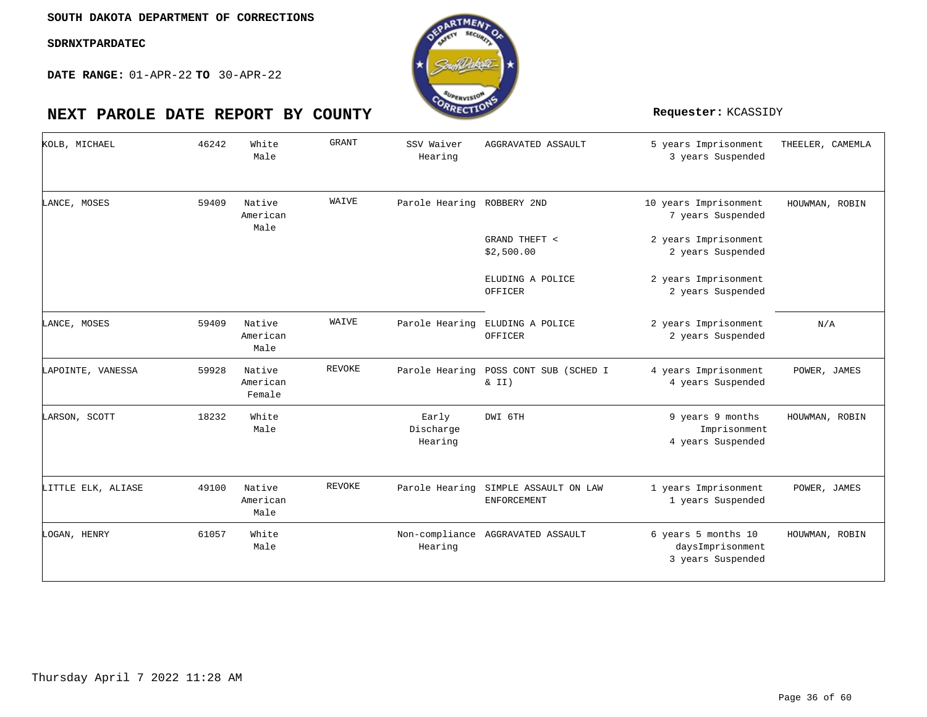**DATE RANGE:** 01-APR-22 **TO** 30-APR-22

| KOLB, MICHAEL      | 46242 | White<br>Male                | <b>GRANT</b> | SSV Waiver<br>Hearing         | AGGRAVATED ASSAULT                          | 5 years Imprisonment<br>3 years Suspended                    | THEELER, CAMEMLA |
|--------------------|-------|------------------------------|--------------|-------------------------------|---------------------------------------------|--------------------------------------------------------------|------------------|
| LANCE, MOSES       | 59409 | Native<br>American<br>Male   | WAIVE        | Parole Hearing                | ROBBERY 2ND                                 | 10 years Imprisonment<br>7 years Suspended                   | HOUWMAN, ROBIN   |
|                    |       |                              |              |                               | GRAND THEFT <<br>\$2,500.00                 | 2 years Imprisonment<br>2 years Suspended                    |                  |
|                    |       |                              |              |                               | ELUDING A POLICE<br>OFFICER                 | 2 years Imprisonment<br>2 years Suspended                    |                  |
| LANCE, MOSES       | 59409 | Native<br>American<br>Male   | WAIVE        | Parole Hearing                | ELUDING A POLICE<br>OFFICER                 | 2 years Imprisonment<br>2 years Suspended                    | N/A              |
| LAPOINTE, VANESSA  | 59928 | Native<br>American<br>Female | REVOKE       | Parole Hearing                | POSS CONT SUB (SCHED I<br>$\&$ II)          | 4 years Imprisonment<br>4 years Suspended                    | POWER, JAMES     |
| LARSON, SCOTT      | 18232 | White<br>Male                |              | Early<br>Discharge<br>Hearing | DWI 6TH                                     | 9 years 9 months<br>Imprisonment<br>4 years Suspended        | HOUWMAN, ROBIN   |
| LITTLE ELK, ALIASE | 49100 | Native<br>American<br>Male   | REVOKE       | Parole Hearing                | SIMPLE ASSAULT ON LAW<br><b>ENFORCEMENT</b> | 1 years Imprisonment<br>1 years Suspended                    | POWER, JAMES     |
| LOGAN, HENRY       | 61057 | White<br>Male                |              | Hearing                       | Non-compliance AGGRAVATED ASSAULT           | 6 years 5 months 10<br>daysImprisonment<br>3 years Suspended | HOUWMAN, ROBIN   |

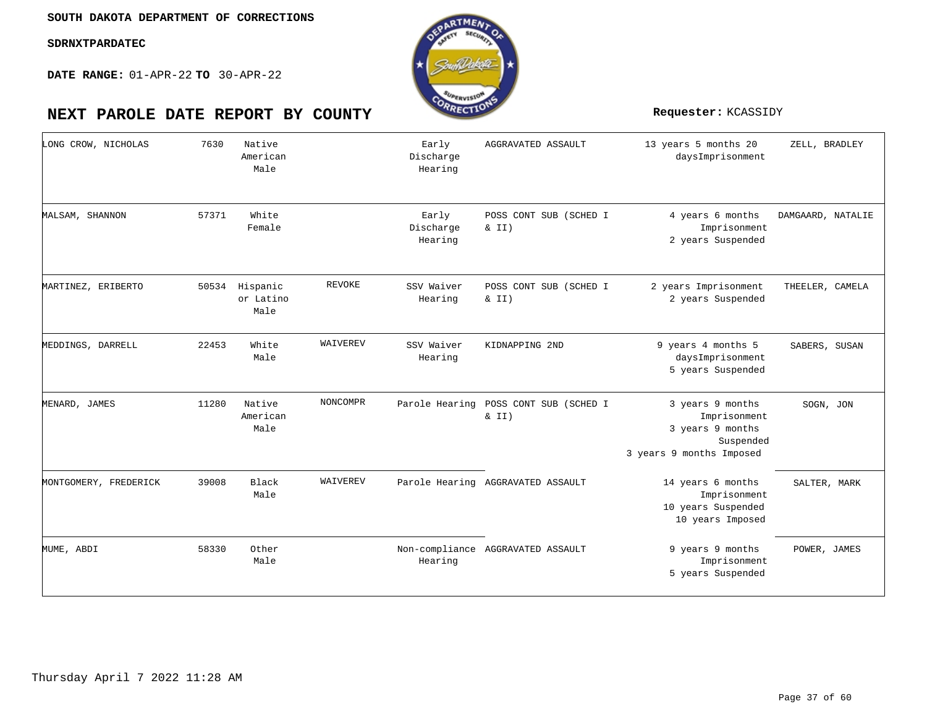

| LONG CROW, NICHOLAS   | 7630  | Native<br>American<br>Male    |                 | Early<br>Discharge<br>Hearing | AGGRAVATED ASSAULT                 | 13 years 5 months 20<br>daysImprisonment                                                      | ZELL, BRADLEY     |
|-----------------------|-------|-------------------------------|-----------------|-------------------------------|------------------------------------|-----------------------------------------------------------------------------------------------|-------------------|
| MALSAM, SHANNON       | 57371 | White<br>Female               |                 | Early<br>Discharge<br>Hearing | POSS CONT SUB (SCHED I<br>& II)    | 4 years 6 months<br>Imprisonment<br>2 years Suspended                                         | DAMGAARD, NATALIE |
| MARTINEZ, ERIBERTO    | 50534 | Hispanic<br>or Latino<br>Male | REVOKE          | SSV Waiver<br>Hearing         | POSS CONT SUB (SCHED I<br>& II)    | 2 years Imprisonment<br>2 years Suspended                                                     | THEELER, CAMELA   |
| MEDDINGS, DARRELL     | 22453 | White<br>Male                 | WAIVEREV        | SSV Waiver<br>Hearing         | KIDNAPPING 2ND                     | 9 years 4 months 5<br>daysImprisonment<br>5 years Suspended                                   | SABERS, SUSAN     |
| MENARD, JAMES         | 11280 | Native<br>American<br>Male    | <b>NONCOMPR</b> | Parole Hearing                | POSS CONT SUB (SCHED I<br>$\&$ II) | 3 years 9 months<br>Imprisonment<br>3 years 9 months<br>Suspended<br>3 years 9 months Imposed | SOGN, JON         |
| MONTGOMERY, FREDERICK | 39008 | <b>Black</b><br>Male          | WAIVEREV        |                               | Parole Hearing AGGRAVATED ASSAULT  | 14 years 6 months<br>Imprisonment<br>10 years Suspended<br>10 years Imposed                   | SALTER, MARK      |
| MUME, ABDI            | 58330 | Other<br>Male                 |                 | Hearing                       | Non-compliance AGGRAVATED ASSAULT  | 9 years 9 months<br>Imprisonment<br>5 years Suspended                                         | POWER, JAMES      |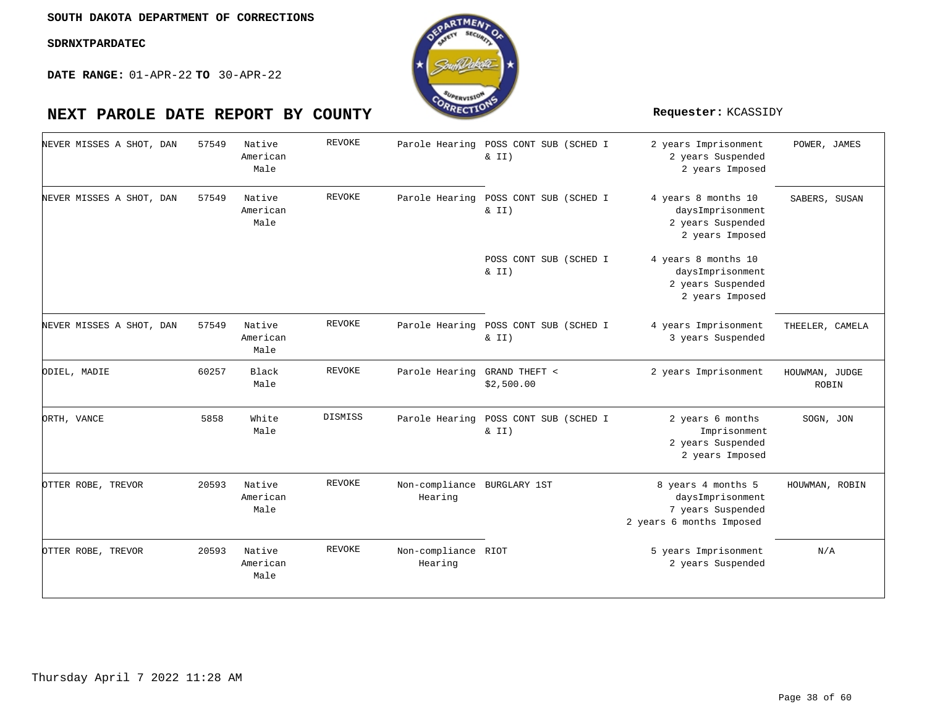**DATE RANGE:** 01-APR-22 **TO** 30-APR-22

| NEVER MISSES A SHOT, DAN |  | 57549 | Native<br>American<br>Male | <b>REVOKE</b> | Parole Hearing POSS CONT SUB (SCHED I  | $\& II)$                           | 2 years Imprisonment<br>2 years Suspended<br>2 years Imposed                            | POWER, JAMES            |
|--------------------------|--|-------|----------------------------|---------------|----------------------------------------|------------------------------------|-----------------------------------------------------------------------------------------|-------------------------|
| NEVER MISSES A SHOT, DAN |  | 57549 | Native<br>American<br>Male | REVOKE        | Parole Hearing                         | POSS CONT SUB (SCHED I<br>$\&$ II) | 4 years 8 months 10<br>daysImprisonment<br>2 years Suspended<br>2 years Imposed         | SABERS, SUSAN           |
|                          |  |       |                            |               |                                        | POSS CONT SUB (SCHED I<br>$\&$ II) | 4 years 8 months 10<br>daysImprisonment<br>2 years Suspended<br>2 years Imposed         |                         |
| NEVER MISSES A SHOT, DAN |  | 57549 | Native<br>American<br>Male | REVOKE        | Parole Hearing                         | POSS CONT SUB (SCHED I<br>& II)    | 4 years Imprisonment<br>3 years Suspended                                               | THEELER, CAMELA         |
| ODIEL, MADIE             |  | 60257 | Black<br>Male              | REVOKE        | Parole Hearing                         | GRAND THEFT <<br>\$2,500.00        | 2 years Imprisonment                                                                    | HOUWMAN, JUDGE<br>ROBIN |
| ORTH, VANCE              |  | 5858  | White<br>Male              | DISMISS       | Parole Hearing POSS CONT SUB (SCHED I  | $\&$ II)                           | 2 years 6 months<br>Imprisonment<br>2 years Suspended<br>2 years Imposed                | SOGN, JON               |
| OTTER ROBE, TREVOR       |  | 20593 | Native<br>American<br>Male | <b>REVOKE</b> | Non-compliance BURGLARY 1ST<br>Hearing |                                    | 8 years 4 months 5<br>daysImprisonment<br>7 years Suspended<br>2 years 6 months Imposed | HOUWMAN, ROBIN          |
| OTTER ROBE, TREVOR       |  | 20593 | Native<br>American<br>Male | <b>REVOKE</b> | Non-compliance RIOT<br>Hearing         |                                    | 5 years Imprisonment<br>2 years Suspended                                               | N/A                     |

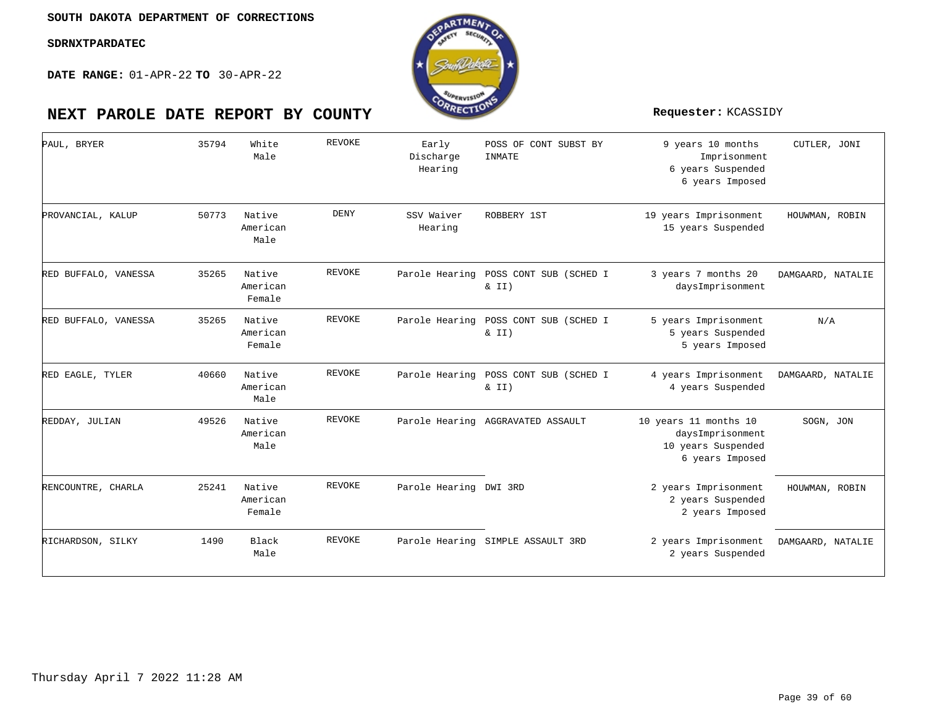

| PAUL, BRYER          | 35794 | White<br>Male                | <b>REVOKE</b> | Early<br>Discharge<br>Hearing | POSS OF CONT SUBST BY<br>INMATE                   | 9 years 10 months<br>Imprisonment<br>6 years Suspended<br>6 years Imposed          | CUTLER, JONI      |
|----------------------|-------|------------------------------|---------------|-------------------------------|---------------------------------------------------|------------------------------------------------------------------------------------|-------------------|
| PROVANCIAL, KALUP    | 50773 | Native<br>American<br>Male   | <b>DENY</b>   | SSV Waiver<br>Hearing         | ROBBERY 1ST                                       | 19 years Imprisonment<br>15 years Suspended                                        | HOUWMAN, ROBIN    |
| RED BUFFALO, VANESSA | 35265 | Native<br>American<br>Female | REVOKE        |                               | Parole Hearing POSS CONT SUB (SCHED I<br>$\&$ II) | 3 years 7 months 20<br>daysImprisonment                                            | DAMGAARD, NATALIE |
| RED BUFFALO, VANESSA | 35265 | Native<br>American<br>Female | REVOKE        |                               | Parole Hearing POSS CONT SUB (SCHED I<br>$\&$ II) | 5 years Imprisonment<br>5 years Suspended<br>5 years Imposed                       | N/A               |
| RED EAGLE, TYLER     | 40660 | Native<br>American<br>Male   | REVOKE        | Parole Hearing                | POSS CONT SUB (SCHED I<br>$\&$ II)                | 4 years Imprisonment<br>4 years Suspended                                          | DAMGAARD, NATALIE |
| REDDAY, JULIAN       | 49526 | Native<br>American<br>Male   | REVOKE        |                               | Parole Hearing AGGRAVATED ASSAULT                 | 10 years 11 months 10<br>daysImprisonment<br>10 years Suspended<br>6 years Imposed | SOGN, JON         |
| RENCOUNTRE, CHARLA   | 25241 | Native<br>American<br>Female | REVOKE        | Parole Hearing DWI 3RD        |                                                   | 2 years Imprisonment<br>2 years Suspended<br>2 years Imposed                       | HOUWMAN, ROBIN    |
| RICHARDSON, SILKY    | 1490  | Black<br>Male                | <b>REVOKE</b> |                               | Parole Hearing SIMPLE ASSAULT 3RD                 | 2 years Imprisonment<br>2 years Suspended                                          | DAMGAARD, NATALIE |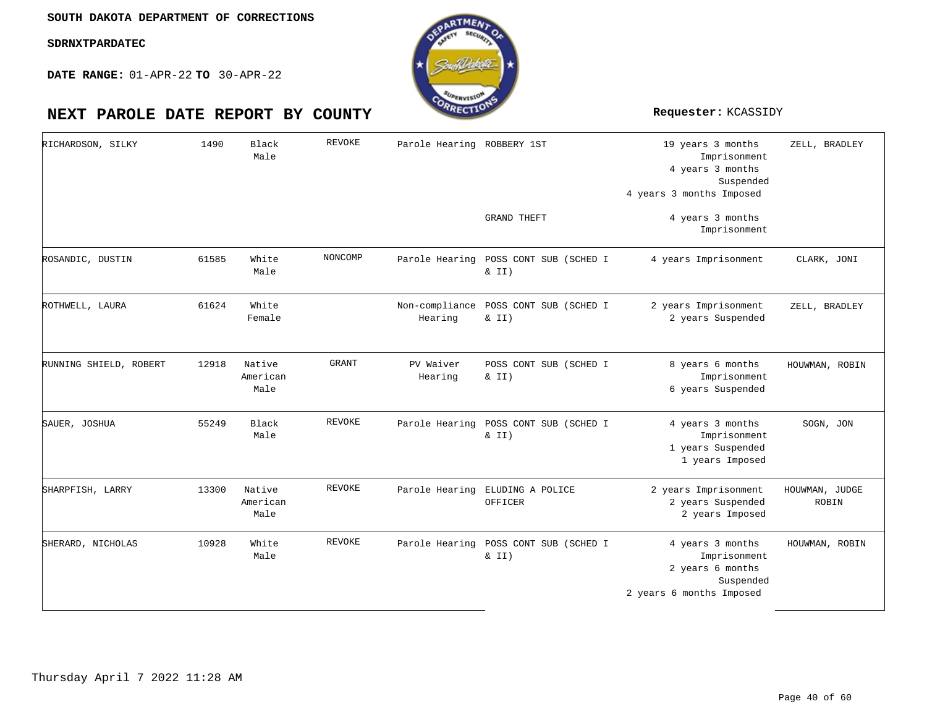![](_page_39_Picture_3.jpeg)

| RICHARDSON, SILKY      | 1490  | Black<br>Male              | <b>REVOKE</b> | Parole Hearing ROBBERY 1ST | <b>GRAND THEFT</b>                                | 19 years 3 months<br>Imprisonment<br>4 years 3 months<br>Suspended<br>4 years 3 months Imposed<br>4 years 3 months | ZELL, BRADLEY           |
|------------------------|-------|----------------------------|---------------|----------------------------|---------------------------------------------------|--------------------------------------------------------------------------------------------------------------------|-------------------------|
|                        |       |                            |               |                            |                                                   | Imprisonment                                                                                                       |                         |
| ROSANDIC, DUSTIN       | 61585 | White<br>Male              | NONCOMP       |                            | Parole Hearing POSS CONT SUB (SCHED I<br>$\&$ II) | 4 years Imprisonment                                                                                               | CLARK, JONI             |
| ROTHWELL, LAURA        | 61624 | White<br>Female            |               | Non-compliance<br>Hearing  | POSS CONT SUB (SCHED I<br>$\&$ II)                | 2 years Imprisonment<br>2 years Suspended                                                                          | ZELL, BRADLEY           |
| RUNNING SHIELD, ROBERT | 12918 | Native<br>American<br>Male | <b>GRANT</b>  | PV Waiver<br>Hearing       | POSS CONT SUB (SCHED I<br>& II)                   | 8 years 6 months<br>Imprisonment<br>6 years Suspended                                                              | HOUWMAN, ROBIN          |
| SAUER, JOSHUA          | 55249 | Black<br>Male              | <b>REVOKE</b> | Parole Hearing             | POSS CONT SUB (SCHED I<br>& II)                   | 4 years 3 months<br>Imprisonment<br>1 years Suspended<br>1 years Imposed                                           | SOGN, JON               |
| SHARPFISH, LARRY       | 13300 | Native<br>American<br>Male | <b>REVOKE</b> |                            | Parole Hearing ELUDING A POLICE<br>OFFICER        | 2 years Imprisonment<br>2 years Suspended<br>2 years Imposed                                                       | HOUWMAN, JUDGE<br>ROBIN |
| SHERARD, NICHOLAS      | 10928 | White<br>Male              | <b>REVOKE</b> |                            | Parole Hearing POSS CONT SUB (SCHED I<br>& II)    | 4 years 3 months<br>Imprisonment<br>2 years 6 months<br>Suspended<br>2 years 6 months Imposed                      | HOUWMAN, ROBIN          |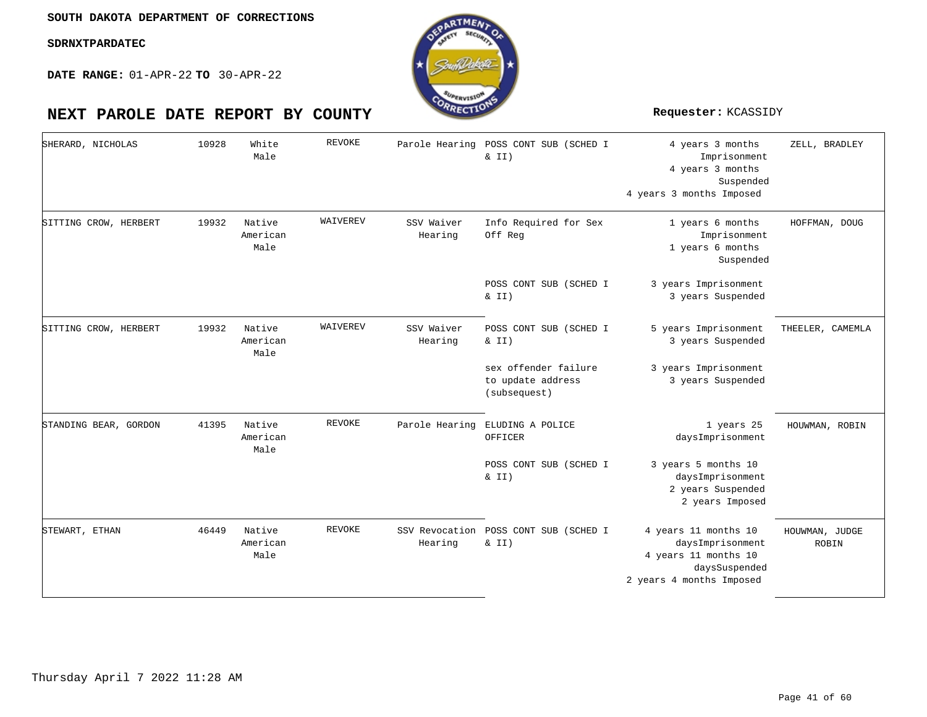![](_page_40_Picture_3.jpeg)

| SHERARD, NICHOLAS     | 10928 | White<br>Male              | <b>REVOKE</b> | Parole Hearing        | POSS CONT SUB (SCHED I<br>& II)                           | 4 years 3 months<br>Imprisonment<br>4 years 3 months<br>Suspended<br>4 years 3 months Imposed                 | ZELL, BRADLEY           |
|-----------------------|-------|----------------------------|---------------|-----------------------|-----------------------------------------------------------|---------------------------------------------------------------------------------------------------------------|-------------------------|
| SITTING CROW, HERBERT | 19932 | Native<br>American<br>Male | WAIVEREV      | SSV Waiver<br>Hearing | Info Required for Sex<br>Off Reg                          | 1 years 6 months<br>Imprisonment<br>1 years 6 months<br>Suspended                                             | HOFFMAN, DOUG           |
|                       |       |                            |               |                       | POSS CONT SUB (SCHED I<br>& II)                           | 3 years Imprisonment<br>3 years Suspended                                                                     |                         |
| SITTING CROW, HERBERT | 19932 | Native<br>American<br>Male | WAIVEREV      | SSV Waiver<br>Hearing | POSS CONT SUB (SCHED I<br>& II)                           | 5 years Imprisonment<br>3 years Suspended                                                                     | THEELER, CAMEMLA        |
|                       |       |                            |               |                       | sex offender failure<br>to update address<br>(subsequest) | 3 years Imprisonment<br>3 years Suspended                                                                     |                         |
| STANDING BEAR, GORDON | 41395 | Native<br>American<br>Male | REVOKE        | Parole Hearing        | ELUDING A POLICE<br>OFFICER                               | 1 years 25<br>daysImprisonment                                                                                | HOUWMAN, ROBIN          |
|                       |       |                            |               |                       | POSS CONT SUB (SCHED I<br>& II)                           | 3 years 5 months 10<br>daysImprisonment<br>2 years Suspended<br>2 years Imposed                               |                         |
| STEWART, ETHAN        | 46449 | Native<br>American<br>Male | <b>REVOKE</b> | Hearing               | SSV Revocation POSS CONT SUB (SCHED I<br>$\&$ II)         | 4 years 11 months 10<br>daysImprisonment<br>4 years 11 months 10<br>daysSuspended<br>2 years 4 months Imposed | HOUWMAN, JUDGE<br>ROBIN |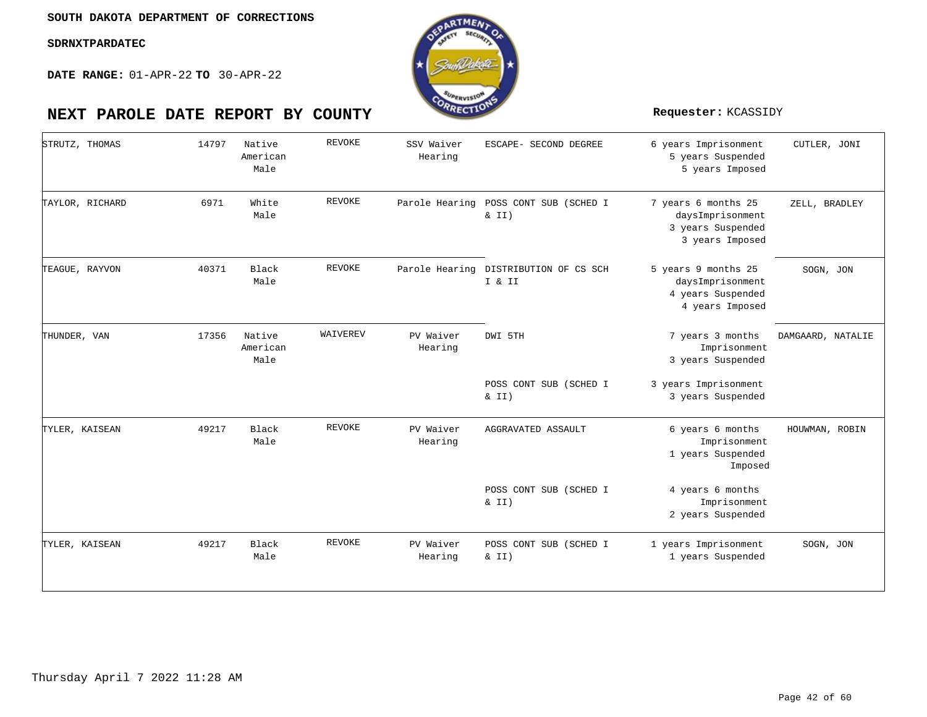**DATE RANGE:** 01-APR-22 **TO** 30-APR-22

| STRUTZ, THOMAS  | 14797 | Native<br>American<br>Male | <b>REVOKE</b> | SSV Waiver<br>Hearing | ESCAPE- SECOND DEGREE                           | 6 years Imprisonment<br>5 years Suspended<br>5 years Imposed                    | CUTLER, JONI      |
|-----------------|-------|----------------------------|---------------|-----------------------|-------------------------------------------------|---------------------------------------------------------------------------------|-------------------|
| TAYLOR, RICHARD | 6971  | White<br>Male              | <b>REVOKE</b> | Parole Hearing        | POSS CONT SUB (SCHED I<br>$\&$ II)              | 7 years 6 months 25<br>daysImprisonment<br>3 years Suspended<br>3 years Imposed | ZELL, BRADLEY     |
| TEAGUE, RAYVON  | 40371 | Black<br>Male              | REVOKE        |                       | Parole Hearing DISTRIBUTION OF CS SCH<br>I & II | 5 years 9 months 25<br>daysImprisonment<br>4 years Suspended<br>4 years Imposed | SOGN, JON         |
| THUNDER, VAN    | 17356 | Native<br>American<br>Male | WAIVEREV      | PV Waiver<br>Hearing  | DWI 5TH                                         | 7 years 3 months<br>Imprisonment<br>3 years Suspended                           | DAMGAARD, NATALIE |
|                 |       |                            |               |                       | POSS CONT SUB (SCHED I<br>$\&$ II)              | 3 years Imprisonment<br>3 years Suspended                                       |                   |
| TYLER, KAISEAN  | 49217 | Black<br>Male              | <b>REVOKE</b> | PV Waiver<br>Hearing  | AGGRAVATED ASSAULT                              | 6 years 6 months<br>Imprisonment<br>1 years Suspended<br>Imposed                | HOUWMAN, ROBIN    |
|                 |       |                            |               |                       | POSS CONT SUB (SCHED I<br>& II)                 | 4 years 6 months<br>Imprisonment<br>2 years Suspended                           |                   |
| TYLER, KAISEAN  | 49217 | Black<br>Male              | <b>REVOKE</b> | PV Waiver<br>Hearing  | POSS CONT SUB (SCHED I<br>$\&$ II)              | 1 years Imprisonment<br>1 years Suspended                                       | SOGN, JON         |
|                 |       |                            |               |                       |                                                 |                                                                                 |                   |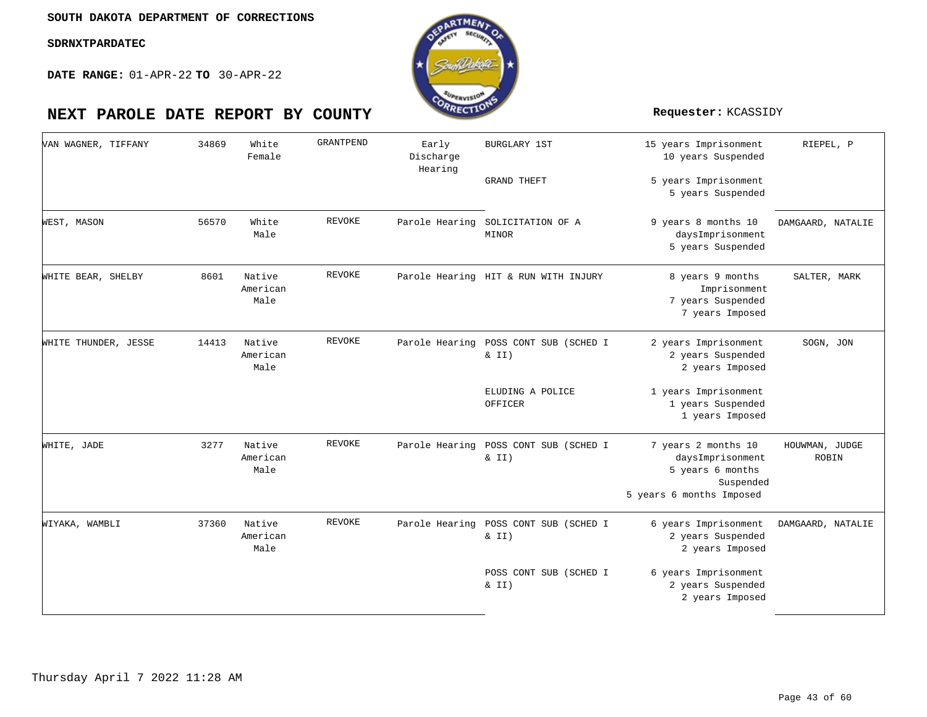**DATE RANGE:** 01-APR-22 **TO** 30-APR-22

![](_page_42_Picture_4.jpeg)

| VAN WAGNER, TIFFANY  | 34869 | White<br>Female            | GRANTPEND     | Early<br>Discharge<br>Hearing | <b>BURGLARY 1ST</b><br><b>GRAND THEFT</b>         | 15 years Imprisonment<br>10 years Suspended<br>5 years Imprisonment<br>5 years Suspended             | RIEPEL, P               |
|----------------------|-------|----------------------------|---------------|-------------------------------|---------------------------------------------------|------------------------------------------------------------------------------------------------------|-------------------------|
| WEST, MASON          | 56570 | White<br>Male              | <b>REVOKE</b> |                               | Parole Hearing SOLICITATION OF A<br>MINOR         | 9 years 8 months 10<br>daysImprisonment<br>5 years Suspended                                         | DAMGAARD, NATALIE       |
| WHITE BEAR, SHELBY   | 8601  | Native<br>American<br>Male | <b>REVOKE</b> |                               | Parole Hearing HIT & RUN WITH INJURY              | 8 years 9 months<br>Imprisonment<br>7 years Suspended<br>7 years Imposed                             | SALTER, MARK            |
| WHITE THUNDER, JESSE | 14413 | Native<br>American<br>Male | REVOKE        | Parole Hearing                | POSS CONT SUB (SCHED I<br>$\& II)$                | 2 years Imprisonment<br>2 years Suspended<br>2 years Imposed                                         | SOGN, JON               |
|                      |       |                            |               |                               | ELUDING A POLICE<br>OFFICER                       | 1 years Imprisonment<br>1 years Suspended<br>1 years Imposed                                         |                         |
| WHITE, JADE          | 3277  | Native<br>American<br>Male | REVOKE        |                               | Parole Hearing POSS CONT SUB (SCHED I<br>$\&$ II) | 7 years 2 months 10<br>daysImprisonment<br>5 years 6 months<br>Suspended<br>5 years 6 months Imposed | HOUWMAN, JUDGE<br>ROBIN |
| WIYAKA, WAMBLI       | 37360 | Native<br>American<br>Male | <b>REVOKE</b> | Parole Hearing                | POSS CONT SUB (SCHED I<br>$\&$ II)                | 6 years Imprisonment<br>2 years Suspended<br>2 years Imposed                                         | DAMGAARD, NATALIE       |
|                      |       |                            |               |                               | POSS CONT SUB (SCHED I<br>$\&$ II)                | 6 years Imprisonment<br>2 years Suspended<br>2 years Imposed                                         |                         |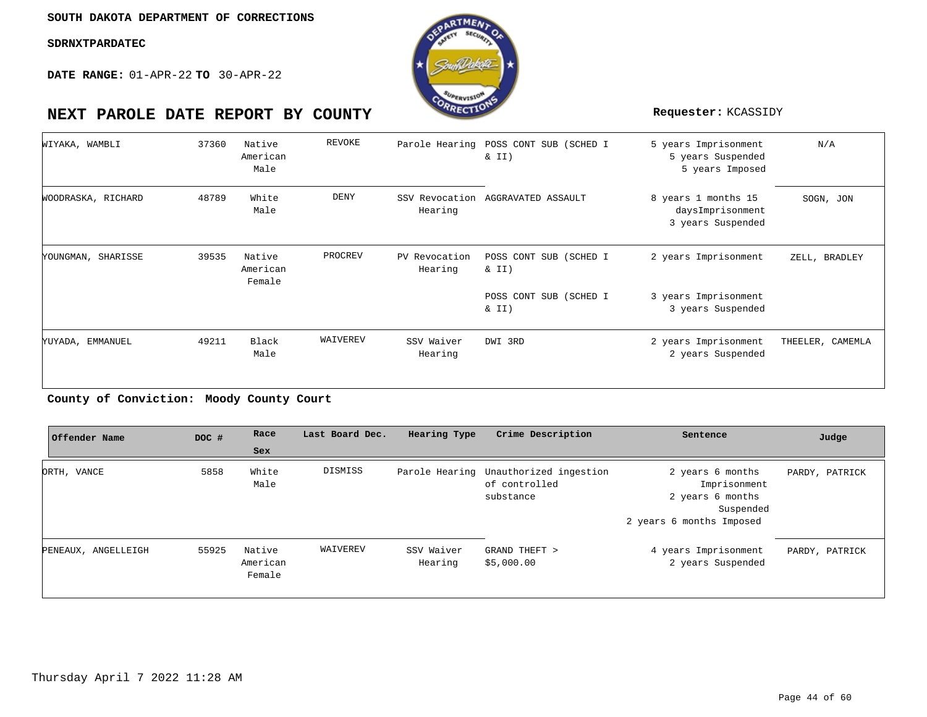**DATE RANGE:** 01-APR-22 **TO** 30-APR-22

![](_page_43_Picture_3.jpeg)

| WIYAKA, WAMBLI     | 37360 | Native<br>American<br>Male   | REVOKE      |                           | Parole Hearing POSS CONT SUB (SCHED I<br>$\&$ II) | 5 years Imprisonment<br>5 years Suspended<br>5 years Imposed | N/A              |
|--------------------|-------|------------------------------|-------------|---------------------------|---------------------------------------------------|--------------------------------------------------------------|------------------|
| WOODRASKA, RICHARD | 48789 | White<br>Male                | <b>DENY</b> | SSV Revocation<br>Hearing | AGGRAVATED ASSAULT                                | 8 years 1 months 15<br>daysImprisonment<br>3 years Suspended | SOGN, JON        |
| YOUNGMAN, SHARISSE | 39535 | Native<br>American<br>Female | PROCREV     | PV Revocation<br>Hearing  | POSS CONT SUB (SCHED I<br>$\&$ II)                | 2 years Imprisonment                                         | ZELL, BRADLEY    |
|                    |       |                              |             |                           | POSS CONT SUB (SCHED I<br>$\&$ II)                | 3 years Imprisonment<br>3 years Suspended                    |                  |
| YUYADA, EMMANUEL   | 49211 | Black<br>Male                | WAIVEREV    | SSV Waiver<br>Hearing     | DWI 3RD                                           | 2 years Imprisonment<br>2 years Suspended                    | THEELER, CAMEMLA |

### **Moody County Court County of Conviction:**

| Offender Name       | DOC # | Race                         | Last Board Dec. | Hearing Type          | Crime Description                                                   | Sentence                                                                                      | Judge          |
|---------------------|-------|------------------------------|-----------------|-----------------------|---------------------------------------------------------------------|-----------------------------------------------------------------------------------------------|----------------|
|                     |       | Sex                          |                 |                       |                                                                     |                                                                                               |                |
| ORTH, VANCE         | 5858  | White<br>Male                | DISMISS         |                       | Parole Hearing Unauthorized ingestion<br>of controlled<br>substance | 2 years 6 months<br>Imprisonment<br>2 years 6 months<br>Suspended<br>2 years 6 months Imposed | PARDY, PATRICK |
| PENEAUX, ANGELLEIGH | 55925 | Native<br>American<br>Female | WAIVEREV        | SSV Waiver<br>Hearing | GRAND THEFT ><br>\$5,000.00                                         | 4 years Imprisonment<br>2 years Suspended                                                     | PARDY, PATRICK |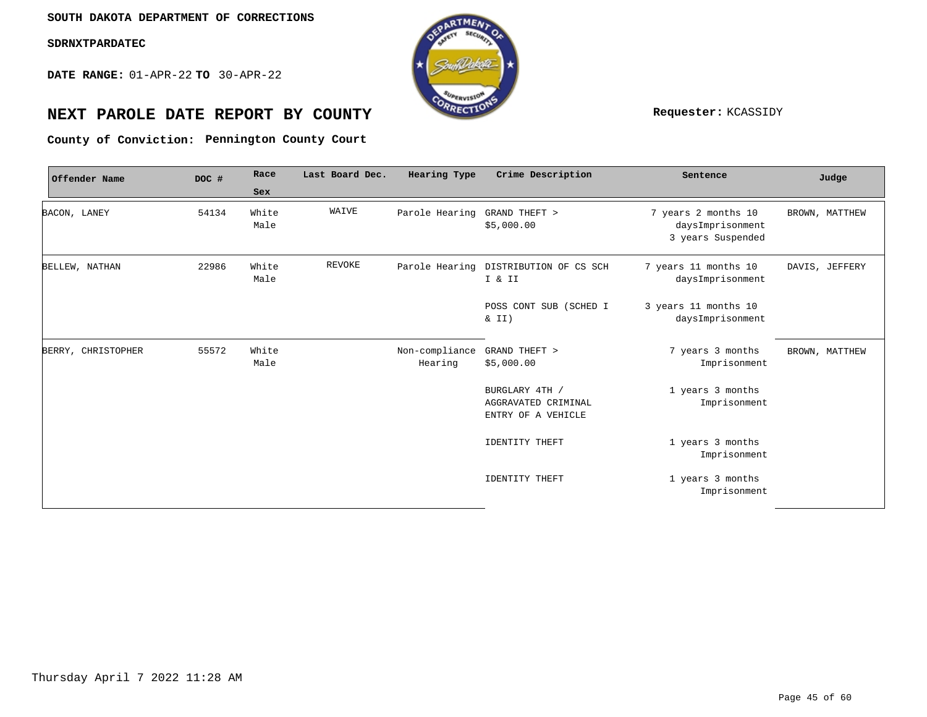**DATE RANGE:** 01-APR-22 **TO** 30-APR-22

![](_page_44_Picture_3.jpeg)

# **NEXT PAROLE DATE REPORT BY COUNTY Requester:** KCASSIDY

**Pennington County Court County of Conviction:**

| Offender Name      | DOC # | Race          | Last Board Dec. | Hearing Type                 | Crime Description                                           | Sentence                                                     | Judge          |
|--------------------|-------|---------------|-----------------|------------------------------|-------------------------------------------------------------|--------------------------------------------------------------|----------------|
|                    |       | Sex           |                 |                              |                                                             |                                                              |                |
| BACON, LANEY       | 54134 | White<br>Male | WAIVE           | Parole Hearing GRAND THEFT > | \$5,000.00                                                  | 7 years 2 months 10<br>daysImprisonment<br>3 years Suspended | BROWN, MATTHEW |
| BELLEW, NATHAN     | 22986 | White<br>Male | <b>REVOKE</b>   |                              | Parole Hearing DISTRIBUTION OF CS SCH<br>I & II             | 7 years 11 months 10<br>daysImprisonment                     | DAVIS, JEFFERY |
|                    |       |               |                 |                              | POSS CONT SUB (SCHED I<br>$\&$ II)                          | 3 years 11 months 10<br>daysImprisonment                     |                |
| BERRY, CHRISTOPHER | 55572 | White<br>Male |                 | Non-compliance<br>Hearing    | GRAND THEFT ><br>\$5,000.00                                 | 7 years 3 months<br>Imprisonment                             | BROWN, MATTHEW |
|                    |       |               |                 |                              | BURGLARY 4TH /<br>AGGRAVATED CRIMINAL<br>ENTRY OF A VEHICLE | 1 years 3 months<br>Imprisonment                             |                |
|                    |       |               |                 |                              | IDENTITY THEFT                                              | 1 years 3 months<br>Imprisonment                             |                |
|                    |       |               |                 |                              | <b>IDENTITY THEFT</b>                                       | 1 years 3 months<br>Imprisonment                             |                |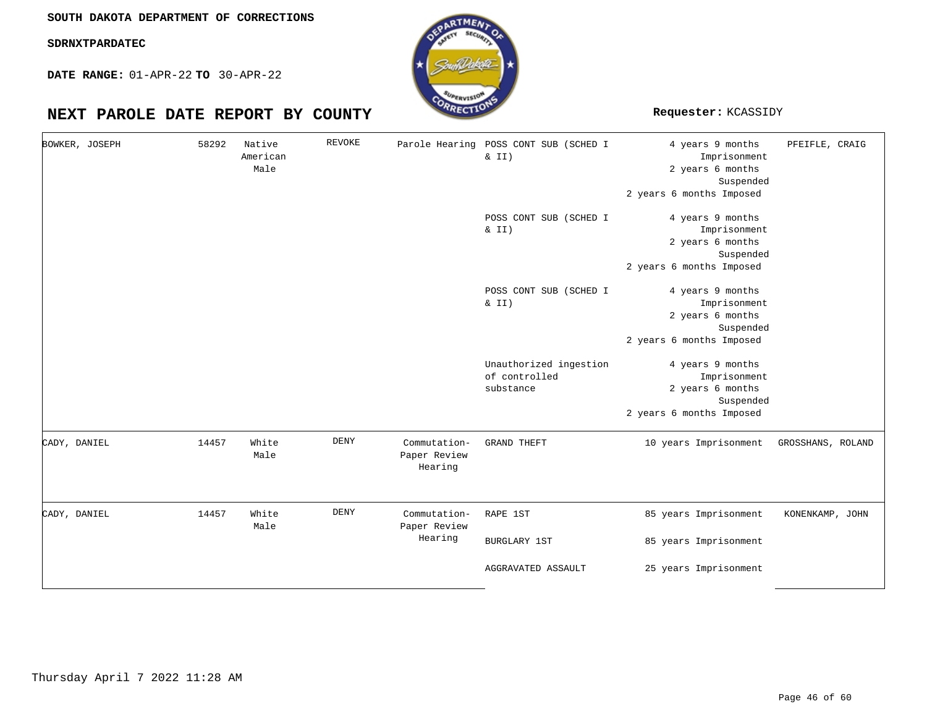**SOUTH DAKOTA DEPARTMENT OF CORRECTIONS**

**SDRNXTPARDATEC**

**DATE RANGE:** 01-APR-22 **TO** 30-APR-22

|              | BOWKER, JOSEPH | 58292 | Native<br>American<br>Male | <b>REVOKE</b> | Parole Hearing                          | POSS CONT SUB (SCHED I<br>& II)                      | 4 years 9 months<br>Imprisonment<br>2 years 6 months<br>Suspended<br>2 years 6 months Imposed | PFEIFLE, CRAIG    |
|--------------|----------------|-------|----------------------------|---------------|-----------------------------------------|------------------------------------------------------|-----------------------------------------------------------------------------------------------|-------------------|
|              |                |       |                            |               |                                         | POSS CONT SUB (SCHED I<br>& II)                      | 4 years 9 months<br>Imprisonment<br>2 years 6 months<br>Suspended<br>2 years 6 months Imposed |                   |
|              |                |       |                            |               |                                         | POSS CONT SUB (SCHED I<br>$\&$ II)                   | 4 years 9 months<br>Imprisonment<br>2 years 6 months<br>Suspended<br>2 years 6 months Imposed |                   |
|              |                |       |                            |               |                                         | Unauthorized ingestion<br>of controlled<br>substance | 4 years 9 months<br>Imprisonment<br>2 years 6 months<br>Suspended<br>2 years 6 months Imposed |                   |
| CADY, DANIEL |                | 14457 | White<br>Male              | DENY          | Commutation-<br>Paper Review<br>Hearing | <b>GRAND THEFT</b>                                   | 10 years Imprisonment                                                                         | GROSSHANS, ROLAND |
| CADY, DANIEL |                | 14457 | White<br>Male              | DENY          | Commutation-<br>Paper Review<br>Hearing | RAPE 1ST<br><b>BURGLARY 1ST</b>                      | 85 years Imprisonment<br>85 years Imprisonment                                                | KONENKAMP, JOHN   |
|              |                |       |                            |               |                                         | AGGRAVATED ASSAULT                                   | 25 years Imprisonment                                                                         |                   |

![](_page_45_Picture_8.jpeg)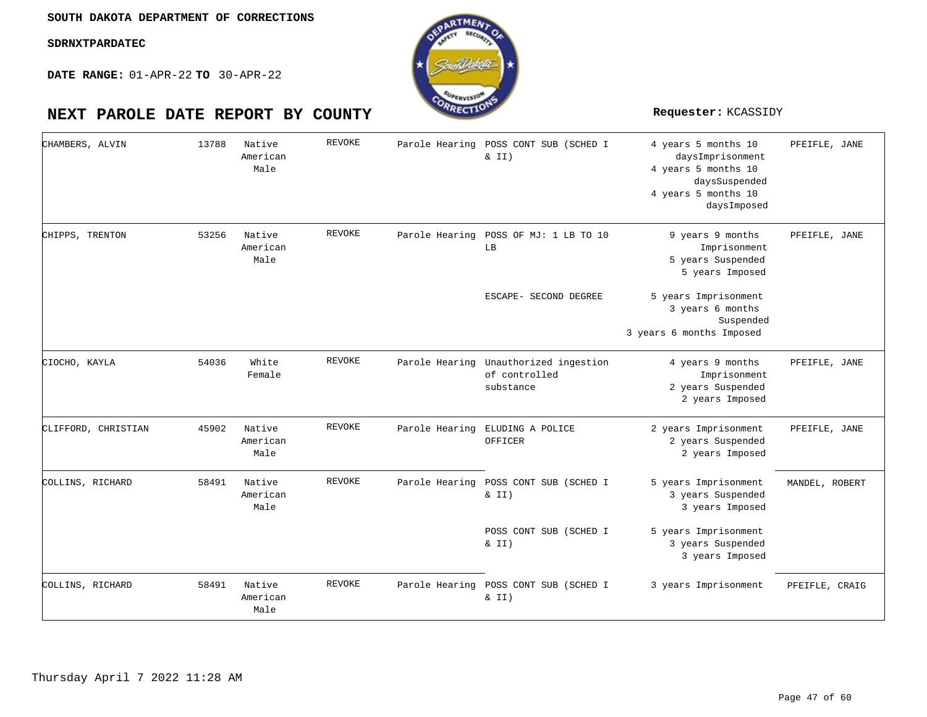**DATE RANGE:** 01-APR-22 **TO** 30-APR-22

| CHAMBERS, ALVIN     | 13788 | Native<br>American<br>Male | <b>REVOKE</b> | Parole Hearing | POSS CONT SUB (SCHED I<br>$\&$ II)                                  | 4 years 5 months 10<br>daysImprisonment<br>4 years 5 months 10<br>daysSuspended<br>4 years 5 months 10<br>daysImposed | PFEIFLE, JANE  |
|---------------------|-------|----------------------------|---------------|----------------|---------------------------------------------------------------------|-----------------------------------------------------------------------------------------------------------------------|----------------|
| CHIPPS, TRENTON     | 53256 | Native<br>American<br>Male | <b>REVOKE</b> | Parole Hearing | POSS OF MJ: 1 LB TO 10<br>LB                                        | 9 years 9 months<br>Imprisonment<br>5 years Suspended<br>5 years Imposed                                              | PFEIFLE, JANE  |
|                     |       |                            |               |                | ESCAPE- SECOND DEGREE                                               | 5 years Imprisonment<br>3 years 6 months<br>Suspended<br>3 years 6 months Imposed                                     |                |
| CIOCHO, KAYLA       | 54036 | White<br>Female            | <b>REVOKE</b> |                | Parole Hearing Unauthorized ingestion<br>of controlled<br>substance | 4 years 9 months<br>Imprisonment<br>2 years Suspended<br>2 years Imposed                                              | PFEIFLE, JANE  |
| CLIFFORD, CHRISTIAN | 45902 | Native<br>American<br>Male | <b>REVOKE</b> | Parole Hearing | ELUDING A POLICE<br>OFFICER                                         | 2 years Imprisonment<br>2 years Suspended<br>2 years Imposed                                                          | PFEIFLE, JANE  |
| COLLINS, RICHARD    | 58491 | Native<br>American<br>Male | <b>REVOKE</b> |                | Parole Hearing POSS CONT SUB (SCHED I<br>$\&$ II)                   | 5 years Imprisonment<br>3 years Suspended<br>3 years Imposed                                                          | MANDEL, ROBERT |
|                     |       |                            |               |                | POSS CONT SUB (SCHED I<br>& II)                                     | 5 years Imprisonment<br>3 years Suspended<br>3 years Imposed                                                          |                |
| COLLINS, RICHARD    | 58491 | Native<br>American<br>Male | <b>REVOKE</b> | Parole Hearing | POSS CONT SUB (SCHED I<br>$\&$ II)                                  | 3 years Imprisonment                                                                                                  | PFEIFLE, CRAIG |

![](_page_46_Picture_7.jpeg)

![](_page_46_Picture_8.jpeg)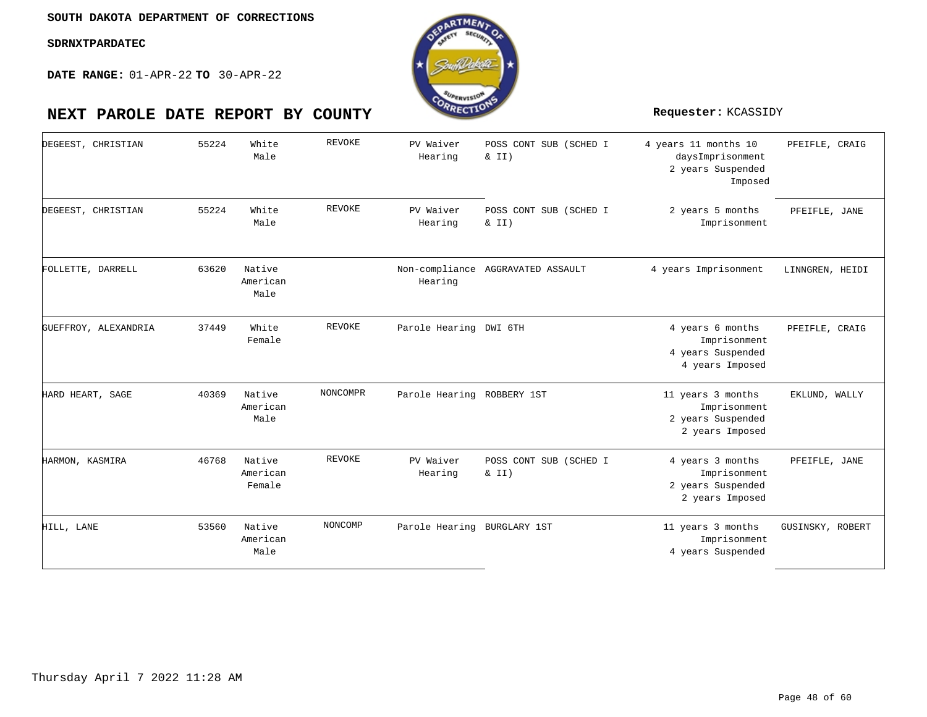![](_page_47_Picture_3.jpeg)

| DEGEEST, CHRISTIAN   | 55224 | White<br>Male                | <b>REVOKE</b> | PV Waiver<br>Hearing        | POSS CONT SUB (SCHED I<br>& II)   | 4 years 11 months 10<br>daysImprisonment<br>2 years Suspended<br>Imposed  | PFEIFLE, CRAIG   |
|----------------------|-------|------------------------------|---------------|-----------------------------|-----------------------------------|---------------------------------------------------------------------------|------------------|
| DEGEEST, CHRISTIAN   | 55224 | White<br>Male                | <b>REVOKE</b> | PV Waiver<br>Hearing        | POSS CONT SUB (SCHED I<br>& II)   | 2 years 5 months<br>Imprisonment                                          | PFEIFLE, JANE    |
| FOLLETTE, DARRELL    | 63620 | Native<br>American<br>Male   |               | Hearing                     | Non-compliance AGGRAVATED ASSAULT | 4 years Imprisonment                                                      | LINNGREN, HEIDI  |
| GUEFFROY, ALEXANDRIA | 37449 | White<br>Female              | <b>REVOKE</b> | Parole Hearing DWI 6TH      |                                   | 4 years 6 months<br>Imprisonment<br>4 years Suspended<br>4 years Imposed  | PFEIFLE, CRAIG   |
| HARD HEART, SAGE     | 40369 | Native<br>American<br>Male   | NONCOMPR      | Parole Hearing ROBBERY 1ST  |                                   | 11 years 3 months<br>Imprisonment<br>2 years Suspended<br>2 years Imposed | EKLUND, WALLY    |
| HARMON, KASMIRA      | 46768 | Native<br>American<br>Female | <b>REVOKE</b> | PV Waiver<br>Hearing        | POSS CONT SUB (SCHED I<br>& II)   | 4 years 3 months<br>Imprisonment<br>2 years Suspended<br>2 years Imposed  | PFEIFLE, JANE    |
| HILL, LANE           | 53560 | Native<br>American<br>Male   | NONCOMP       | Parole Hearing BURGLARY 1ST |                                   | 11 years 3 months<br>Imprisonment<br>4 years Suspended                    | GUSINSKY, ROBERT |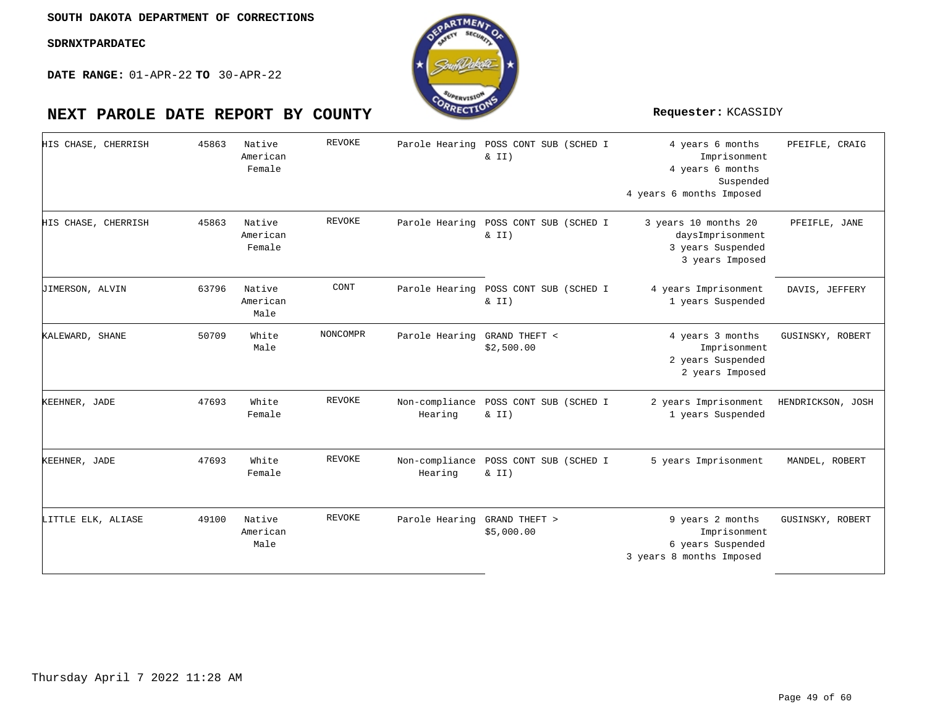![](_page_48_Picture_3.jpeg)

| HIS CHASE, CHERRISH    | 45863 | Native<br>American<br>Female | <b>REVOKE</b> | Parole Hearing | POSS CONT SUB (SCHED I<br>$\&$ II)                | 4 years 6 months<br>Imprisonment<br>4 years 6 months<br>Suspended<br>4 years 6 months Imposed | PFEIFLE, CRAIG    |
|------------------------|-------|------------------------------|---------------|----------------|---------------------------------------------------|-----------------------------------------------------------------------------------------------|-------------------|
| HIS CHASE, CHERRISH    | 45863 | Native<br>American<br>Female | <b>REVOKE</b> | Parole Hearing | POSS CONT SUB (SCHED I<br>$\&$ II)                | 3 years 10 months 20<br>daysImprisonment<br>3 years Suspended<br>3 years Imposed              | PFEIFLE, JANE     |
| <b>JIMERSON, ALVIN</b> | 63796 | Native<br>American<br>Male   | CONT          | Parole Hearing | POSS CONT SUB (SCHED I<br>$\&$ II)                | 4 years Imprisonment<br>1 years Suspended                                                     | DAVIS, JEFFERY    |
| KALEWARD, SHANE        | 50709 | White<br>Male                | NONCOMPR      | Parole Hearing | GRAND THEFT <<br>\$2,500.00                       | 4 years 3 months<br>Imprisonment<br>2 years Suspended<br>2 years Imposed                      | GUSINSKY, ROBERT  |
| KEEHNER, JADE          | 47693 | White<br>Female              | <b>REVOKE</b> | Hearing        | Non-compliance POSS CONT SUB (SCHED I<br>$\&$ II) | 2 years Imprisonment<br>1 years Suspended                                                     | HENDRICKSON, JOSH |
| KEEHNER, JADE          | 47693 | White<br>Female              | REVOKE        | Hearing        | Non-compliance POSS CONT SUB (SCHED I<br>& II)    | 5 years Imprisonment                                                                          | MANDEL, ROBERT    |
| LITTLE ELK, ALIASE     | 49100 | Native<br>American<br>Male   | <b>REVOKE</b> | Parole Hearing | GRAND THEFT ><br>\$5,000.00                       | 9 years 2 months<br>Imprisonment<br>6 years Suspended<br>3 years 8 months Imposed             | GUSINSKY, ROBERT  |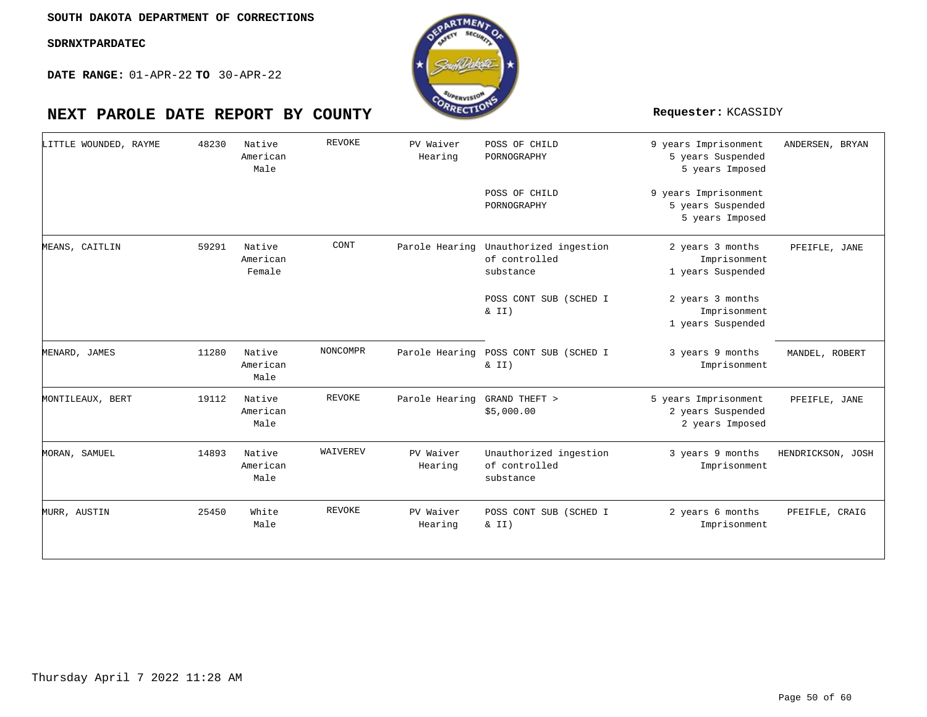![](_page_49_Picture_3.jpeg)

| LITTLE WOUNDED, RAYME | 48230 | Native<br>American<br>Male   | <b>REVOKE</b> | PV Waiver<br>Hearing | POSS OF CHILD<br>PORNOGRAPHY                                        | 9 years Imprisonment<br>5 years Suspended<br>5 years Imposed | ANDERSEN, BRYAN   |
|-----------------------|-------|------------------------------|---------------|----------------------|---------------------------------------------------------------------|--------------------------------------------------------------|-------------------|
|                       |       |                              |               |                      | POSS OF CHILD<br>PORNOGRAPHY                                        | 9 years Imprisonment<br>5 years Suspended<br>5 years Imposed |                   |
| MEANS, CAITLIN        | 59291 | Native<br>American<br>Female | CONT          |                      | Parole Hearing Unauthorized ingestion<br>of controlled<br>substance | 2 years 3 months<br>Imprisonment<br>1 years Suspended        | PFEIFLE, JANE     |
|                       |       |                              |               |                      | POSS CONT SUB (SCHED I<br>$\&$ II)                                  | 2 years 3 months<br>Imprisonment<br>1 years Suspended        |                   |
| MENARD, JAMES         | 11280 | Native<br>American<br>Male   | NONCOMPR      | Parole Hearing       | POSS CONT SUB (SCHED I<br>$\&$ II)                                  | 3 years 9 months<br>Imprisonment                             | MANDEL, ROBERT    |
| MONTILEAUX, BERT      | 19112 | Native<br>American<br>Male   | REVOKE        | Parole Hearing       | GRAND THEFT ><br>\$5,000.00                                         | 5 years Imprisonment<br>2 years Suspended<br>2 years Imposed | PFEIFLE, JANE     |
| MORAN, SAMUEL         | 14893 | Native<br>American<br>Male   | WAIVEREV      | PV Waiver<br>Hearing | Unauthorized ingestion<br>of controlled<br>substance                | 3 years 9 months<br>Imprisonment                             | HENDRICKSON, JOSH |
| MURR, AUSTIN          | 25450 | White<br>Male                | REVOKE        | PV Waiver<br>Hearing | POSS CONT SUB (SCHED I<br>& II)                                     | 2 years 6 months<br>Imprisonment                             | PFEIFLE, CRAIG    |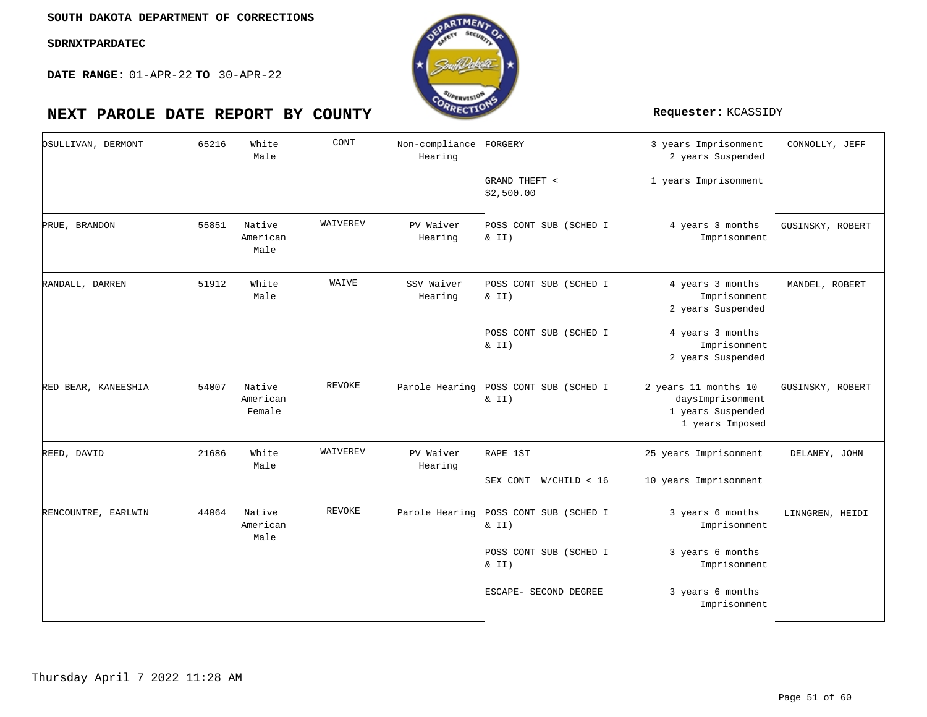![](_page_50_Picture_3.jpeg)

| OSULLIVAN, DERMONT  | 65216 | White<br>Male                | CONT     | Non-compliance FORGERY<br>Hearing |                                                | 3 years Imprisonment<br>2 years Suspended                                        | CONNOLLY, JEFF   |
|---------------------|-------|------------------------------|----------|-----------------------------------|------------------------------------------------|----------------------------------------------------------------------------------|------------------|
|                     |       |                              |          |                                   | GRAND THEFT <<br>\$2,500.00                    | 1 years Imprisonment                                                             |                  |
| PRUE, BRANDON       | 55851 | Native<br>American<br>Male   | WAIVEREV | PV Waiver<br>Hearing              | POSS CONT SUB (SCHED I<br>& II)                | 4 years 3 months<br>Imprisonment                                                 | GUSINSKY, ROBERT |
| RANDALL, DARREN     | 51912 | White<br>Male                | WAIVE    | SSV Waiver<br>Hearing             | POSS CONT SUB (SCHED I<br>& II)                | 4 years 3 months<br>Imprisonment<br>2 years Suspended                            | MANDEL, ROBERT   |
|                     |       |                              |          |                                   | POSS CONT SUB (SCHED I<br>$\&$ II)             | 4 years 3 months<br>Imprisonment<br>2 years Suspended                            |                  |
| RED BEAR, KANEESHIA | 54007 | Native<br>American<br>Female | REVOKE   |                                   | Parole Hearing POSS CONT SUB (SCHED I<br>& II) | 2 years 11 months 10<br>daysImprisonment<br>1 years Suspended<br>1 years Imposed | GUSINSKY, ROBERT |
| REED, DAVID         | 21686 | White<br>Male                | WAIVEREV | PV Waiver<br>Hearing              | RAPE 1ST                                       | 25 years Imprisonment                                                            | DELANEY, JOHN    |
|                     |       |                              |          |                                   | SEX CONT<br>W/CHILD < 16                       | 10 years Imprisonment                                                            |                  |
| RENCOUNTRE, EARLWIN | 44064 | Native<br>American<br>Male   | REVOKE   | Parole Hearing                    | POSS CONT SUB (SCHED I<br>$\&$ II)             | 3 years 6 months<br>Imprisonment                                                 | LINNGREN, HEIDI  |
|                     |       |                              |          |                                   | POSS CONT SUB (SCHED I<br>$\&$ II)             | 3 years 6 months<br>Imprisonment                                                 |                  |
|                     |       |                              |          |                                   | ESCAPE- SECOND DEGREE                          | 3 years 6 months<br>Imprisonment                                                 |                  |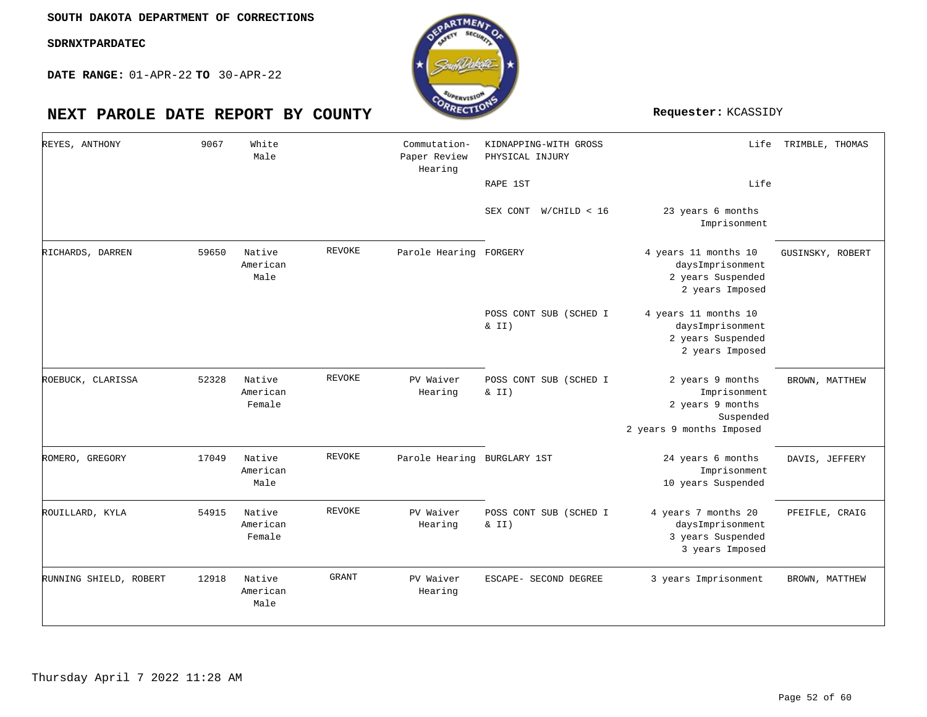**DATE RANGE:** 01-APR-22 **TO** 30-APR-22

| REYES, ANTHONY         | 9067  | White<br>Male                |              | Commutation-<br>Paper Review<br>Hearing | KIDNAPPING-WITH GROSS<br>PHYSICAL INJURY<br>RAPE 1ST | Life<br>Life                                                                                  | TRIMBLE, THOMAS  |
|------------------------|-------|------------------------------|--------------|-----------------------------------------|------------------------------------------------------|-----------------------------------------------------------------------------------------------|------------------|
|                        |       |                              |              |                                         | SEX CONT<br>W/CHILD < 16                             | 23 years 6 months<br>Imprisonment                                                             |                  |
| RICHARDS, DARREN       | 59650 | Native<br>American<br>Male   | REVOKE       | Parole Hearing FORGERY                  |                                                      | 4 years 11 months 10<br>daysImprisonment<br>2 years Suspended<br>2 years Imposed              | GUSINSKY, ROBERT |
|                        |       |                              |              |                                         | POSS CONT SUB (SCHED I<br>$\&$ II)                   | 4 years 11 months 10<br>daysImprisonment<br>2 years Suspended<br>2 years Imposed              |                  |
| ROEBUCK, CLARISSA      | 52328 | Native<br>American<br>Female | REVOKE       | PV Waiver<br>Hearing                    | POSS CONT SUB (SCHED I<br>$\&$ II)                   | 2 years 9 months<br>Imprisonment<br>2 years 9 months<br>Suspended<br>2 years 9 months Imposed | BROWN, MATTHEW   |
| ROMERO, GREGORY        | 17049 | Native<br>American<br>Male   | REVOKE       | Parole Hearing BURGLARY 1ST             |                                                      | 24 years 6 months<br>Imprisonment<br>10 years Suspended                                       | DAVIS, JEFFERY   |
| ROUILLARD, KYLA        | 54915 | Native<br>American<br>Female | REVOKE       | PV Waiver<br>Hearing                    | POSS CONT SUB (SCHED I<br>$\&$ II)                   | 4 years 7 months 20<br>daysImprisonment<br>3 years Suspended<br>3 years Imposed               | PFEIFLE, CRAIG   |
| RUNNING SHIELD, ROBERT | 12918 | Native<br>American<br>Male   | <b>GRANT</b> | PV Waiver<br>Hearing                    | ESCAPE- SECOND DEGREE                                | 3 years Imprisonment                                                                          | BROWN, MATTHEW   |

![](_page_51_Picture_8.jpeg)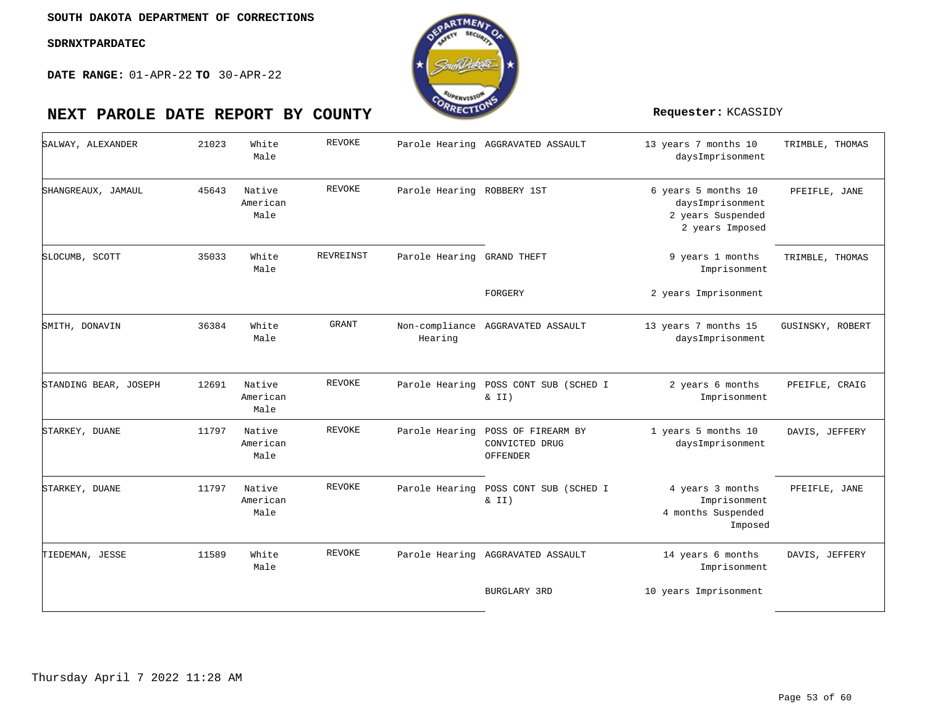![](_page_52_Picture_3.jpeg)

| SALWAY, ALEXANDER     | 21023 | White<br>Male              | <b>REVOKE</b>    |                            | Parole Hearing AGGRAVATED ASSAULT                 | 13 years 7 months 10<br>daysImprisonment                                        | TRIMBLE, THOMAS  |
|-----------------------|-------|----------------------------|------------------|----------------------------|---------------------------------------------------|---------------------------------------------------------------------------------|------------------|
| SHANGREAUX, JAMAUL    | 45643 | Native<br>American<br>Male | REVOKE           | Parole Hearing ROBBERY 1ST |                                                   | 6 years 5 months 10<br>daysImprisonment<br>2 years Suspended<br>2 years Imposed | PFEIFLE, JANE    |
| SLOCUMB, SCOTT        | 35033 | White<br>Male              | <b>REVREINST</b> | Parole Hearing GRAND THEFT |                                                   | 9 years 1 months<br>Imprisonment                                                | TRIMBLE, THOMAS  |
|                       |       |                            |                  |                            | FORGERY                                           | 2 years Imprisonment                                                            |                  |
| SMITH, DONAVIN        | 36384 | White<br>Male              | GRANT            | Hearing                    | Non-compliance AGGRAVATED ASSAULT                 | 13 years 7 months 15<br>daysImprisonment                                        | GUSINSKY, ROBERT |
| STANDING BEAR, JOSEPH | 12691 | Native<br>American<br>Male | REVOKE           |                            | Parole Hearing POSS CONT SUB (SCHED I<br>& II)    | 2 years 6 months<br>Imprisonment                                                | PFEIFLE, CRAIG   |
| STARKEY, DUANE        | 11797 | Native<br>American<br>Male | REVOKE           | Parole Hearing             | POSS OF FIREARM BY<br>CONVICTED DRUG<br>OFFENDER  | 1 years 5 months 10<br>daysImprisonment                                         | DAVIS, JEFFERY   |
| STARKEY, DUANE        | 11797 | Native<br>American<br>Male | REVOKE           |                            | Parole Hearing POSS CONT SUB (SCHED I<br>$\&$ II) | 4 years 3 months<br>Imprisonment<br>4 months Suspended<br>Imposed               | PFEIFLE, JANE    |
| TIEDEMAN, JESSE       | 11589 | White<br>Male              | REVOKE           |                            | Parole Hearing AGGRAVATED ASSAULT                 | 14 years 6 months<br>Imprisonment                                               | DAVIS, JEFFERY   |
|                       |       |                            |                  |                            | <b>BURGLARY 3RD</b>                               | 10 years Imprisonment                                                           |                  |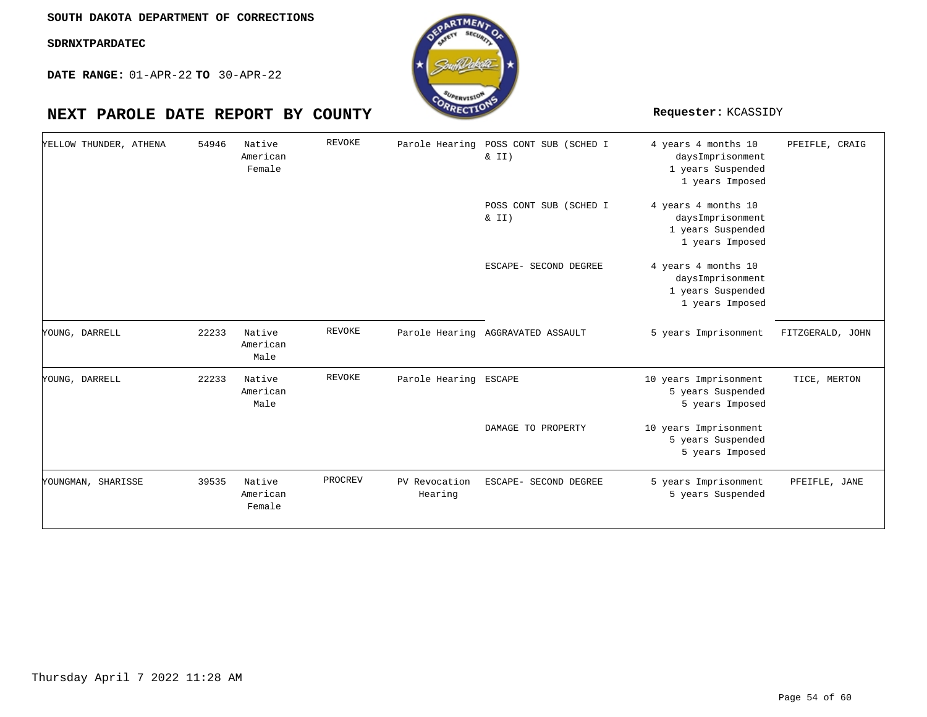**DATE RANGE:** 01-APR-22 **TO** 30-APR-22

# **NEXT PAROLE DATE REPORT BY COUNTY Requester:** KCASSIDY

| YELLOW THUNDER, ATHENA | 54946 | Native<br>American<br>Female | <b>REVOKE</b> |                          | Parole Hearing POSS CONT SUB (SCHED I<br>$\&$ II) | 4 years 4 months 10<br>daysImprisonment<br>1 years Suspended<br>1 years Imposed | PFEIFLE, CRAIG   |
|------------------------|-------|------------------------------|---------------|--------------------------|---------------------------------------------------|---------------------------------------------------------------------------------|------------------|
|                        |       |                              |               |                          | POSS CONT SUB (SCHED I<br>$\& II)$                | 4 years 4 months 10<br>daysImprisonment<br>1 years Suspended<br>1 years Imposed |                  |
|                        |       |                              |               |                          | ESCAPE- SECOND DEGREE                             | 4 years 4 months 10<br>daysImprisonment<br>1 years Suspended<br>1 years Imposed |                  |
| YOUNG, DARRELL         | 22233 | Native<br>American<br>Male   | REVOKE        |                          | Parole Hearing AGGRAVATED ASSAULT                 | 5 years Imprisonment                                                            | FITZGERALD, JOHN |
| YOUNG, DARRELL         | 22233 | Native<br>American<br>Male   | REVOKE        | Parole Hearing ESCAPE    |                                                   | 10 years Imprisonment<br>5 years Suspended<br>5 years Imposed                   | TICE, MERTON     |
|                        |       |                              |               |                          | DAMAGE TO PROPERTY                                | 10 years Imprisonment<br>5 years Suspended<br>5 years Imposed                   |                  |
| YOUNGMAN, SHARISSE     | 39535 | Native<br>American<br>Female | PROCREV       | PV Revocation<br>Hearing | ESCAPE- SECOND DEGREE                             | 5 years Imprisonment<br>5 years Suspended                                       | PFEIFLE, JANE    |

oTME.

![](_page_53_Picture_7.jpeg)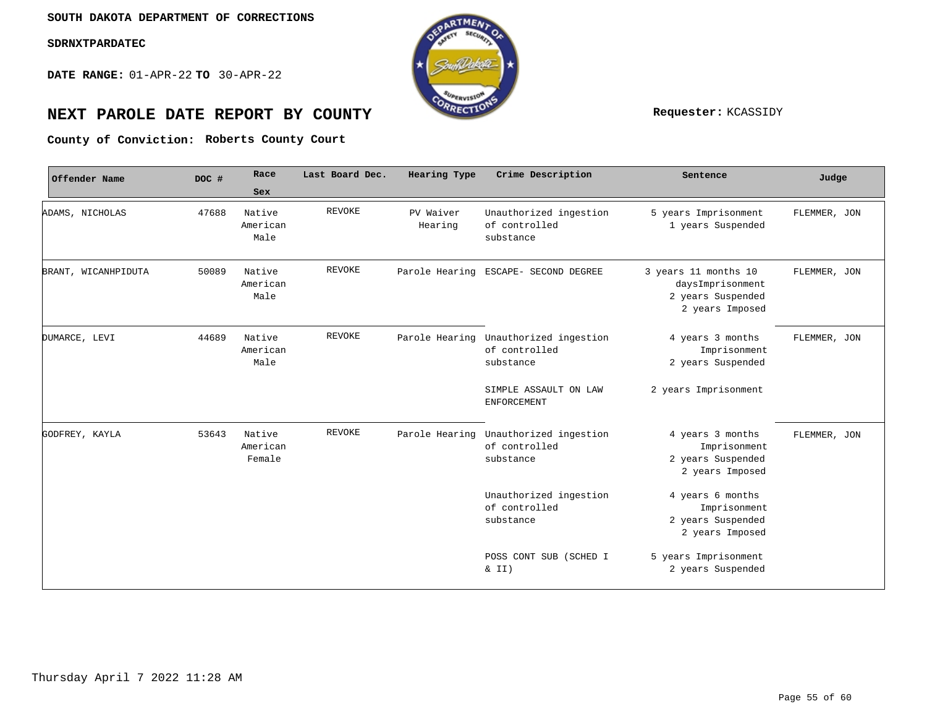**DATE RANGE:** 01-APR-22 **TO** 30-APR-22

![](_page_54_Picture_3.jpeg)

# **NEXT PAROLE DATE REPORT BY COUNTY Requester:** KCASSIDY

**Roberts County Court County of Conviction:**

| Offender Name       | DOC # | Race                         | Last Board Dec. | Hearing Type         | Crime Description                                    | Sentence                                                                         | Judge        |
|---------------------|-------|------------------------------|-----------------|----------------------|------------------------------------------------------|----------------------------------------------------------------------------------|--------------|
|                     |       | Sex                          |                 |                      |                                                      |                                                                                  |              |
| ADAMS, NICHOLAS     | 47688 | Native<br>American<br>Male   | <b>REVOKE</b>   | PV Waiver<br>Hearing | Unauthorized ingestion<br>of controlled<br>substance | 5 years Imprisonment<br>1 years Suspended                                        | FLEMMER, JON |
| BRANT, WICANHPIDUTA | 50089 | Native<br>American<br>Male   | <b>REVOKE</b>   | Parole Hearing       | ESCAPE- SECOND DEGREE                                | 3 years 11 months 10<br>daysImprisonment<br>2 years Suspended<br>2 years Imposed | FLEMMER, JON |
| DUMARCE, LEVI       | 44689 | Native<br>American<br>Male   | <b>REVOKE</b>   | Parole Hearing       | Unauthorized ingestion<br>of controlled<br>substance | 4 years 3 months<br>Imprisonment<br>2 years Suspended                            | FLEMMER, JON |
|                     |       |                              |                 |                      | SIMPLE ASSAULT ON LAW<br><b>ENFORCEMENT</b>          | 2 years Imprisonment                                                             |              |
| GODFREY, KAYLA      | 53643 | Native<br>American<br>Female | REVOKE          | Parole Hearing       | Unauthorized ingestion<br>of controlled<br>substance | 4 years 3 months<br>Imprisonment<br>2 years Suspended<br>2 years Imposed         | FLEMMER, JON |
|                     |       |                              |                 |                      | Unauthorized ingestion<br>of controlled<br>substance | 4 years 6 months<br>Imprisonment<br>2 years Suspended<br>2 years Imposed         |              |
|                     |       |                              |                 |                      | POSS CONT SUB (SCHED I<br>& II)                      | 5 years Imprisonment<br>2 years Suspended                                        |              |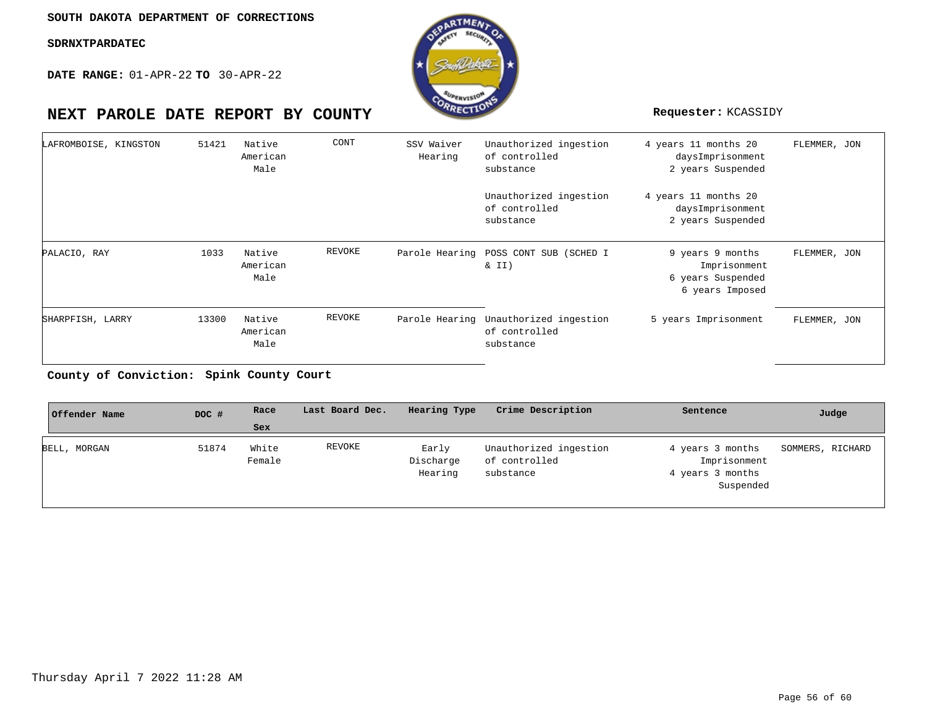**DATE RANGE:** 01-APR-22 **TO** 30-APR-22

![](_page_55_Picture_3.jpeg)

| LAFROMBOISE, KINGSTON | 51421 | Native<br>American<br>Male | CONT   | SSV Waiver<br>Hearing | Unauthorized ingestion<br>of controlled<br>substance                | 4 years 11 months 20<br>daysImprisonment<br>2 years Suspended            | FLEMMER, JON |
|-----------------------|-------|----------------------------|--------|-----------------------|---------------------------------------------------------------------|--------------------------------------------------------------------------|--------------|
|                       |       |                            |        |                       | Unauthorized ingestion<br>of controlled<br>substance                | 4 years 11 months 20<br>daysImprisonment<br>2 years Suspended            |              |
| PALACIO, RAY          | 1033  | Native<br>American<br>Male | REVOKE |                       | Parole Hearing POSS CONT SUB (SCHED I<br>$\&$ II)                   | 9 years 9 months<br>Imprisonment<br>6 years Suspended<br>6 years Imposed | FLEMMER, JON |
| SHARPFISH, LARRY      | 13300 | Native<br>American<br>Male | REVOKE |                       | Parole Hearing Unauthorized ingestion<br>of controlled<br>substance | 5 years Imprisonment                                                     | FLEMMER, JON |

**Spink County Court County of Conviction:**

| Offender Name | DOC # | Race            | Last Board Dec. | Hearing Type                  | Crime Description                                    | Sentence                                                          | Judge            |
|---------------|-------|-----------------|-----------------|-------------------------------|------------------------------------------------------|-------------------------------------------------------------------|------------------|
|               |       | Sex             |                 |                               |                                                      |                                                                   |                  |
| BELL, MORGAN  | 51874 | White<br>Female | REVOKE          | Early<br>Discharge<br>Hearing | Unauthorized ingestion<br>of controlled<br>substance | 4 years 3 months<br>Imprisonment<br>4 years 3 months<br>Suspended | SOMMERS, RICHARD |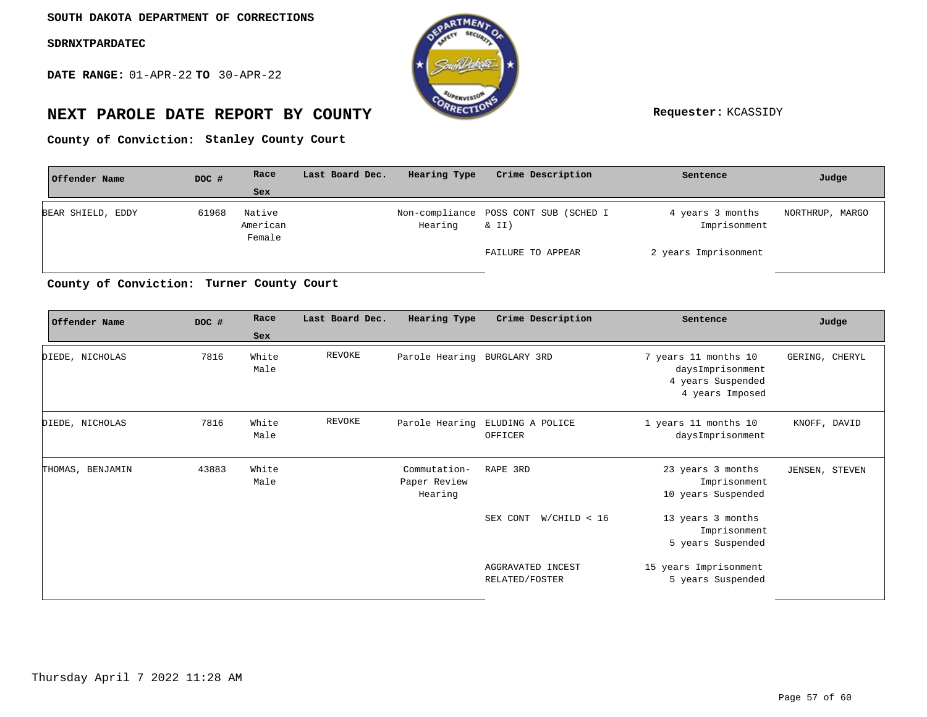**DATE RANGE:** 01-APR-22 **TO** 30-APR-22

![](_page_56_Picture_3.jpeg)

# **NEXT PAROLE DATE REPORT BY COUNTY Requester:** KCASSIDY

County of Conviction: Stanley County Court

| Offender Name     | DOC # | Race                         | Last Board Dec. | Hearing Type | Crime Description                              | Sentence                         | Judge           |
|-------------------|-------|------------------------------|-----------------|--------------|------------------------------------------------|----------------------------------|-----------------|
|                   |       | <b>Sex</b>                   |                 |              |                                                |                                  |                 |
| BEAR SHIELD, EDDY | 61968 | Native<br>American<br>Female |                 | Hearing      | Non-compliance POSS CONT SUB (SCHED I<br>& II) | 4 years 3 months<br>Imprisonment | NORTHRUP, MARGO |
|                   |       |                              |                 |              | FAILURE TO APPEAR                              | 2 years Imprisonment             |                 |

**Turner County Court County of Conviction:**

| Offender Name    | DOC # | Race                 | Last Board Dec. | Hearing Type                            | Crime Description                          | Sentence                                                                         | Judge          |
|------------------|-------|----------------------|-----------------|-----------------------------------------|--------------------------------------------|----------------------------------------------------------------------------------|----------------|
| DIEDE, NICHOLAS  | 7816  | Sex<br>White<br>Male | REVOKE          | Parole Hearing BURGLARY 3RD             |                                            | 7 years 11 months 10<br>daysImprisonment<br>4 years Suspended<br>4 years Imposed | GERING, CHERYL |
| DIEDE, NICHOLAS  | 7816  | White<br>Male        | REVOKE          |                                         | Parole Hearing ELUDING A POLICE<br>OFFICER | 1 years 11 months 10<br>daysImprisonment                                         | KNOFF, DAVID   |
| THOMAS, BENJAMIN | 43883 | White<br>Male        |                 | Commutation-<br>Paper Review<br>Hearing | RAPE 3RD                                   | 23 years 3 months<br>Imprisonment<br>10 years Suspended                          | JENSEN, STEVEN |
|                  |       |                      |                 |                                         | SEX CONT W/CHILD < 16                      | 13 years 3 months<br>Imprisonment<br>5 years Suspended                           |                |
|                  |       |                      |                 |                                         | AGGRAVATED INCEST<br>RELATED/FOSTER        | 15 years Imprisonment<br>5 years Suspended                                       |                |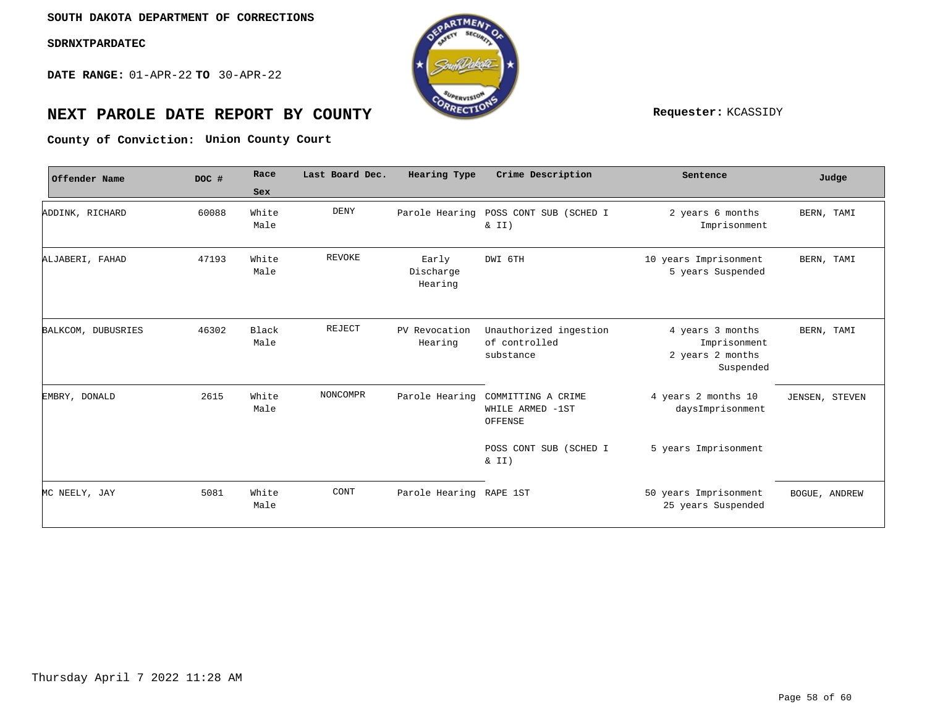**DATE RANGE:** 01-APR-22 **TO** 30-APR-22

![](_page_57_Picture_3.jpeg)

# **NEXT PAROLE DATE REPORT BY COUNTY Requester:** KCASSIDY

**Union County Court County of Conviction:**

| Offender Name      | DOC # | Race                 | Last Board Dec. | Hearing Type                  | Crime Description                                    | Sentence                                                          | Judge          |
|--------------------|-------|----------------------|-----------------|-------------------------------|------------------------------------------------------|-------------------------------------------------------------------|----------------|
|                    |       | Sex                  |                 |                               |                                                      |                                                                   |                |
| ADDINK, RICHARD    | 60088 | White<br>Male        | <b>DENY</b>     | Parole Hearing                | POSS CONT SUB (SCHED I<br>$\&$ II)                   | 2 years 6 months<br>Imprisonment                                  | BERN, TAMI     |
| ALJABERI, FAHAD    | 47193 | White<br>Male        | <b>REVOKE</b>   | Early<br>Discharge<br>Hearing | DWI 6TH                                              | 10 years Imprisonment<br>5 years Suspended                        | BERN, TAMI     |
| BALKCOM, DUBUSRIES | 46302 | <b>Black</b><br>Male | REJECT          | PV Revocation<br>Hearing      | Unauthorized ingestion<br>of controlled<br>substance | 4 years 3 months<br>Imprisonment<br>2 years 2 months<br>Suspended | BERN, TAMI     |
| EMBRY, DONALD      | 2615  | White<br>Male        | NONCOMPR        | Parole Hearing                | COMMITTING A CRIME<br>WHILE ARMED -1ST<br>OFFENSE    | 4 years 2 months 10<br>daysImprisonment                           | JENSEN, STEVEN |
|                    |       |                      |                 |                               | POSS CONT SUB (SCHED I<br>& II)                      | 5 years Imprisonment                                              |                |
| MC NEELY, JAY      | 5081  | White<br>Male        | CONT            | Parole Hearing RAPE 1ST       |                                                      | 50 years Imprisonment<br>25 years Suspended                       | BOGUE, ANDREW  |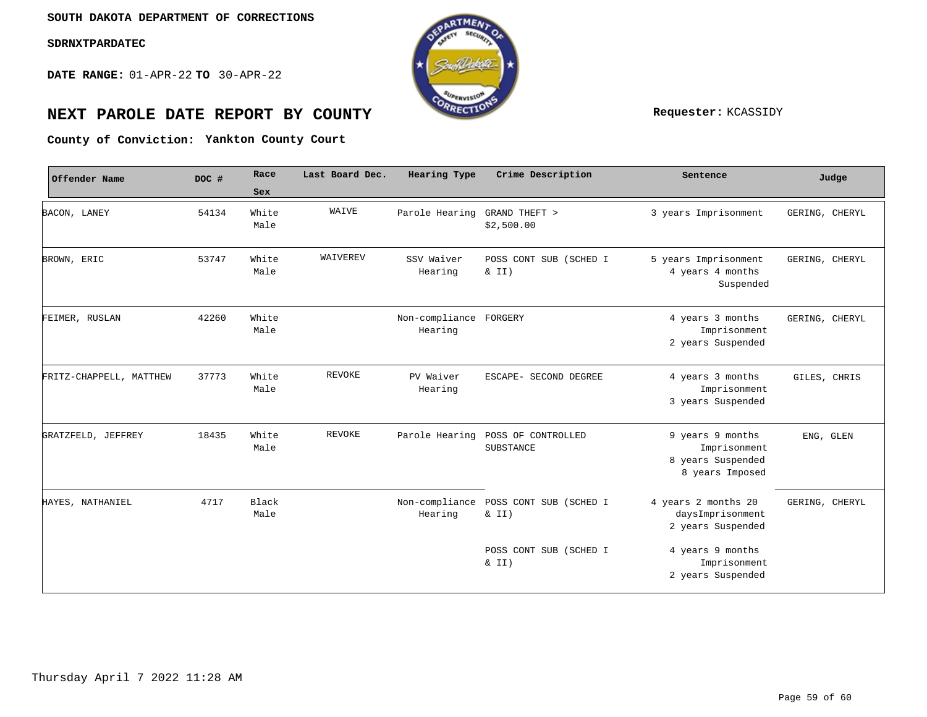**DATE RANGE:** 01-APR-22 **TO** 30-APR-22

![](_page_58_Picture_3.jpeg)

# **NEXT PAROLE DATE REPORT BY COUNTY REPORT BY ALL PROPERTY REQUESTER:** KCASSIDY

**Yankton County Court County of Conviction:**

| Offender Name           | DOC # | Race                 | Last Board Dec. | Hearing Type                      | Crime Description               | Sentence                                                                 | Judge          |
|-------------------------|-------|----------------------|-----------------|-----------------------------------|---------------------------------|--------------------------------------------------------------------------|----------------|
|                         |       | Sex                  |                 |                                   |                                 |                                                                          |                |
| BACON, LANEY            | 54134 | White<br>Male        | WAIVE           | Parole Hearing                    | GRAND THEFT ><br>\$2,500.00     | 3 years Imprisonment                                                     | GERING, CHERYL |
| BROWN, ERIC             | 53747 | White<br>Male        | WAIVEREV        | SSV Waiver<br>Hearing             | POSS CONT SUB (SCHED I<br>& II) | 5 years Imprisonment<br>4 years 4 months<br>Suspended                    | GERING, CHERYL |
| FEIMER, RUSLAN          | 42260 | White<br>Male        |                 | Non-compliance FORGERY<br>Hearing |                                 | 4 years 3 months<br>Imprisonment<br>2 years Suspended                    | GERING, CHERYL |
| FRITZ-CHAPPELL, MATTHEW | 37773 | White<br>Male        | <b>REVOKE</b>   | PV Waiver<br>Hearing              | ESCAPE- SECOND DEGREE           | 4 years 3 months<br>Imprisonment<br>3 years Suspended                    | GILES, CHRIS   |
| GRATZFELD, JEFFREY      | 18435 | White<br>Male        | <b>REVOKE</b>   | Parole Hearing                    | POSS OF CONTROLLED<br>SUBSTANCE | 9 years 9 months<br>Imprisonment<br>8 years Suspended<br>8 years Imposed | ENG, GLEN      |
| HAYES, NATHANIEL        | 4717  | <b>Black</b><br>Male |                 | Non-compliance<br>Hearing         | POSS CONT SUB (SCHED I<br>& II) | 4 years 2 months 20<br>daysImprisonment<br>2 years Suspended             | GERING, CHERYL |
|                         |       |                      |                 |                                   | POSS CONT SUB (SCHED I<br>& II) | 4 years 9 months<br>Imprisonment<br>2 years Suspended                    |                |